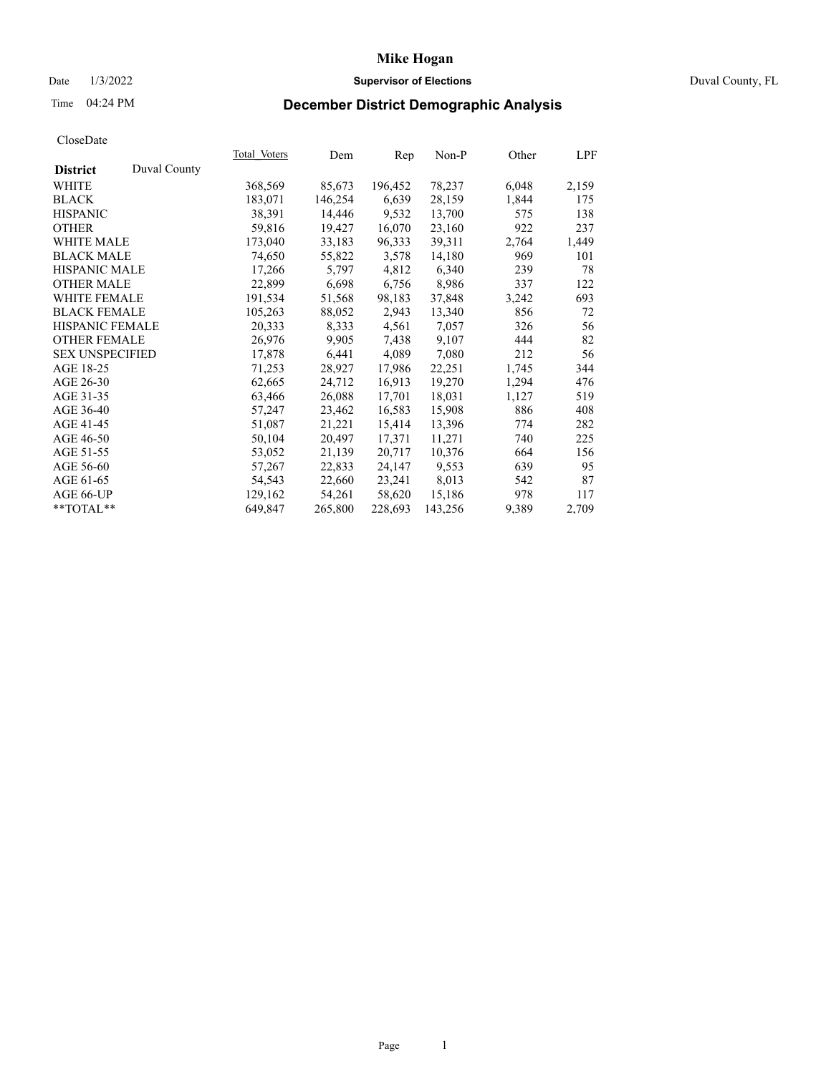## Date 1/3/2022 **Supervisor of Elections** Duval County, FL

# Time 04:24 PM **December District Demographic Analysis**

|                        |              | <b>Total Voters</b> | Dem     | Rep     | Non-P   | Other | LPF   |
|------------------------|--------------|---------------------|---------|---------|---------|-------|-------|
| <b>District</b>        | Duval County |                     |         |         |         |       |       |
| WHITE                  |              | 368,569             | 85,673  | 196,452 | 78,237  | 6,048 | 2,159 |
| <b>BLACK</b>           |              | 183,071             | 146,254 | 6,639   | 28,159  | 1,844 | 175   |
| <b>HISPANIC</b>        |              | 38,391              | 14,446  | 9,532   | 13,700  | 575   | 138   |
| <b>OTHER</b>           |              | 59,816              | 19,427  | 16,070  | 23,160  | 922   | 237   |
| <b>WHITE MALE</b>      |              | 173,040             | 33,183  | 96,333  | 39,311  | 2,764 | 1,449 |
| <b>BLACK MALE</b>      |              | 74,650              | 55,822  | 3,578   | 14,180  | 969   | 101   |
| <b>HISPANIC MALE</b>   |              | 17,266              | 5,797   | 4,812   | 6,340   | 239   | 78    |
| <b>OTHER MALE</b>      |              | 22,899              | 6,698   | 6,756   | 8,986   | 337   | 122   |
| <b>WHITE FEMALE</b>    |              | 191,534             | 51,568  | 98,183  | 37,848  | 3,242 | 693   |
| <b>BLACK FEMALE</b>    |              | 105,263             | 88,052  | 2,943   | 13,340  | 856   | 72    |
| HISPANIC FEMALE        |              | 20,333              | 8,333   | 4,561   | 7,057   | 326   | 56    |
| <b>OTHER FEMALE</b>    |              | 26,976              | 9,905   | 7,438   | 9,107   | 444   | 82    |
| <b>SEX UNSPECIFIED</b> |              | 17,878              | 6,441   | 4,089   | 7,080   | 212   | 56    |
| AGE 18-25              |              | 71,253              | 28,927  | 17,986  | 22,251  | 1,745 | 344   |
| AGE 26-30              |              | 62,665              | 24,712  | 16,913  | 19,270  | 1,294 | 476   |
| AGE 31-35              |              | 63,466              | 26,088  | 17,701  | 18,031  | 1,127 | 519   |
| AGE 36-40              |              | 57,247              | 23,462  | 16,583  | 15,908  | 886   | 408   |
| AGE 41-45              |              | 51,087              | 21,221  | 15,414  | 13,396  | 774   | 282   |
| AGE 46-50              |              | 50,104              | 20,497  | 17,371  | 11,271  | 740   | 225   |
| AGE 51-55              |              | 53,052              | 21,139  | 20,717  | 10,376  | 664   | 156   |
| AGE 56-60              |              | 57,267              | 22,833  | 24,147  | 9,553   | 639   | 95    |
| AGE 61-65              |              | 54,543              | 22,660  | 23,241  | 8,013   | 542   | 87    |
| AGE 66-UP              |              | 129,162             | 54,261  | 58,620  | 15,186  | 978   | 117   |
| **TOTAL**              |              | 649,847             | 265,800 | 228,693 | 143,256 | 9,389 | 2,709 |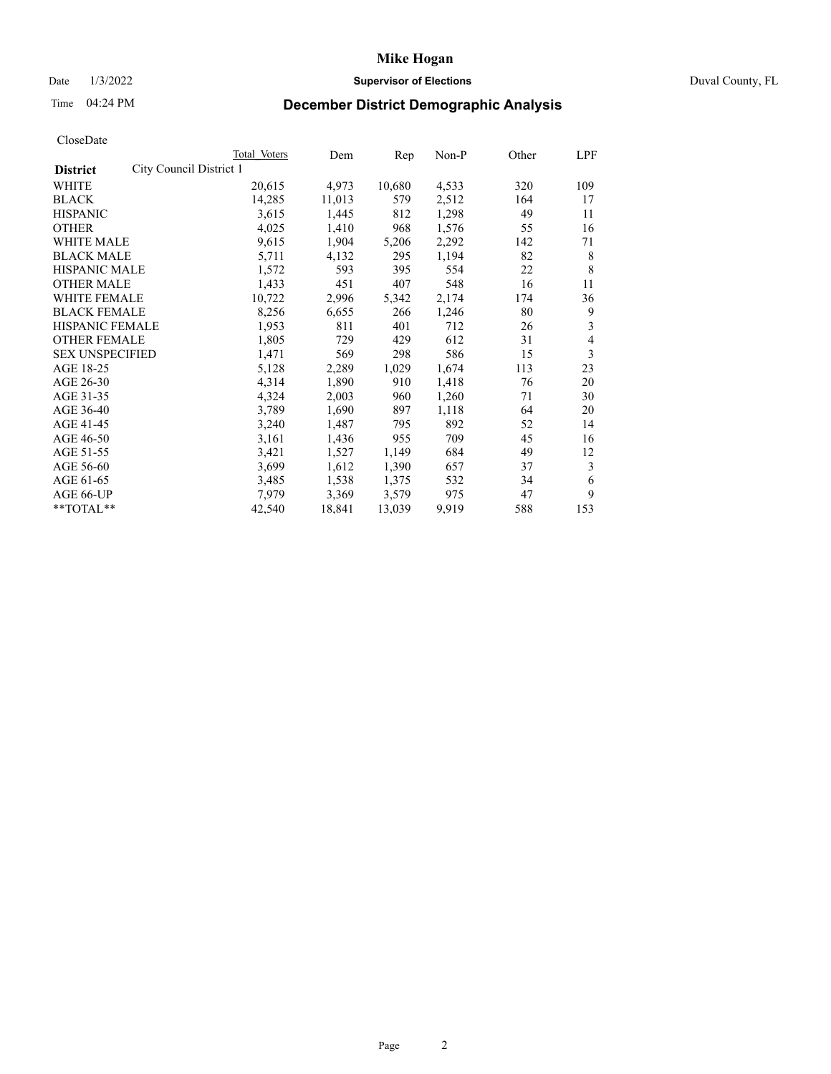## Date 1/3/2022 **Supervisor of Elections** Duval County, FL

# Time 04:24 PM **December District Demographic Analysis**

|                                            | Total Voters | Dem    | Rep    | Non-P | Other | LPF |
|--------------------------------------------|--------------|--------|--------|-------|-------|-----|
| City Council District 1<br><b>District</b> |              |        |        |       |       |     |
| WHITE                                      | 20,615       | 4,973  | 10,680 | 4,533 | 320   | 109 |
| <b>BLACK</b>                               | 14,285       | 11,013 | 579    | 2,512 | 164   | 17  |
| <b>HISPANIC</b>                            | 3,615        | 1,445  | 812    | 1,298 | 49    | 11  |
| <b>OTHER</b>                               | 4,025        | 1,410  | 968    | 1,576 | 55    | 16  |
| WHITE MALE                                 | 9,615        | 1,904  | 5,206  | 2,292 | 142   | 71  |
| <b>BLACK MALE</b>                          | 5,711        | 4,132  | 295    | 1,194 | 82    | 8   |
| <b>HISPANIC MALE</b>                       | 1,572        | 593    | 395    | 554   | 22    | 8   |
| <b>OTHER MALE</b>                          | 1,433        | 451    | 407    | 548   | 16    | 11  |
| <b>WHITE FEMALE</b>                        | 10,722       | 2,996  | 5,342  | 2,174 | 174   | 36  |
| <b>BLACK FEMALE</b>                        | 8,256        | 6,655  | 266    | 1,246 | 80    | 9   |
| <b>HISPANIC FEMALE</b>                     | 1,953        | 811    | 401    | 712   | 26    | 3   |
| <b>OTHER FEMALE</b>                        | 1,805        | 729    | 429    | 612   | 31    | 4   |
| <b>SEX UNSPECIFIED</b>                     | 1,471        | 569    | 298    | 586   | 15    | 3   |
| AGE 18-25                                  | 5,128        | 2,289  | 1,029  | 1,674 | 113   | 23  |
| AGE 26-30                                  | 4,314        | 1,890  | 910    | 1,418 | 76    | 20  |
| AGE 31-35                                  | 4,324        | 2,003  | 960    | 1,260 | 71    | 30  |
| AGE 36-40                                  | 3,789        | 1,690  | 897    | 1,118 | 64    | 20  |
| AGE 41-45                                  | 3,240        | 1,487  | 795    | 892   | 52    | 14  |
| AGE 46-50                                  | 3,161        | 1,436  | 955    | 709   | 45    | 16  |
| AGE 51-55                                  | 3,421        | 1,527  | 1,149  | 684   | 49    | 12  |
| AGE 56-60                                  | 3,699        | 1,612  | 1,390  | 657   | 37    | 3   |
| AGE 61-65                                  | 3,485        | 1,538  | 1,375  | 532   | 34    | 6   |
| AGE 66-UP                                  | 7,979        | 3,369  | 3,579  | 975   | 47    | 9   |
| **TOTAL**                                  | 42,540       | 18,841 | 13,039 | 9,919 | 588   | 153 |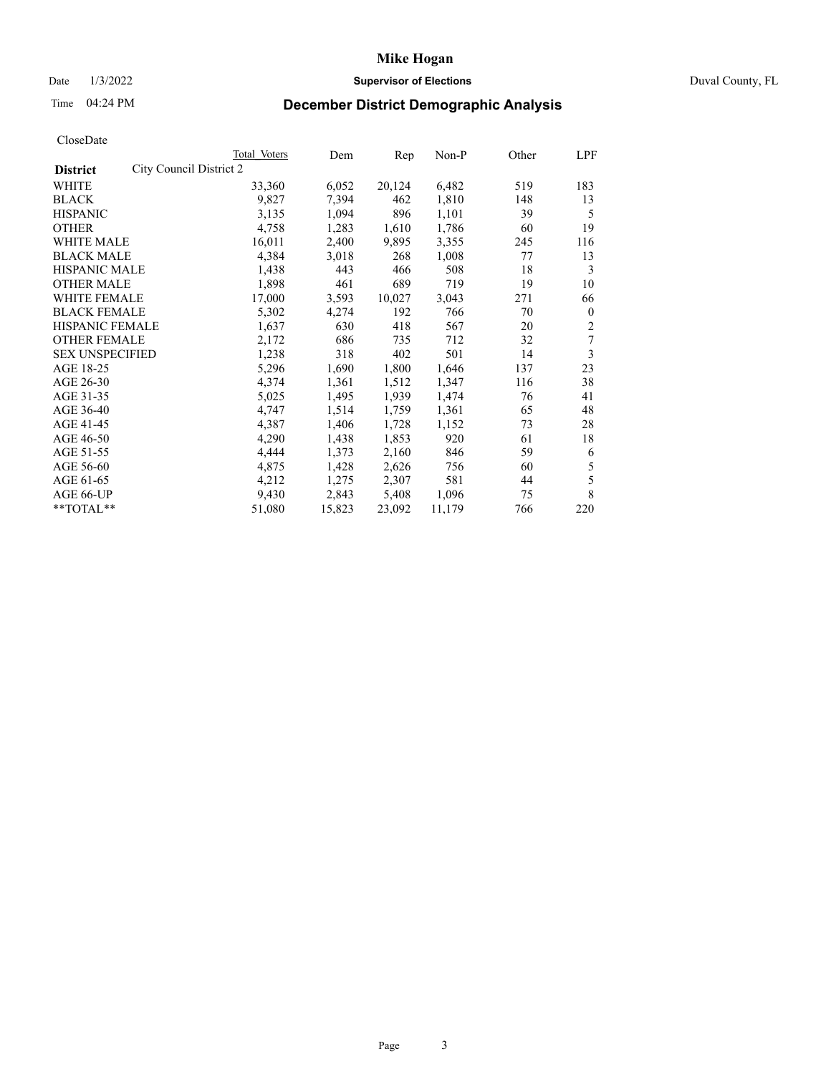## Date 1/3/2022 **Supervisor of Elections** Duval County, FL

# Time 04:24 PM **December District Demographic Analysis**

|                                            | Total Voters | Dem    | Rep    | Non-P  | Other | LPF            |
|--------------------------------------------|--------------|--------|--------|--------|-------|----------------|
| City Council District 2<br><b>District</b> |              |        |        |        |       |                |
| WHITE                                      | 33,360       | 6,052  | 20,124 | 6,482  | 519   | 183            |
| <b>BLACK</b>                               | 9,827        | 7,394  | 462    | 1,810  | 148   | 13             |
| <b>HISPANIC</b>                            | 3,135        | 1,094  | 896    | 1,101  | 39    | 5              |
| <b>OTHER</b>                               | 4,758        | 1,283  | 1,610  | 1,786  | 60    | 19             |
| WHITE MALE                                 | 16,011       | 2,400  | 9,895  | 3,355  | 245   | 116            |
| <b>BLACK MALE</b>                          | 4,384        | 3,018  | 268    | 1,008  | 77    | 13             |
| <b>HISPANIC MALE</b>                       | 1,438        | 443    | 466    | 508    | 18    | 3              |
| <b>OTHER MALE</b>                          | 1,898        | 461    | 689    | 719    | 19    | 10             |
| WHITE FEMALE                               | 17,000       | 3,593  | 10,027 | 3,043  | 271   | 66             |
| <b>BLACK FEMALE</b>                        | 5,302        | 4,274  | 192    | 766    | 70    | $\mathbf{0}$   |
| HISPANIC FEMALE                            | 1,637        | 630    | 418    | 567    | 20    | $\overline{2}$ |
| <b>OTHER FEMALE</b>                        | 2,172        | 686    | 735    | 712    | 32    | 7              |
| <b>SEX UNSPECIFIED</b>                     | 1,238        | 318    | 402    | 501    | 14    | 3              |
| AGE 18-25                                  | 5,296        | 1,690  | 1,800  | 1,646  | 137   | 23             |
| AGE 26-30                                  | 4,374        | 1,361  | 1,512  | 1,347  | 116   | 38             |
| AGE 31-35                                  | 5,025        | 1,495  | 1,939  | 1,474  | 76    | 41             |
| AGE 36-40                                  | 4,747        | 1,514  | 1,759  | 1,361  | 65    | 48             |
| AGE 41-45                                  | 4,387        | 1,406  | 1,728  | 1,152  | 73    | 28             |
| AGE 46-50                                  | 4,290        | 1,438  | 1,853  | 920    | 61    | 18             |
| AGE 51-55                                  | 4,444        | 1,373  | 2,160  | 846    | 59    | 6              |
| AGE 56-60                                  | 4,875        | 1,428  | 2,626  | 756    | 60    | 5              |
| AGE 61-65                                  | 4,212        | 1,275  | 2,307  | 581    | 44    | 5              |
| AGE 66-UP                                  | 9,430        | 2,843  | 5,408  | 1,096  | 75    | 8              |
| **TOTAL**                                  | 51,080       | 15,823 | 23,092 | 11,179 | 766   | 220            |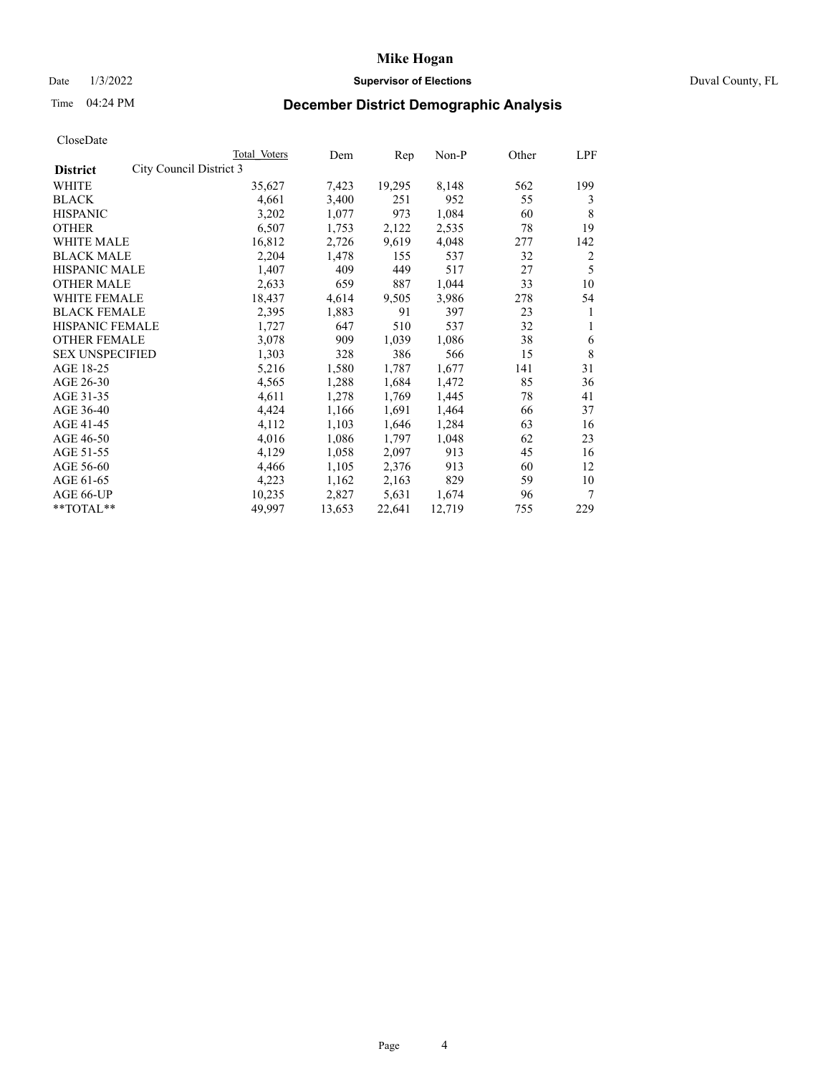### Date 1/3/2022 **Supervisor of Elections** Duval County, FL

# Time 04:24 PM **December District Demographic Analysis**

|                                            | Total Voters | Dem    | Rep    | Non-P  | Other | LPF |
|--------------------------------------------|--------------|--------|--------|--------|-------|-----|
| City Council District 3<br><b>District</b> |              |        |        |        |       |     |
| WHITE                                      | 35,627       | 7,423  | 19,295 | 8,148  | 562   | 199 |
| <b>BLACK</b>                               | 4,661        | 3,400  | 251    | 952    | 55    | 3   |
| <b>HISPANIC</b>                            | 3,202        | 1,077  | 973    | 1,084  | 60    | 8   |
| <b>OTHER</b>                               | 6,507        | 1,753  | 2,122  | 2,535  | 78    | 19  |
| WHITE MALE                                 | 16,812       | 2,726  | 9,619  | 4,048  | 277   | 142 |
| <b>BLACK MALE</b>                          | 2,204        | 1,478  | 155    | 537    | 32    | 2   |
| <b>HISPANIC MALE</b>                       | 1,407        | 409    | 449    | 517    | 27    | 5   |
| <b>OTHER MALE</b>                          | 2,633        | 659    | 887    | 1,044  | 33    | 10  |
| WHITE FEMALE                               | 18,437       | 4,614  | 9,505  | 3,986  | 278   | 54  |
| <b>BLACK FEMALE</b>                        | 2,395        | 1,883  | 91     | 397    | 23    | 1   |
| HISPANIC FEMALE                            | 1,727        | 647    | 510    | 537    | 32    | 1   |
| <b>OTHER FEMALE</b>                        | 3,078        | 909    | 1,039  | 1,086  | 38    | 6   |
| <b>SEX UNSPECIFIED</b>                     | 1,303        | 328    | 386    | 566    | 15    | 8   |
| AGE 18-25                                  | 5,216        | 1,580  | 1,787  | 1,677  | 141   | 31  |
| AGE 26-30                                  | 4,565        | 1,288  | 1,684  | 1,472  | 85    | 36  |
| AGE 31-35                                  | 4,611        | 1,278  | 1,769  | 1,445  | 78    | 41  |
| AGE 36-40                                  | 4,424        | 1,166  | 1,691  | 1,464  | 66    | 37  |
| AGE 41-45                                  | 4,112        | 1,103  | 1,646  | 1,284  | 63    | 16  |
| AGE 46-50                                  | 4,016        | 1,086  | 1,797  | 1,048  | 62    | 23  |
| AGE 51-55                                  | 4,129        | 1,058  | 2,097  | 913    | 45    | 16  |
| AGE 56-60                                  | 4,466        | 1,105  | 2,376  | 913    | 60    | 12  |
| AGE 61-65                                  | 4,223        | 1,162  | 2,163  | 829    | 59    | 10  |
| AGE 66-UP                                  | 10,235       | 2,827  | 5,631  | 1,674  | 96    | 7   |
| **TOTAL**                                  | 49,997       | 13,653 | 22,641 | 12,719 | 755   | 229 |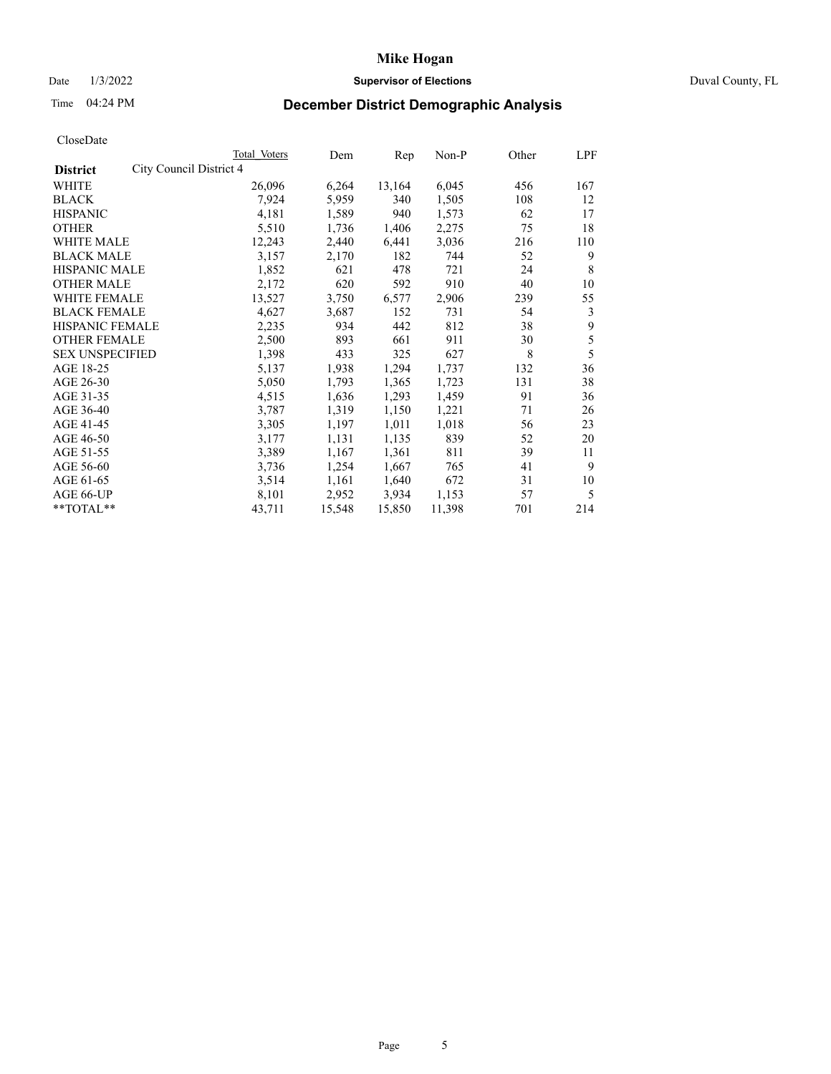## Date 1/3/2022 **Supervisor of Elections** Duval County, FL

# Time 04:24 PM **December District Demographic Analysis**

|                        |                         | <b>Total Voters</b> | Dem    | Rep    | Non-P  | Other | LPF |
|------------------------|-------------------------|---------------------|--------|--------|--------|-------|-----|
| <b>District</b>        | City Council District 4 |                     |        |        |        |       |     |
| WHITE                  |                         | 26,096              | 6,264  | 13,164 | 6,045  | 456   | 167 |
| <b>BLACK</b>           |                         | 7,924               | 5,959  | 340    | 1,505  | 108   | 12  |
| <b>HISPANIC</b>        |                         | 4,181               | 1,589  | 940    | 1,573  | 62    | 17  |
| <b>OTHER</b>           |                         | 5,510               | 1,736  | 1,406  | 2,275  | 75    | 18  |
| WHITE MALE             |                         | 12,243              | 2,440  | 6,441  | 3,036  | 216   | 110 |
| <b>BLACK MALE</b>      |                         | 3,157               | 2,170  | 182    | 744    | 52    | 9   |
| <b>HISPANIC MALE</b>   |                         | 1,852               | 621    | 478    | 721    | 24    | 8   |
| <b>OTHER MALE</b>      |                         | 2,172               | 620    | 592    | 910    | 40    | 10  |
| WHITE FEMALE           |                         | 13,527              | 3,750  | 6,577  | 2,906  | 239   | 55  |
| <b>BLACK FEMALE</b>    |                         | 4,627               | 3,687  | 152    | 731    | 54    | 3   |
| HISPANIC FEMALE        |                         | 2,235               | 934    | 442    | 812    | 38    | 9   |
| <b>OTHER FEMALE</b>    |                         | 2,500               | 893    | 661    | 911    | 30    | 5   |
| <b>SEX UNSPECIFIED</b> |                         | 1,398               | 433    | 325    | 627    | 8     | 5   |
| AGE 18-25              |                         | 5,137               | 1,938  | 1,294  | 1,737  | 132   | 36  |
| AGE 26-30              |                         | 5,050               | 1,793  | 1,365  | 1,723  | 131   | 38  |
| AGE 31-35              |                         | 4,515               | 1,636  | 1,293  | 1,459  | 91    | 36  |
| AGE 36-40              |                         | 3,787               | 1,319  | 1,150  | 1,221  | 71    | 26  |
| AGE 41-45              |                         | 3,305               | 1,197  | 1,011  | 1,018  | 56    | 23  |
| AGE 46-50              |                         | 3,177               | 1,131  | 1,135  | 839    | 52    | 20  |
| AGE 51-55              |                         | 3,389               | 1,167  | 1,361  | 811    | 39    | 11  |
| AGE 56-60              |                         | 3,736               | 1,254  | 1,667  | 765    | 41    | 9   |
| AGE 61-65              |                         | 3,514               | 1,161  | 1,640  | 672    | 31    | 10  |
| AGE 66-UP              |                         | 8,101               | 2,952  | 3,934  | 1,153  | 57    | 5   |
| **TOTAL**              |                         | 43,711              | 15,548 | 15,850 | 11,398 | 701   | 214 |
|                        |                         |                     |        |        |        |       |     |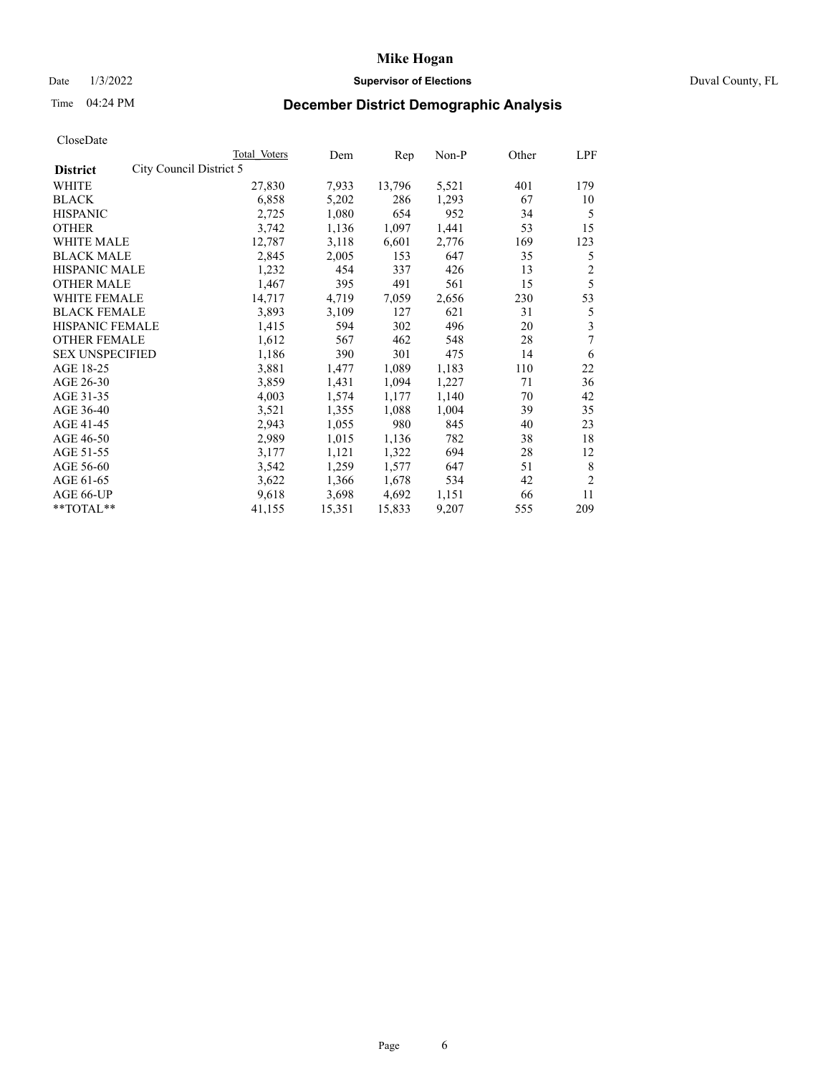## Date 1/3/2022 **Supervisor of Elections** Duval County, FL

# Time 04:24 PM **December District Demographic Analysis**

|                        |                         | Total Voters | Dem    | Rep    | Non-P | Other | LPF            |
|------------------------|-------------------------|--------------|--------|--------|-------|-------|----------------|
| <b>District</b>        | City Council District 5 |              |        |        |       |       |                |
| WHITE                  |                         | 27,830       | 7,933  | 13,796 | 5,521 | 401   | 179            |
| <b>BLACK</b>           |                         | 6,858        | 5,202  | 286    | 1,293 | 67    | 10             |
| <b>HISPANIC</b>        |                         | 2,725        | 1,080  | 654    | 952   | 34    | 5              |
| <b>OTHER</b>           |                         | 3,742        | 1,136  | 1,097  | 1,441 | 53    | 15             |
| WHITE MALE             |                         | 12,787       | 3,118  | 6,601  | 2,776 | 169   | 123            |
| <b>BLACK MALE</b>      |                         | 2,845        | 2,005  | 153    | 647   | 35    | 5              |
| <b>HISPANIC MALE</b>   |                         | 1,232        | 454    | 337    | 426   | 13    | $\overline{c}$ |
| <b>OTHER MALE</b>      |                         | 1,467        | 395    | 491    | 561   | 15    | 5              |
| WHITE FEMALE           |                         | 14,717       | 4,719  | 7,059  | 2,656 | 230   | 53             |
| <b>BLACK FEMALE</b>    |                         | 3,893        | 3,109  | 127    | 621   | 31    | 5              |
| HISPANIC FEMALE        |                         | 1,415        | 594    | 302    | 496   | 20    | 3              |
| <b>OTHER FEMALE</b>    |                         | 1,612        | 567    | 462    | 548   | 28    | 7              |
| <b>SEX UNSPECIFIED</b> |                         | 1,186        | 390    | 301    | 475   | 14    | 6              |
| AGE 18-25              |                         | 3,881        | 1,477  | 1,089  | 1,183 | 110   | 22             |
| AGE 26-30              |                         | 3,859        | 1,431  | 1,094  | 1,227 | 71    | 36             |
| AGE 31-35              |                         | 4,003        | 1,574  | 1,177  | 1,140 | 70    | 42             |
| AGE 36-40              |                         | 3,521        | 1,355  | 1,088  | 1,004 | 39    | 35             |
| AGE 41-45              |                         | 2,943        | 1,055  | 980    | 845   | 40    | 23             |
| AGE 46-50              |                         | 2,989        | 1,015  | 1,136  | 782   | 38    | 18             |
| AGE 51-55              |                         | 3,177        | 1,121  | 1,322  | 694   | 28    | 12             |
| AGE 56-60              |                         | 3,542        | 1,259  | 1,577  | 647   | 51    | 8              |
| AGE 61-65              |                         | 3,622        | 1,366  | 1,678  | 534   | 42    | $\overline{2}$ |
| AGE 66-UP              |                         | 9,618        | 3,698  | 4,692  | 1,151 | 66    | 11             |
| **TOTAL**              |                         | 41,155       | 15,351 | 15,833 | 9,207 | 555   | 209            |
|                        |                         |              |        |        |       |       |                |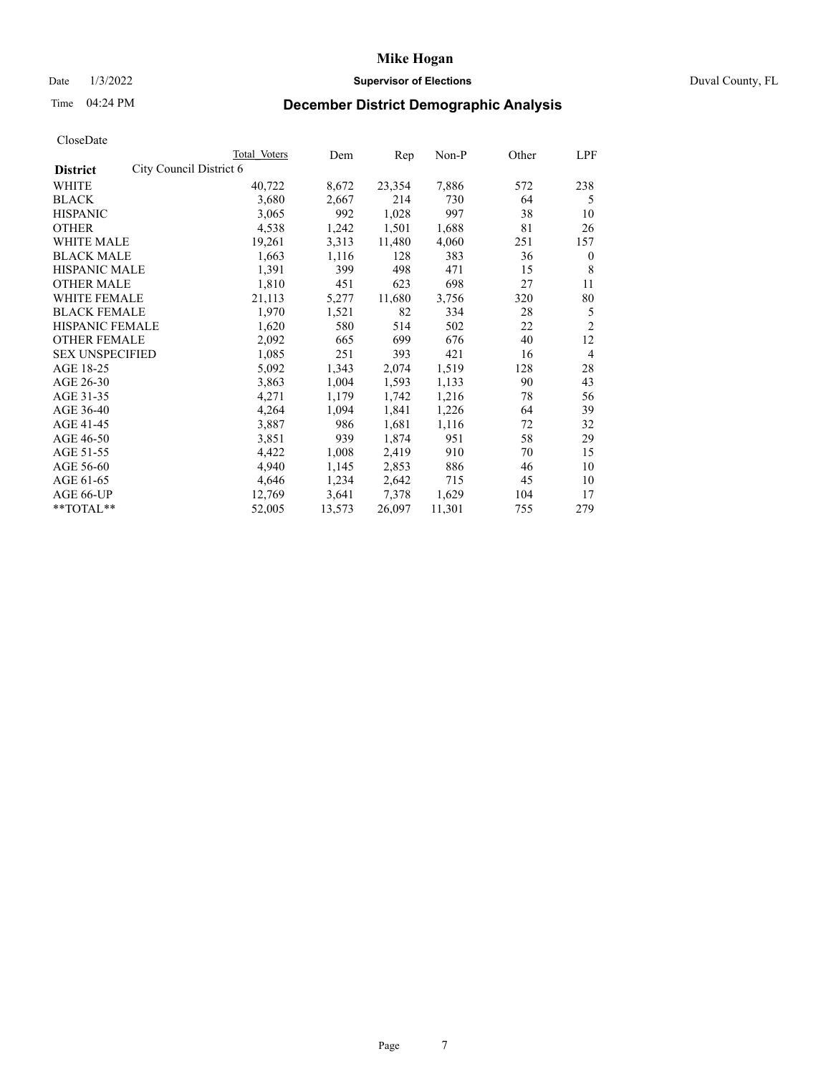## Date 1/3/2022 **Supervisor of Elections** Duval County, FL

# Time 04:24 PM **December District Demographic Analysis**

| Total Voters            | Dem    | Rep    | Non-P  | Other | LPF            |
|-------------------------|--------|--------|--------|-------|----------------|
| City Council District 6 |        |        |        |       |                |
| 40,722                  | 8,672  | 23,354 | 7,886  | 572   | 238            |
| 3,680                   | 2,667  | 214    | 730    | 64    | 5              |
| 3,065                   | 992    | 1,028  | 997    | 38    | 10             |
| 4,538                   | 1,242  | 1,501  | 1,688  | 81    | 26             |
| 19,261                  | 3,313  | 11,480 | 4,060  | 251   | 157            |
| 1,663                   | 1,116  | 128    | 383    | 36    | $\mathbf{0}$   |
| 1,391                   | 399    | 498    | 471    | 15    | 8              |
| 1,810                   | 451    | 623    | 698    | 27    | 11             |
| 21,113                  | 5,277  | 11,680 | 3,756  | 320   | 80             |
| 1,970                   | 1,521  | 82     | 334    | 28    | 5              |
| 1,620                   | 580    | 514    | 502    | 22    | $\overline{2}$ |
| 2,092                   | 665    | 699    | 676    | 40    | 12             |
| 1,085                   | 251    | 393    | 421    | 16    | 4              |
| 5,092                   | 1,343  | 2,074  | 1,519  | 128   | 28             |
| 3,863                   | 1,004  | 1,593  | 1,133  | 90    | 43             |
| 4,271                   | 1,179  | 1,742  | 1,216  | 78    | 56             |
| 4,264                   | 1,094  | 1,841  | 1,226  | 64    | 39             |
| 3,887                   | 986    | 1,681  | 1,116  | 72    | 32             |
| 3,851                   | 939    | 1,874  | 951    | 58    | 29             |
| 4,422                   | 1,008  | 2,419  | 910    | 70    | 15             |
| 4,940                   | 1,145  | 2,853  | 886    | 46    | 10             |
| 4,646                   | 1,234  | 2,642  | 715    | 45    | 10             |
| 12,769                  | 3,641  | 7,378  | 1,629  | 104   | 17             |
| 52,005                  | 13,573 | 26,097 | 11,301 | 755   | 279            |
|                         |        |        |        |       |                |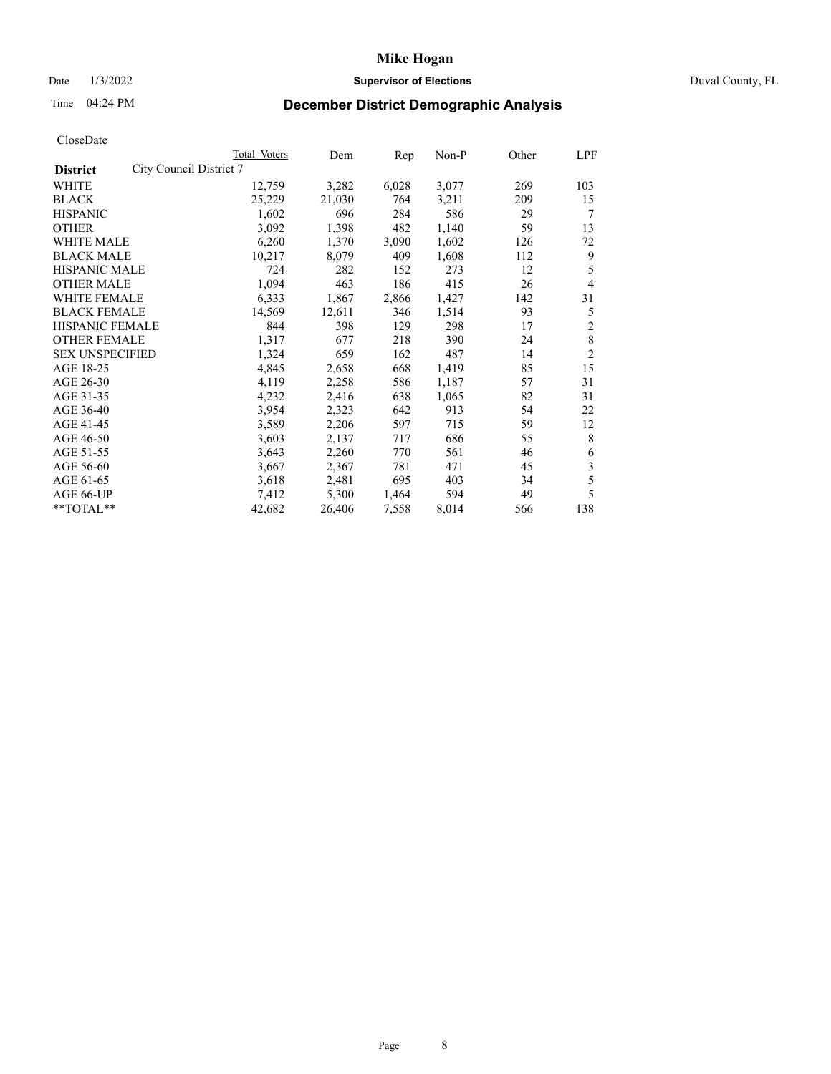### Date 1/3/2022 **Supervisor of Elections** Duval County, FL

# Time 04:24 PM **December District Demographic Analysis**

|                        |                         | Total Voters | Dem    | Rep   | Non-P | Other | LPF            |
|------------------------|-------------------------|--------------|--------|-------|-------|-------|----------------|
| <b>District</b>        | City Council District 7 |              |        |       |       |       |                |
| WHITE                  |                         | 12,759       | 3,282  | 6,028 | 3,077 | 269   | 103            |
| <b>BLACK</b>           |                         | 25,229       | 21,030 | 764   | 3,211 | 209   | 15             |
| <b>HISPANIC</b>        |                         | 1,602        | 696    | 284   | 586   | 29    | 7              |
| <b>OTHER</b>           |                         | 3,092        | 1,398  | 482   | 1,140 | 59    | 13             |
| WHITE MALE             |                         | 6,260        | 1,370  | 3,090 | 1,602 | 126   | 72             |
| <b>BLACK MALE</b>      |                         | 10,217       | 8,079  | 409   | 1,608 | 112   | 9              |
| <b>HISPANIC MALE</b>   |                         | 724          | 282    | 152   | 273   | 12    | 5              |
| <b>OTHER MALE</b>      |                         | 1,094        | 463    | 186   | 415   | 26    | 4              |
| WHITE FEMALE           |                         | 6,333        | 1,867  | 2,866 | 1,427 | 142   | 31             |
| <b>BLACK FEMALE</b>    |                         | 14,569       | 12,611 | 346   | 1,514 | 93    | 5              |
| HISPANIC FEMALE        |                         | 844          | 398    | 129   | 298   | 17    | $\mathfrak{2}$ |
| <b>OTHER FEMALE</b>    |                         | 1,317        | 677    | 218   | 390   | 24    | $\,8\,$        |
| <b>SEX UNSPECIFIED</b> |                         | 1,324        | 659    | 162   | 487   | 14    | $\overline{2}$ |
| AGE 18-25              |                         | 4,845        | 2,658  | 668   | 1,419 | 85    | 15             |
| AGE 26-30              |                         | 4,119        | 2,258  | 586   | 1,187 | 57    | 31             |
| AGE 31-35              |                         | 4,232        | 2,416  | 638   | 1,065 | 82    | 31             |
| AGE 36-40              |                         | 3,954        | 2,323  | 642   | 913   | 54    | 22             |
| AGE 41-45              |                         | 3,589        | 2,206  | 597   | 715   | 59    | 12             |
| AGE 46-50              |                         | 3,603        | 2,137  | 717   | 686   | 55    | 8              |
| AGE 51-55              |                         | 3,643        | 2,260  | 770   | 561   | 46    | 6              |
| AGE 56-60              |                         | 3,667        | 2,367  | 781   | 471   | 45    | 3              |
| AGE 61-65              |                         | 3,618        | 2,481  | 695   | 403   | 34    | 5              |
| AGE 66-UP              |                         | 7,412        | 5,300  | 1,464 | 594   | 49    | 5              |
| **TOTAL**              |                         | 42,682       | 26,406 | 7,558 | 8,014 | 566   | 138            |
|                        |                         |              |        |       |       |       |                |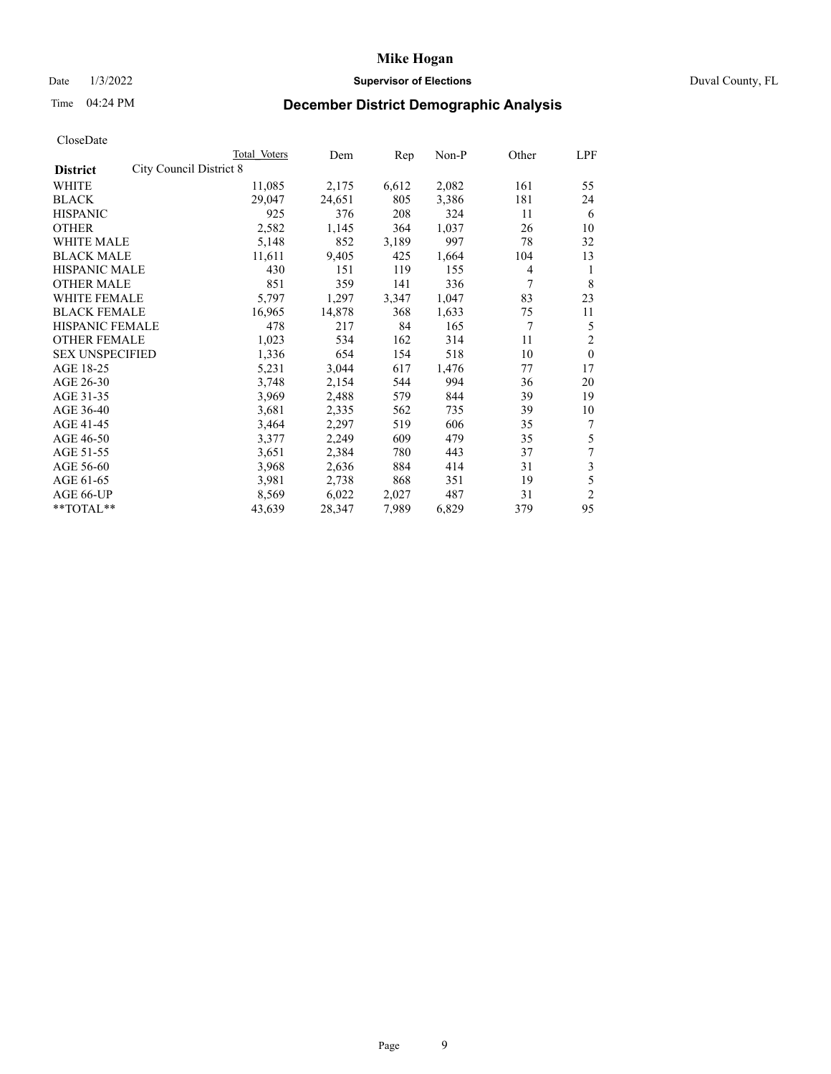## Date 1/3/2022 **Supervisor of Elections** Duval County, FL

# Time 04:24 PM **December District Demographic Analysis**

|                                            | Total Voters | Dem    | Rep   | Non-P | Other | LPF                     |
|--------------------------------------------|--------------|--------|-------|-------|-------|-------------------------|
| City Council District 8<br><b>District</b> |              |        |       |       |       |                         |
| WHITE                                      | 11,085       | 2,175  | 6,612 | 2,082 | 161   | 55                      |
| <b>BLACK</b>                               | 29,047       | 24,651 | 805   | 3,386 | 181   | 24                      |
| <b>HISPANIC</b>                            | 925          | 376    | 208   | 324   | 11    | 6                       |
| <b>OTHER</b>                               | 2,582        | 1,145  | 364   | 1,037 | 26    | 10                      |
| <b>WHITE MALE</b>                          | 5,148        | 852    | 3,189 | 997   | 78    | 32                      |
| <b>BLACK MALE</b>                          | 11,611       | 9,405  | 425   | 1,664 | 104   | 13                      |
| <b>HISPANIC MALE</b>                       | 430          | 151    | 119   | 155   | 4     | 1                       |
| <b>OTHER MALE</b>                          | 851          | 359    | 141   | 336   | 7     | 8                       |
| <b>WHITE FEMALE</b>                        | 5,797        | 1,297  | 3,347 | 1,047 | 83    | 23                      |
| <b>BLACK FEMALE</b>                        | 16,965       | 14,878 | 368   | 1,633 | 75    | 11                      |
| <b>HISPANIC FEMALE</b>                     | 478          | 217    | 84    | 165   | 7     | 5                       |
| <b>OTHER FEMALE</b>                        | 1,023        | 534    | 162   | 314   | 11    | $\mathfrak{2}$          |
| <b>SEX UNSPECIFIED</b>                     | 1,336        | 654    | 154   | 518   | 10    | $\theta$                |
| AGE 18-25                                  | 5,231        | 3,044  | 617   | 1,476 | 77    | 17                      |
| AGE 26-30                                  | 3,748        | 2,154  | 544   | 994   | 36    | 20                      |
| AGE 31-35                                  | 3,969        | 2,488  | 579   | 844   | 39    | 19                      |
| AGE 36-40                                  | 3,681        | 2,335  | 562   | 735   | 39    | 10                      |
| AGE 41-45                                  | 3,464        | 2,297  | 519   | 606   | 35    | $\overline{7}$          |
| AGE 46-50                                  | 3,377        | 2,249  | 609   | 479   | 35    | 5                       |
| AGE 51-55                                  | 3,651        | 2,384  | 780   | 443   | 37    | $\tau$                  |
| AGE 56-60                                  | 3,968        | 2,636  | 884   | 414   | 31    | $\overline{\mathbf{3}}$ |
| AGE 61-65                                  | 3,981        | 2,738  | 868   | 351   | 19    | 5                       |
| AGE 66-UP                                  | 8,569        | 6,022  | 2,027 | 487   | 31    | $\overline{2}$          |
| $*$ $TOTAL**$                              | 43,639       | 28,347 | 7,989 | 6,829 | 379   | 95                      |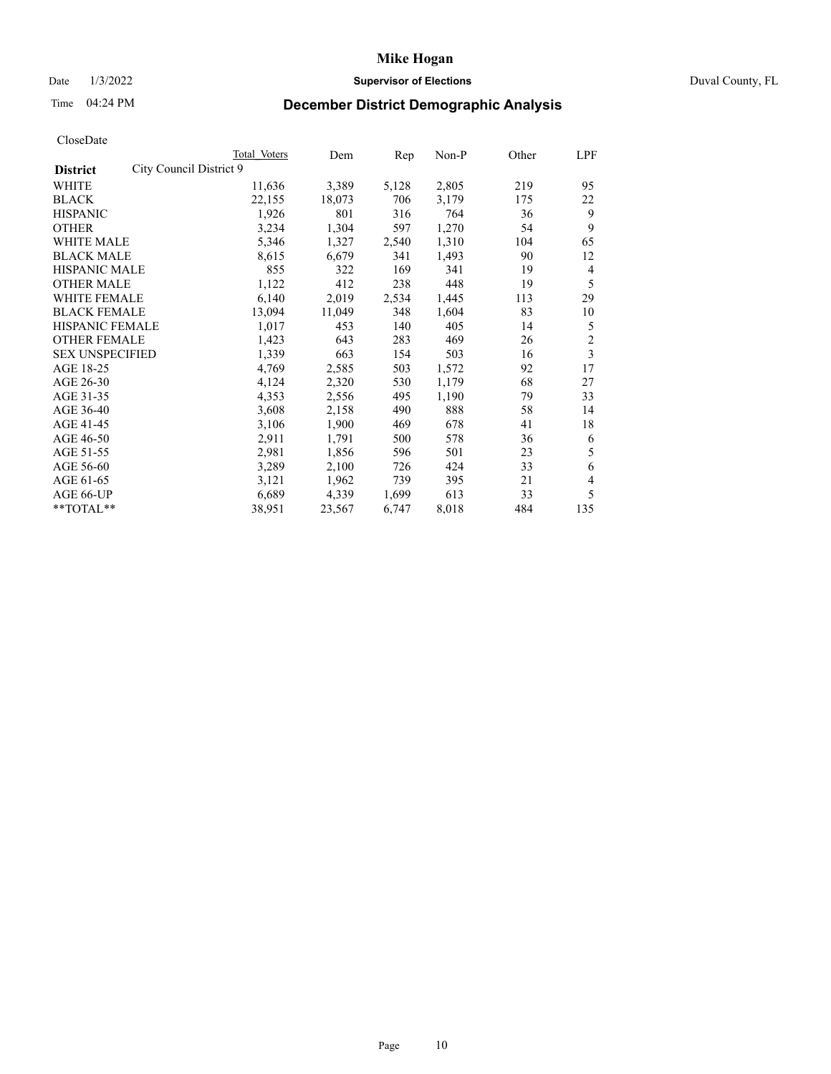## Date 1/3/2022 **Supervisor of Elections** Duval County, FL

# Time 04:24 PM **December District Demographic Analysis**

|                                            | Total Voters | Dem    | Rep   | Non-P | Other | LPF            |
|--------------------------------------------|--------------|--------|-------|-------|-------|----------------|
| City Council District 9<br><b>District</b> |              |        |       |       |       |                |
| WHITE                                      | 11,636       | 3,389  | 5,128 | 2,805 | 219   | 95             |
| <b>BLACK</b>                               | 22,155       | 18,073 | 706   | 3,179 | 175   | 22             |
| <b>HISPANIC</b>                            | 1,926        | 801    | 316   | 764   | 36    | 9              |
| <b>OTHER</b>                               | 3,234        | 1,304  | 597   | 1,270 | 54    | 9              |
| <b>WHITE MALE</b>                          | 5,346        | 1,327  | 2,540 | 1,310 | 104   | 65             |
| <b>BLACK MALE</b>                          | 8,615        | 6,679  | 341   | 1,493 | 90    | 12             |
| <b>HISPANIC MALE</b>                       | 855          | 322    | 169   | 341   | 19    | 4              |
| <b>OTHER MALE</b>                          | 1,122        | 412    | 238   | 448   | 19    | 5              |
| <b>WHITE FEMALE</b>                        | 6,140        | 2,019  | 2,534 | 1,445 | 113   | 29             |
| <b>BLACK FEMALE</b>                        | 13,094       | 11,049 | 348   | 1,604 | 83    | 10             |
| <b>HISPANIC FEMALE</b>                     | 1,017        | 453    | 140   | 405   | 14    | 5              |
| <b>OTHER FEMALE</b>                        | 1,423        | 643    | 283   | 469   | 26    | $\sqrt{2}$     |
| <b>SEX UNSPECIFIED</b>                     | 1,339        | 663    | 154   | 503   | 16    | 3              |
| AGE 18-25                                  | 4,769        | 2,585  | 503   | 1,572 | 92    | 17             |
| AGE 26-30                                  | 4,124        | 2,320  | 530   | 1,179 | 68    | 27             |
| AGE 31-35                                  | 4,353        | 2,556  | 495   | 1,190 | 79    | 33             |
| AGE 36-40                                  | 3,608        | 2,158  | 490   | 888   | 58    | 14             |
| AGE 41-45                                  | 3,106        | 1,900  | 469   | 678   | 41    | 18             |
| AGE 46-50                                  | 2,911        | 1,791  | 500   | 578   | 36    | 6              |
| AGE 51-55                                  | 2,981        | 1,856  | 596   | 501   | 23    | 5              |
| AGE 56-60                                  | 3,289        | 2,100  | 726   | 424   | 33    | 6              |
| AGE 61-65                                  | 3,121        | 1,962  | 739   | 395   | 21    | $\overline{4}$ |
| AGE 66-UP                                  | 6,689        | 4,339  | 1,699 | 613   | 33    | 5              |
| $*$ TOTAL $*$                              | 38,951       | 23,567 | 6,747 | 8,018 | 484   | 135            |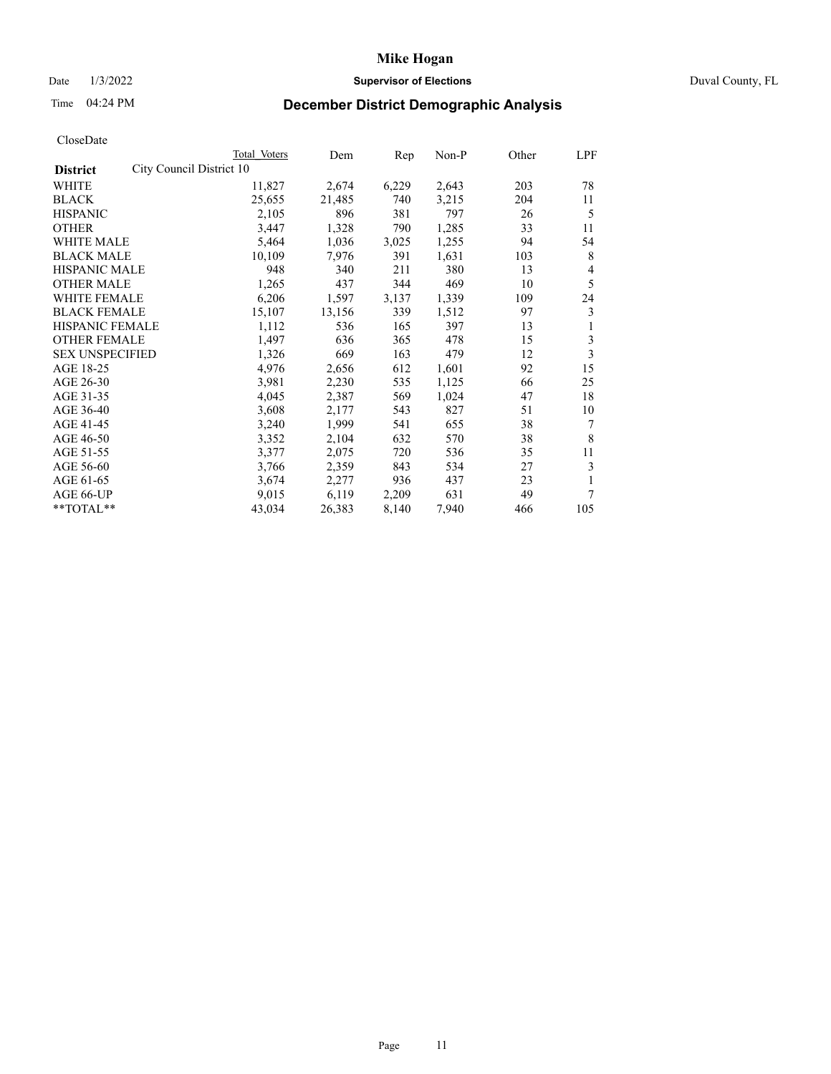## Date 1/3/2022 **Supervisor of Elections** Duval County, FL

# Time 04:24 PM **December District Demographic Analysis**

|                                             | Total Voters | Dem    | Rep   | Non-P | Other | LPF |
|---------------------------------------------|--------------|--------|-------|-------|-------|-----|
| City Council District 10<br><b>District</b> |              |        |       |       |       |     |
| WHITE                                       | 11,827       | 2,674  | 6,229 | 2,643 | 203   | 78  |
| <b>BLACK</b>                                | 25,655       | 21,485 | 740   | 3,215 | 204   | 11  |
| <b>HISPANIC</b>                             | 2,105        | 896    | 381   | 797   | 26    | 5   |
| <b>OTHER</b>                                | 3,447        | 1,328  | 790   | 1,285 | 33    | 11  |
| WHITE MALE                                  | 5,464        | 1,036  | 3,025 | 1,255 | 94    | 54  |
| <b>BLACK MALE</b>                           | 10,109       | 7,976  | 391   | 1,631 | 103   | 8   |
| <b>HISPANIC MALE</b>                        | 948          | 340    | 211   | 380   | 13    | 4   |
| <b>OTHER MALE</b>                           | 1,265        | 437    | 344   | 469   | 10    | 5   |
| WHITE FEMALE                                | 6,206        | 1,597  | 3,137 | 1,339 | 109   | 24  |
| <b>BLACK FEMALE</b>                         | 15,107       | 13,156 | 339   | 1,512 | 97    | 3   |
| <b>HISPANIC FEMALE</b>                      | 1,112        | 536    | 165   | 397   | 13    | 1   |
| <b>OTHER FEMALE</b>                         | 1,497        | 636    | 365   | 478   | 15    | 3   |
| <b>SEX UNSPECIFIED</b>                      | 1,326        | 669    | 163   | 479   | 12    | 3   |
| AGE 18-25                                   | 4,976        | 2,656  | 612   | 1,601 | 92    | 15  |
| AGE 26-30                                   | 3,981        | 2,230  | 535   | 1,125 | 66    | 25  |
| AGE 31-35                                   | 4,045        | 2,387  | 569   | 1,024 | 47    | 18  |
| AGE 36-40                                   | 3,608        | 2,177  | 543   | 827   | 51    | 10  |
| AGE 41-45                                   | 3,240        | 1,999  | 541   | 655   | 38    | 7   |
| AGE 46-50                                   | 3,352        | 2,104  | 632   | 570   | 38    | 8   |
| AGE 51-55                                   | 3,377        | 2,075  | 720   | 536   | 35    | 11  |
| AGE 56-60                                   | 3,766        | 2,359  | 843   | 534   | 27    | 3   |
| AGE 61-65                                   | 3,674        | 2,277  | 936   | 437   | 23    | 1   |
| AGE 66-UP                                   | 9,015        | 6,119  | 2,209 | 631   | 49    | 7   |
| **TOTAL**                                   | 43,034       | 26,383 | 8,140 | 7,940 | 466   | 105 |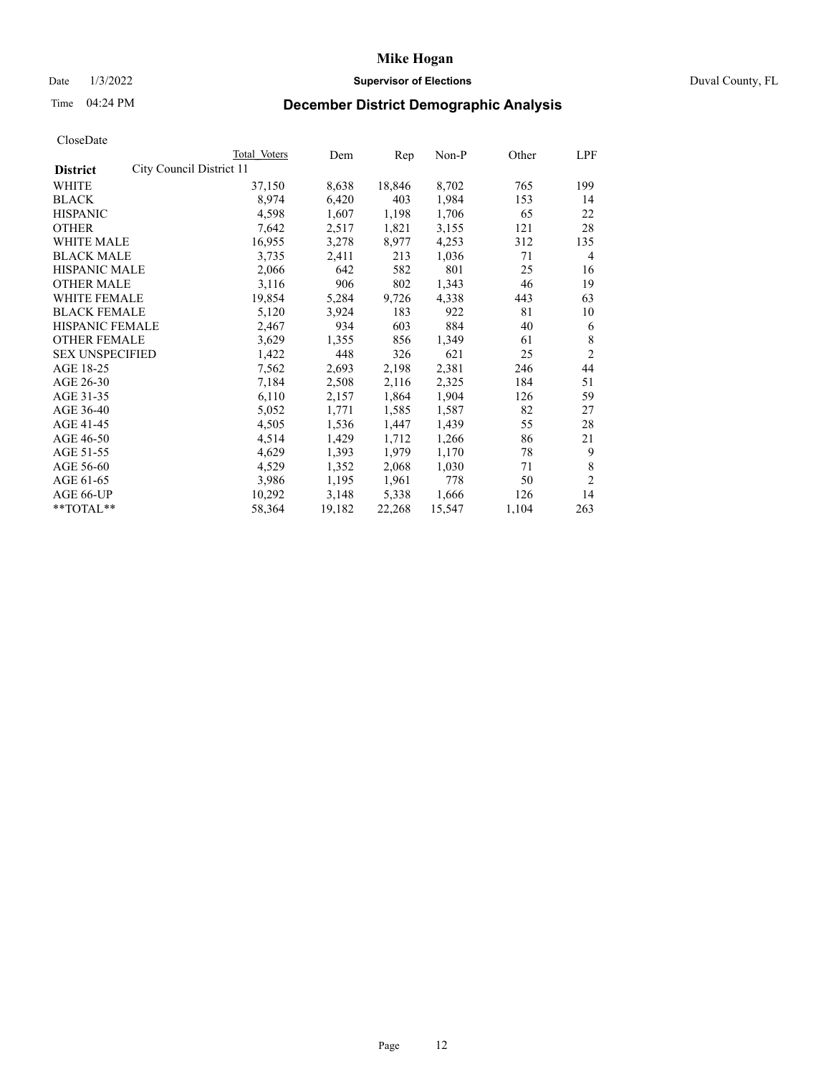## Date 1/3/2022 **Supervisor of Elections** Duval County, FL

# Time 04:24 PM **December District Demographic Analysis**

|                                             | Total Voters | Dem    | Rep    | $Non-P$ | Other | LPF            |
|---------------------------------------------|--------------|--------|--------|---------|-------|----------------|
| City Council District 11<br><b>District</b> |              |        |        |         |       |                |
| WHITE                                       | 37,150       | 8,638  | 18,846 | 8,702   | 765   | 199            |
| <b>BLACK</b>                                | 8,974        | 6,420  | 403    | 1,984   | 153   | 14             |
| <b>HISPANIC</b>                             | 4,598        | 1,607  | 1,198  | 1,706   | 65    | 22             |
| <b>OTHER</b>                                | 7,642        | 2,517  | 1,821  | 3,155   | 121   | 28             |
| WHITE MALE                                  | 16,955       | 3,278  | 8,977  | 4,253   | 312   | 135            |
| <b>BLACK MALE</b>                           | 3,735        | 2,411  | 213    | 1,036   | 71    | $\overline{4}$ |
| <b>HISPANIC MALE</b>                        | 2,066        | 642    | 582    | 801     | 25    | 16             |
| <b>OTHER MALE</b>                           | 3,116        | 906    | 802    | 1,343   | 46    | 19             |
| WHITE FEMALE                                | 19,854       | 5,284  | 9,726  | 4,338   | 443   | 63             |
| <b>BLACK FEMALE</b>                         | 5,120        | 3,924  | 183    | 922     | 81    | 10             |
| HISPANIC FEMALE                             | 2,467        | 934    | 603    | 884     | 40    | 6              |
| <b>OTHER FEMALE</b>                         | 3,629        | 1,355  | 856    | 1,349   | 61    | 8              |
| <b>SEX UNSPECIFIED</b>                      | 1,422        | 448    | 326    | 621     | 25    | $\overline{2}$ |
| AGE 18-25                                   | 7,562        | 2,693  | 2,198  | 2,381   | 246   | 44             |
| AGE 26-30                                   | 7,184        | 2,508  | 2,116  | 2,325   | 184   | 51             |
| AGE 31-35                                   | 6,110        | 2,157  | 1,864  | 1,904   | 126   | 59             |
| AGE 36-40                                   | 5,052        | 1,771  | 1,585  | 1,587   | 82    | 27             |
| AGE 41-45                                   | 4,505        | 1,536  | 1,447  | 1,439   | 55    | 28             |
| AGE 46-50                                   | 4,514        | 1,429  | 1,712  | 1,266   | 86    | 21             |
| AGE 51-55                                   | 4,629        | 1,393  | 1,979  | 1,170   | 78    | 9              |
| AGE 56-60                                   | 4,529        | 1,352  | 2,068  | 1,030   | 71    | 8              |
| AGE 61-65                                   | 3,986        | 1,195  | 1,961  | 778     | 50    | $\overline{2}$ |
| AGE 66-UP                                   | 10,292       | 3,148  | 5,338  | 1,666   | 126   | 14             |
| **TOTAL**                                   | 58,364       | 19,182 | 22,268 | 15,547  | 1,104 | 263            |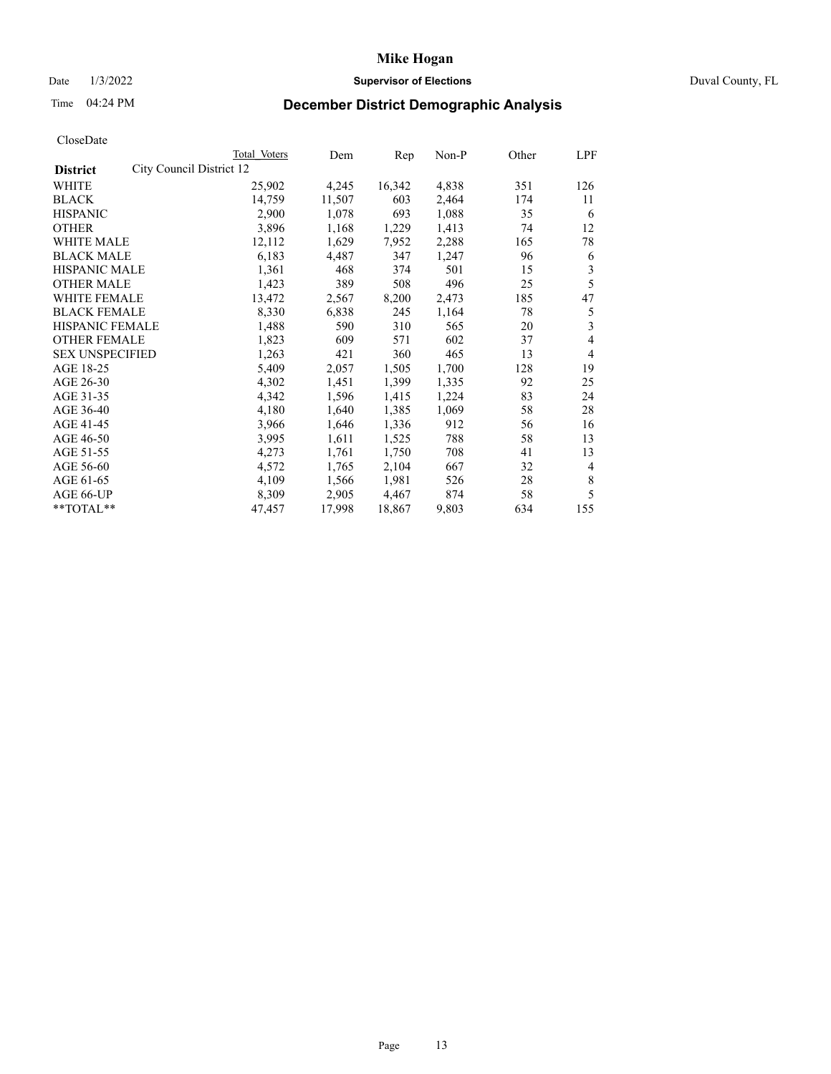## Date 1/3/2022 **Supervisor of Elections** Duval County, FL

# Time 04:24 PM **December District Demographic Analysis**

|                                             | Total Voters | Dem    | Rep    | Non-P | Other | LPF            |
|---------------------------------------------|--------------|--------|--------|-------|-------|----------------|
| City Council District 12<br><b>District</b> |              |        |        |       |       |                |
| WHITE                                       | 25,902       | 4,245  | 16,342 | 4,838 | 351   | 126            |
| <b>BLACK</b>                                | 14,759       | 11,507 | 603    | 2,464 | 174   | 11             |
| <b>HISPANIC</b>                             | 2,900        | 1,078  | 693    | 1,088 | 35    | 6              |
| <b>OTHER</b>                                | 3,896        | 1,168  | 1,229  | 1,413 | 74    | 12             |
| WHITE MALE                                  | 12,112       | 1,629  | 7,952  | 2,288 | 165   | 78             |
| <b>BLACK MALE</b>                           | 6,183        | 4,487  | 347    | 1,247 | 96    | 6              |
| <b>HISPANIC MALE</b>                        | 1,361        | 468    | 374    | 501   | 15    | 3              |
| <b>OTHER MALE</b>                           | 1,423        | 389    | 508    | 496   | 25    | 5              |
| WHITE FEMALE                                | 13,472       | 2,567  | 8,200  | 2,473 | 185   | 47             |
| <b>BLACK FEMALE</b>                         | 8,330        | 6,838  | 245    | 1,164 | 78    | 5              |
| HISPANIC FEMALE                             | 1,488        | 590    | 310    | 565   | 20    | 3              |
| <b>OTHER FEMALE</b>                         | 1,823        | 609    | 571    | 602   | 37    | 4              |
| <b>SEX UNSPECIFIED</b>                      | 1,263        | 421    | 360    | 465   | 13    | 4              |
| AGE 18-25                                   | 5,409        | 2,057  | 1,505  | 1,700 | 128   | 19             |
| AGE 26-30                                   | 4,302        | 1,451  | 1,399  | 1,335 | 92    | 25             |
| AGE 31-35                                   | 4,342        | 1,596  | 1,415  | 1,224 | 83    | 24             |
| AGE 36-40                                   | 4,180        | 1,640  | 1,385  | 1,069 | 58    | 28             |
| AGE 41-45                                   | 3,966        | 1,646  | 1,336  | 912   | 56    | 16             |
| AGE 46-50                                   | 3,995        | 1,611  | 1,525  | 788   | 58    | 13             |
| AGE 51-55                                   | 4,273        | 1,761  | 1,750  | 708   | 41    | 13             |
| AGE 56-60                                   | 4,572        | 1,765  | 2,104  | 667   | 32    | $\overline{4}$ |
| AGE 61-65                                   | 4,109        | 1,566  | 1,981  | 526   | 28    | 8              |
| AGE 66-UP                                   | 8,309        | 2,905  | 4,467  | 874   | 58    | 5              |
| **TOTAL**                                   | 47,457       | 17,998 | 18,867 | 9,803 | 634   | 155            |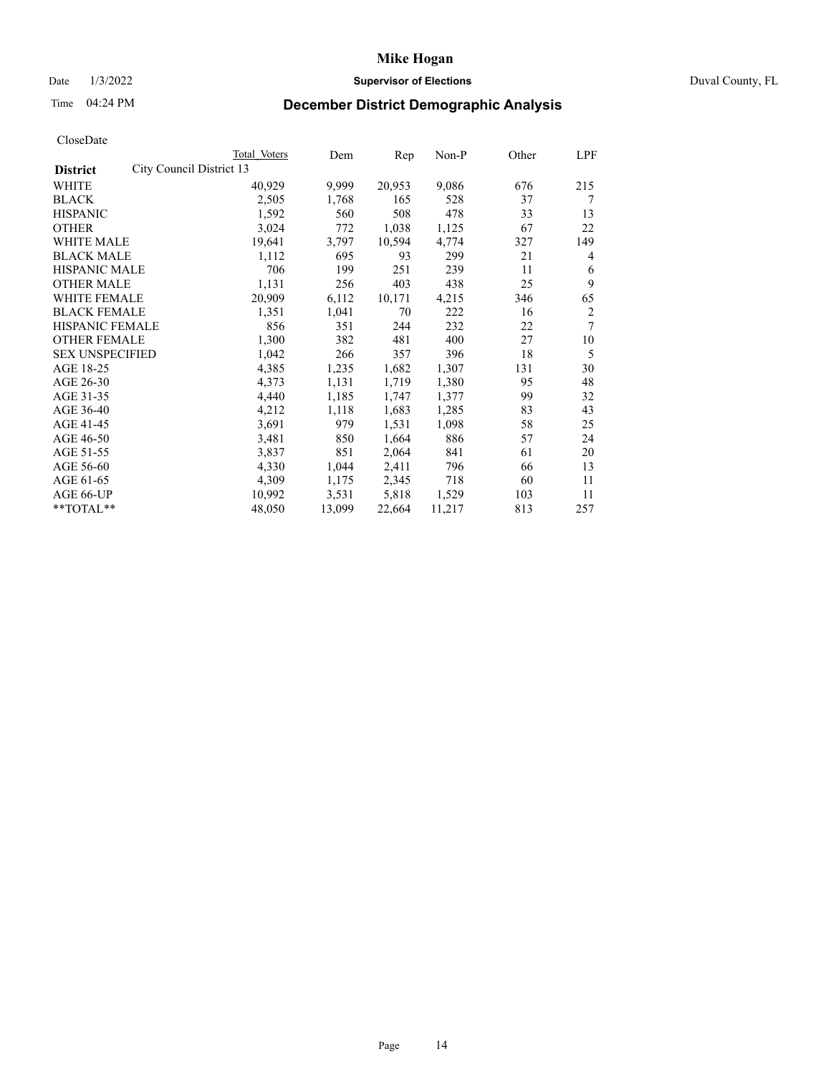## Date 1/3/2022 **Supervisor of Elections** Duval County, FL

# Time 04:24 PM **December District Demographic Analysis**

|                        |                          | Total Voters | Dem    | Rep    | Non-P  | Other | LPF            |
|------------------------|--------------------------|--------------|--------|--------|--------|-------|----------------|
| <b>District</b>        | City Council District 13 |              |        |        |        |       |                |
| WHITE                  |                          | 40,929       | 9,999  | 20,953 | 9,086  | 676   | 215            |
| <b>BLACK</b>           |                          | 2,505        | 1,768  | 165    | 528    | 37    | 7              |
| <b>HISPANIC</b>        |                          | 1,592        | 560    | 508    | 478    | 33    | 13             |
| <b>OTHER</b>           |                          | 3,024        | 772    | 1,038  | 1,125  | 67    | 22             |
| WHITE MALE             |                          | 19,641       | 3,797  | 10,594 | 4,774  | 327   | 149            |
| <b>BLACK MALE</b>      |                          | 1,112        | 695    | 93     | 299    | 21    | 4              |
| <b>HISPANIC MALE</b>   |                          | 706          | 199    | 251    | 239    | 11    | 6              |
| <b>OTHER MALE</b>      |                          | 1,131        | 256    | 403    | 438    | 25    | 9              |
| WHITE FEMALE           |                          | 20,909       | 6,112  | 10,171 | 4,215  | 346   | 65             |
| <b>BLACK FEMALE</b>    |                          | 1,351        | 1,041  | 70     | 222    | 16    | $\overline{c}$ |
| HISPANIC FEMALE        |                          | 856          | 351    | 244    | 232    | 22    | 7              |
| <b>OTHER FEMALE</b>    |                          | 1,300        | 382    | 481    | 400    | 27    | 10             |
| <b>SEX UNSPECIFIED</b> |                          | 1,042        | 266    | 357    | 396    | 18    | 5              |
| AGE 18-25              |                          | 4,385        | 1,235  | 1,682  | 1,307  | 131   | 30             |
| AGE 26-30              |                          | 4,373        | 1,131  | 1,719  | 1,380  | 95    | 48             |
| AGE 31-35              |                          | 4,440        | 1,185  | 1,747  | 1,377  | 99    | 32             |
| AGE 36-40              |                          | 4,212        | 1,118  | 1,683  | 1,285  | 83    | 43             |
| AGE 41-45              |                          | 3,691        | 979    | 1,531  | 1,098  | 58    | 25             |
| AGE 46-50              |                          | 3,481        | 850    | 1,664  | 886    | 57    | 24             |
| AGE 51-55              |                          | 3,837        | 851    | 2,064  | 841    | 61    | 20             |
| AGE 56-60              |                          | 4,330        | 1,044  | 2,411  | 796    | 66    | 13             |
| AGE 61-65              |                          | 4,309        | 1,175  | 2,345  | 718    | 60    | 11             |
| AGE 66-UP              |                          | 10,992       | 3,531  | 5,818  | 1,529  | 103   | 11             |
| **TOTAL**              |                          | 48,050       | 13,099 | 22,664 | 11,217 | 813   | 257            |
|                        |                          |              |        |        |        |       |                |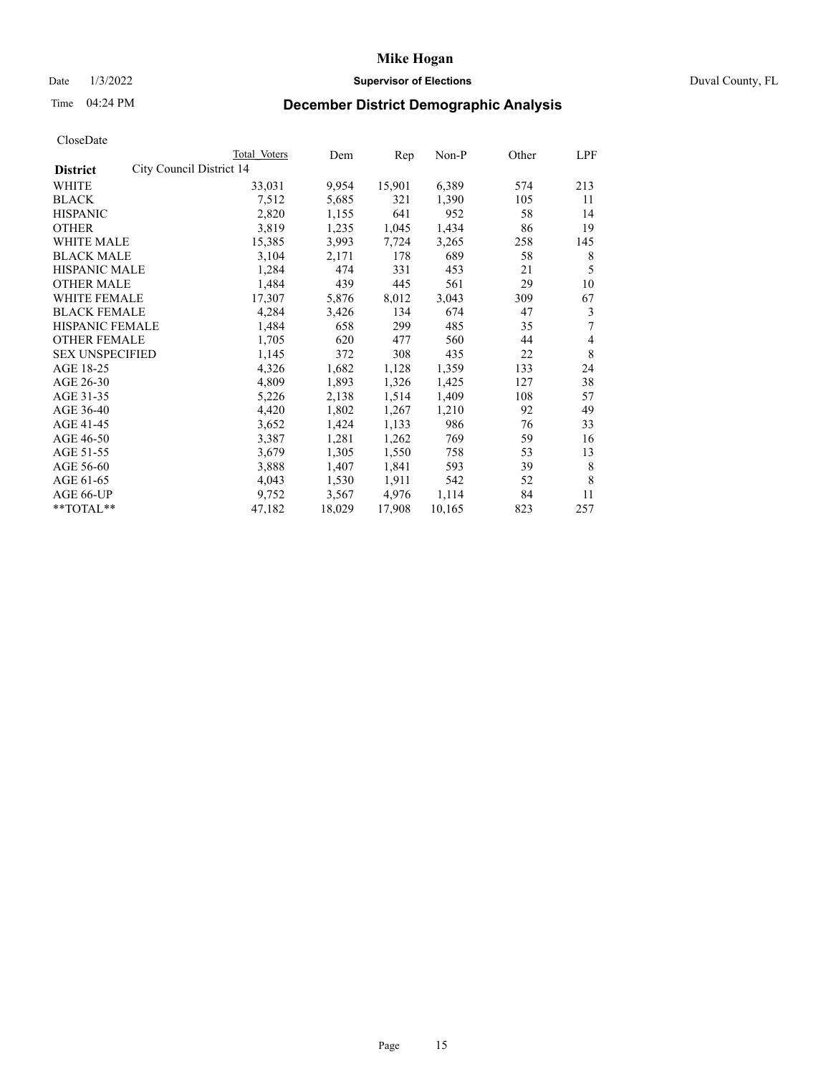## Date 1/3/2022 **Supervisor of Elections** Duval County, FL

# Time 04:24 PM **December District Demographic Analysis**

|                                             | Total Voters | Dem    | Rep    | Non-P  | Other | LPF |
|---------------------------------------------|--------------|--------|--------|--------|-------|-----|
| City Council District 14<br><b>District</b> |              |        |        |        |       |     |
| WHITE                                       | 33,031       | 9,954  | 15,901 | 6,389  | 574   | 213 |
| <b>BLACK</b>                                | 7,512        | 5,685  | 321    | 1,390  | 105   | 11  |
| <b>HISPANIC</b>                             | 2,820        | 1,155  | 641    | 952    | 58    | 14  |
| <b>OTHER</b>                                | 3,819        | 1,235  | 1,045  | 1,434  | 86    | 19  |
| WHITE MALE                                  | 15,385       | 3,993  | 7,724  | 3,265  | 258   | 145 |
| <b>BLACK MALE</b>                           | 3,104        | 2,171  | 178    | 689    | 58    | 8   |
| <b>HISPANIC MALE</b>                        | 1,284        | 474    | 331    | 453    | 21    | 5   |
| <b>OTHER MALE</b>                           | 1,484        | 439    | 445    | 561    | 29    | 10  |
| WHITE FEMALE                                | 17,307       | 5,876  | 8,012  | 3,043  | 309   | 67  |
| <b>BLACK FEMALE</b>                         | 4,284        | 3,426  | 134    | 674    | 47    | 3   |
| HISPANIC FEMALE                             | 1,484        | 658    | 299    | 485    | 35    | 7   |
| <b>OTHER FEMALE</b>                         | 1,705        | 620    | 477    | 560    | 44    | 4   |
| <b>SEX UNSPECIFIED</b>                      | 1,145        | 372    | 308    | 435    | 22    | 8   |
| AGE 18-25                                   | 4,326        | 1,682  | 1,128  | 1,359  | 133   | 24  |
| AGE 26-30                                   | 4,809        | 1,893  | 1,326  | 1,425  | 127   | 38  |
| AGE 31-35                                   | 5,226        | 2,138  | 1,514  | 1,409  | 108   | 57  |
| AGE 36-40                                   | 4,420        | 1,802  | 1,267  | 1,210  | 92    | 49  |
| AGE 41-45                                   | 3,652        | 1,424  | 1,133  | 986    | 76    | 33  |
| AGE 46-50                                   | 3,387        | 1,281  | 1,262  | 769    | 59    | 16  |
| AGE 51-55                                   | 3,679        | 1,305  | 1,550  | 758    | 53    | 13  |
| AGE 56-60                                   | 3,888        | 1,407  | 1,841  | 593    | 39    | 8   |
| AGE 61-65                                   | 4,043        | 1,530  | 1,911  | 542    | 52    | 8   |
| AGE 66-UP                                   | 9,752        | 3,567  | 4,976  | 1,114  | 84    | 11  |
| **TOTAL**                                   | 47,182       | 18,029 | 17,908 | 10,165 | 823   | 257 |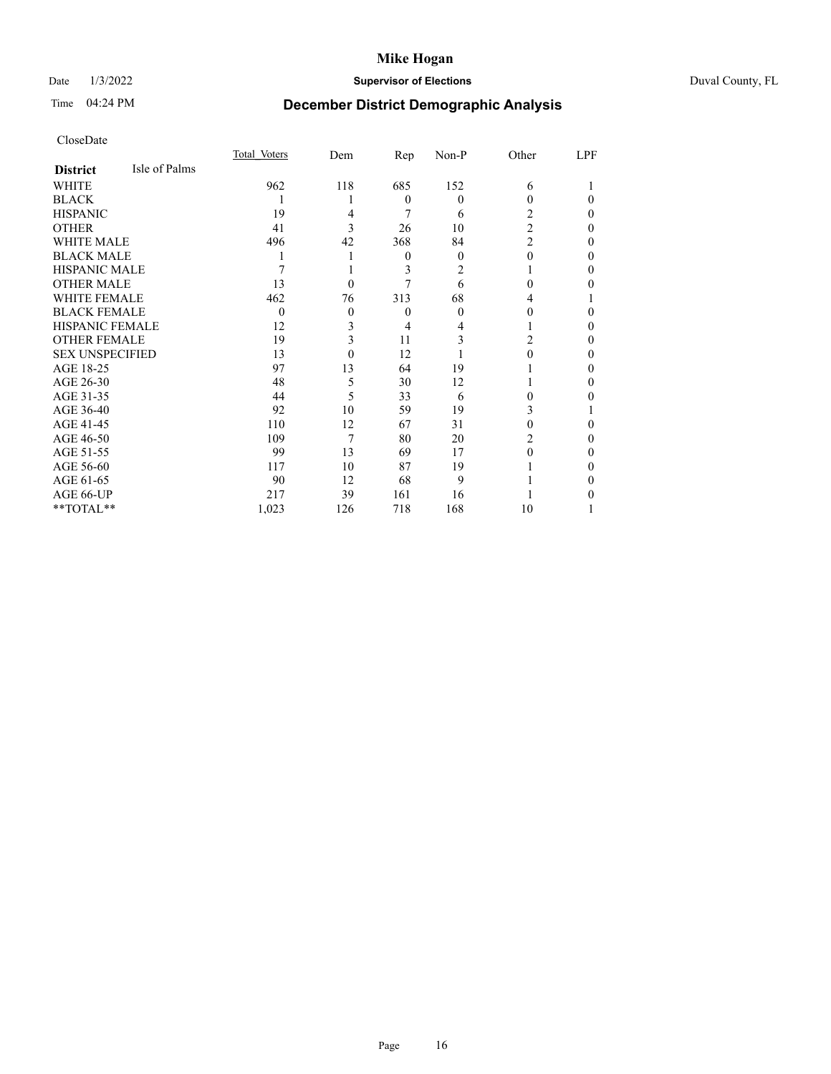# Date 1/3/2022 **Supervisor of Elections** Duval County, FL

# Time 04:24 PM **December District Demographic Analysis**

|                        |               | Total Voters | Dem      | Rep      | $Non-P$ | Other          | LPF |
|------------------------|---------------|--------------|----------|----------|---------|----------------|-----|
| <b>District</b>        | Isle of Palms |              |          |          |         |                |     |
| WHITE                  |               | 962          | 118      | 685      | 152     | 6              |     |
| <b>BLACK</b>           |               |              |          | $\theta$ | 0       | 0              | 0   |
| <b>HISPANIC</b>        |               | 19           | 4        | 7        | 6       | 2              | 0   |
| <b>OTHER</b>           |               | 41           | 3        | 26       | 10      | $\overline{2}$ | 0   |
| WHITE MALE             |               | 496          | 42       | 368      | 84      | $\overline{2}$ | 0   |
| <b>BLACK MALE</b>      |               |              |          | $\theta$ | 0       | 0              | 0   |
| <b>HISPANIC MALE</b>   |               |              |          | 3        | 2       |                | 0   |
| <b>OTHER MALE</b>      |               | 13           | $\theta$ |          | 6       | 0              | 0   |
| <b>WHITE FEMALE</b>    |               | 462          | 76       | 313      | 68      | 4              |     |
| <b>BLACK FEMALE</b>    |               | $\theta$     | $\theta$ | $\theta$ | 0       | 0              | 0   |
| <b>HISPANIC FEMALE</b> |               | 12           | 3        | 4        |         |                | 0   |
| <b>OTHER FEMALE</b>    |               | 19           | 3        | 11       | 3       | 2              | 0   |
| <b>SEX UNSPECIFIED</b> |               | 13           | $\Omega$ | 12       |         | 0              | 0   |
| AGE 18-25              |               | 97           | 13       | 64       | 19      |                | 0   |
| AGE 26-30              |               | 48           | 5        | 30       | 12      |                | 0   |
| AGE 31-35              |               | 44           | 5        | 33       | 6       | 0              | 0   |
| AGE 36-40              |               | 92           | 10       | 59       | 19      | 3              |     |
| AGE 41-45              |               | 110          | 12       | 67       | 31      | 0              | 0   |
| AGE 46-50              |               | 109          | 7        | 80       | 20      | 2              | 0   |
| AGE 51-55              |               | 99           | 13       | 69       | 17      | 0              | 0   |
| AGE 56-60              |               | 117          | 10       | 87       | 19      |                | 0   |
| AGE 61-65              |               | 90           | 12       | 68       | 9       |                | 0   |
| AGE 66-UP              |               | 217          | 39       | 161      | 16      |                |     |
| **TOTAL**              |               | 1,023        | 126      | 718      | 168     | 10             |     |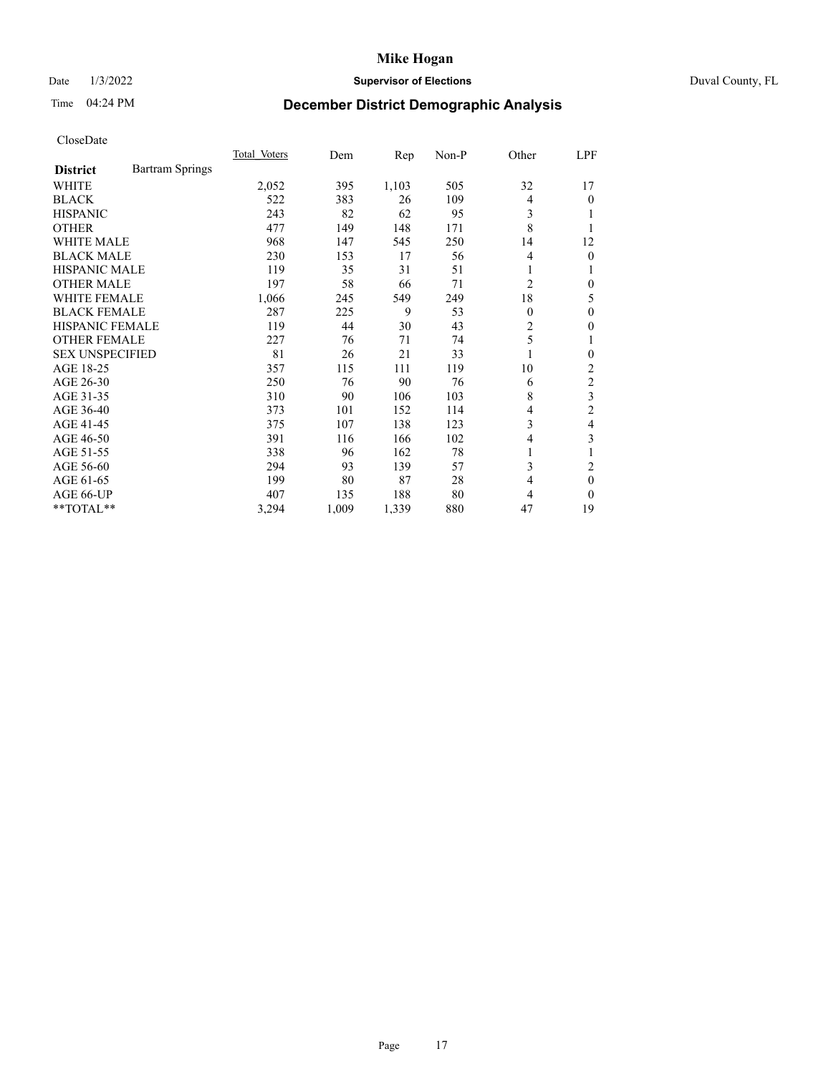## Date 1/3/2022 **Supervisor of Elections** Duval County, FL

# Time 04:24 PM **December District Demographic Analysis**

|                                           | Total Voters | Dem   | Rep   | $Non-P$ | Other          | LPF            |
|-------------------------------------------|--------------|-------|-------|---------|----------------|----------------|
| <b>Bartram Springs</b><br><b>District</b> |              |       |       |         |                |                |
| <b>WHITE</b>                              | 2,052        | 395   | 1,103 | 505     | 32             | 17             |
| <b>BLACK</b>                              | 522          | 383   | 26    | 109     | $\overline{4}$ | 0              |
| <b>HISPANIC</b>                           | 243          | 82    | 62    | 95      | 3              |                |
| <b>OTHER</b>                              | 477          | 149   | 148   | 171     | 8              |                |
| <b>WHITE MALE</b>                         | 968          | 147   | 545   | 250     | 14             | 12             |
| <b>BLACK MALE</b>                         | 230          | 153   | 17    | 56      | 4              | 0              |
| <b>HISPANIC MALE</b>                      | 119          | 35    | 31    | 51      | 1              |                |
| <b>OTHER MALE</b>                         | 197          | 58    | 66    | 71      | 2              | 0              |
| <b>WHITE FEMALE</b>                       | 1,066        | 245   | 549   | 249     | 18             | 5              |
| <b>BLACK FEMALE</b>                       | 287          | 225   | 9     | 53      | $\theta$       | 0              |
| HISPANIC FEMALE                           | 119          | 44    | 30    | 43      | 2              | 0              |
| <b>OTHER FEMALE</b>                       | 227          | 76    | 71    | 74      | 5              | 1              |
| <b>SEX UNSPECIFIED</b>                    | 81           | 26    | 21    | 33      | $\mathbf{1}$   | 0              |
| AGE 18-25                                 | 357          | 115   | 111   | 119     | 10             | 2              |
| AGE 26-30                                 | 250          | 76    | 90    | 76      | 6              | $\overline{c}$ |
| AGE 31-35                                 | 310          | 90    | 106   | 103     | 8              | 3              |
| AGE 36-40                                 | 373          | 101   | 152   | 114     | 4              | $\overline{2}$ |
| AGE 41-45                                 | 375          | 107   | 138   | 123     | 3              | 4              |
| AGE 46-50                                 | 391          | 116   | 166   | 102     | 4              | 3              |
| AGE 51-55                                 | 338          | 96    | 162   | 78      | 1              |                |
| AGE 56-60                                 | 294          | 93    | 139   | 57      | 3              | 2              |
| AGE 61-65                                 | 199          | 80    | 87    | 28      | 4              | $\theta$       |
| AGE 66-UP                                 | 407          | 135   | 188   | 80      | 4              | $\Omega$       |
| **TOTAL**                                 | 3,294        | 1,009 | 1,339 | 880     | 47             | 19             |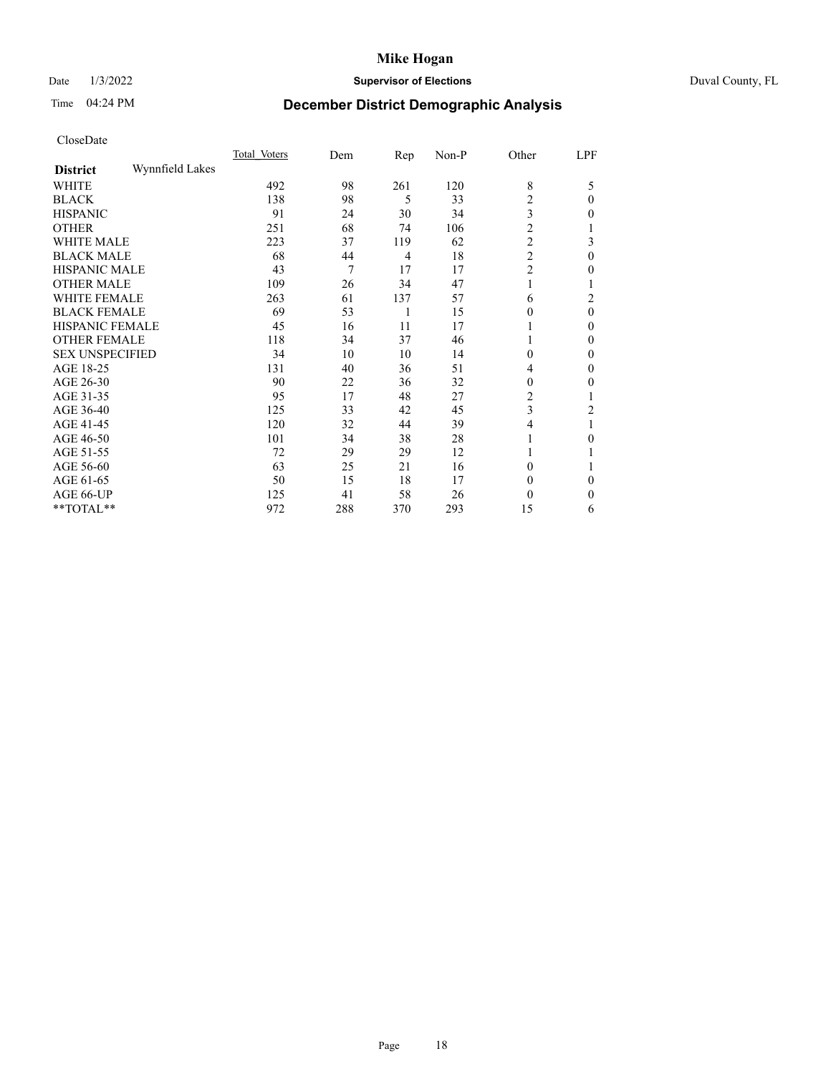# Date 1/3/2022 **Supervisor of Elections** Duval County, FL

# Time 04:24 PM **December District Demographic Analysis**

|                        |                 | Total Voters | Dem | $\mathbf{Rep}$ | Non-P | Other            | LPF            |
|------------------------|-----------------|--------------|-----|----------------|-------|------------------|----------------|
| <b>District</b>        | Wynnfield Lakes |              |     |                |       |                  |                |
| WHITE                  |                 | 492          | 98  | 261            | 120   | 8                | 5              |
| <b>BLACK</b>           |                 | 138          | 98  | 5              | 33    | 2                | $\theta$       |
| <b>HISPANIC</b>        |                 | 91           | 24  | 30             | 34    | 3                | $\theta$       |
| <b>OTHER</b>           |                 | 251          | 68  | 74             | 106   | $\overline{2}$   |                |
| WHITE MALE             |                 | 223          | 37  | 119            | 62    | $\overline{c}$   | 3              |
| <b>BLACK MALE</b>      |                 | 68           | 44  | 4              | 18    | $\overline{c}$   | $\theta$       |
| <b>HISPANIC MALE</b>   |                 | 43           | 7   | 17             | 17    | $\overline{2}$   | 0              |
| <b>OTHER MALE</b>      |                 | 109          | 26  | 34             | 47    | 1                |                |
| <b>WHITE FEMALE</b>    |                 | 263          | 61  | 137            | 57    | 6                | $\overline{c}$ |
| <b>BLACK FEMALE</b>    |                 | 69           | 53  | 1              | 15    | 0                | $\theta$       |
| <b>HISPANIC FEMALE</b> |                 | 45           | 16  | 11             | 17    |                  | $\Omega$       |
| <b>OTHER FEMALE</b>    |                 | 118          | 34  | 37             | 46    |                  | $\Omega$       |
| <b>SEX UNSPECIFIED</b> |                 | 34           | 10  | 10             | 14    | $\boldsymbol{0}$ | $\theta$       |
| AGE 18-25              |                 | 131          | 40  | 36             | 51    | 4                | $\theta$       |
| AGE 26-30              |                 | 90           | 22  | 36             | 32    | 0                | $\mathbf{0}$   |
| AGE 31-35              |                 | 95           | 17  | 48             | 27    | 2                |                |
| AGE 36-40              |                 | 125          | 33  | 42             | 45    | 3                | 2              |
| AGE 41-45              |                 | 120          | 32  | 44             | 39    | 4                |                |
| AGE 46-50              |                 | 101          | 34  | 38             | 28    | 1                | $\theta$       |
| AGE 51-55              |                 | 72           | 29  | 29             | 12    |                  |                |
| AGE 56-60              |                 | 63           | 25  | 21             | 16    | 0                |                |
| AGE 61-65              |                 | 50           | 15  | 18             | 17    | 0                | $\Omega$       |
| AGE 66-UP              |                 | 125          | 41  | 58             | 26    | 0                | 0              |
| **TOTAL**              |                 | 972          | 288 | 370            | 293   | 15               | 6              |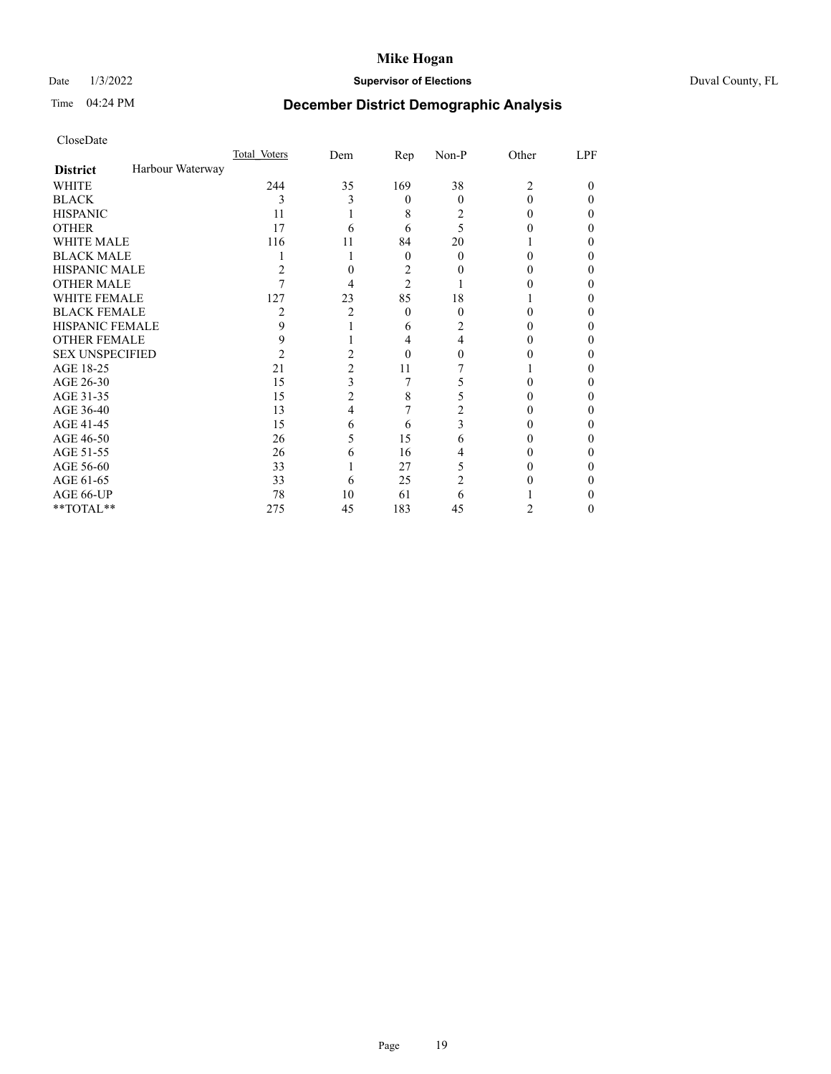# Date 1/3/2022 **Supervisor of Elections** Duval County, FL

# Time 04:24 PM **December District Demographic Analysis**

|                        |                  | Total Voters | Dem | Rep            | Non-P | Other          | LPF |
|------------------------|------------------|--------------|-----|----------------|-------|----------------|-----|
| <b>District</b>        | Harbour Waterway |              |     |                |       |                |     |
| WHITE                  |                  | 244          | 35  | 169            | 38    | $\mathfrak{D}$ | 0   |
| <b>BLACK</b>           |                  | 3            | 3   | 0              | 0     | 0              |     |
| HISPANIC               |                  | 11           |     | 8              | 2     |                |     |
| <b>OTHER</b>           |                  | 17           | 6   | 6              | 5     |                |     |
| WHITE MALE             |                  | 116          | 11  | 84             | 20    |                |     |
| BLACK MALE             |                  |              |     | $\theta$       | 0     |                |     |
| HISPANIC MALE          |                  | 2            | 0   | 2              |       |                |     |
| OTHER MALE             |                  |              | 4   | $\overline{c}$ |       |                |     |
| WHITE FEMALE           |                  | 127          | 23  | 85             | 18    |                |     |
| BLACK FEMALE           |                  | 2            | 2   | 0              | 0     |                |     |
| HISPANIC FEMALE        |                  | 9            |     | 6              |       |                |     |
| OTHER FEMALE           |                  | 9            |     | 4              | 4     |                |     |
| <b>SEX UNSPECIFIED</b> |                  | 2            | 2   | 0              |       |                |     |
| AGE 18-25              |                  | 21           | 2   | 11             |       |                |     |
| AGE 26-30              |                  | 15           | 3   | 7              |       |                |     |
| AGE 31-35              |                  | 15           | 2   | 8              |       |                |     |
| AGE 36-40              |                  | 13           | 4   |                |       |                | 0   |
| AGE 41-45              |                  | 15           | 6   | 6              |       |                |     |
| AGE 46-50              |                  | 26           | 5   | 15             | 6     |                | 0   |
| AGE 51-55              |                  | 26           | 6   | 16             |       |                |     |
| AGE 56-60              |                  | 33           |     | 27             | 5     |                |     |
| AGE 61-65              |                  | 33           | 6   | 25             |       |                |     |
| AGE 66-UP              |                  | 78           | 10  | 61             | 6     |                |     |
| $*$ TOTAL $**$         |                  | 275          | 45  | 183            | 45    | 2              | 0   |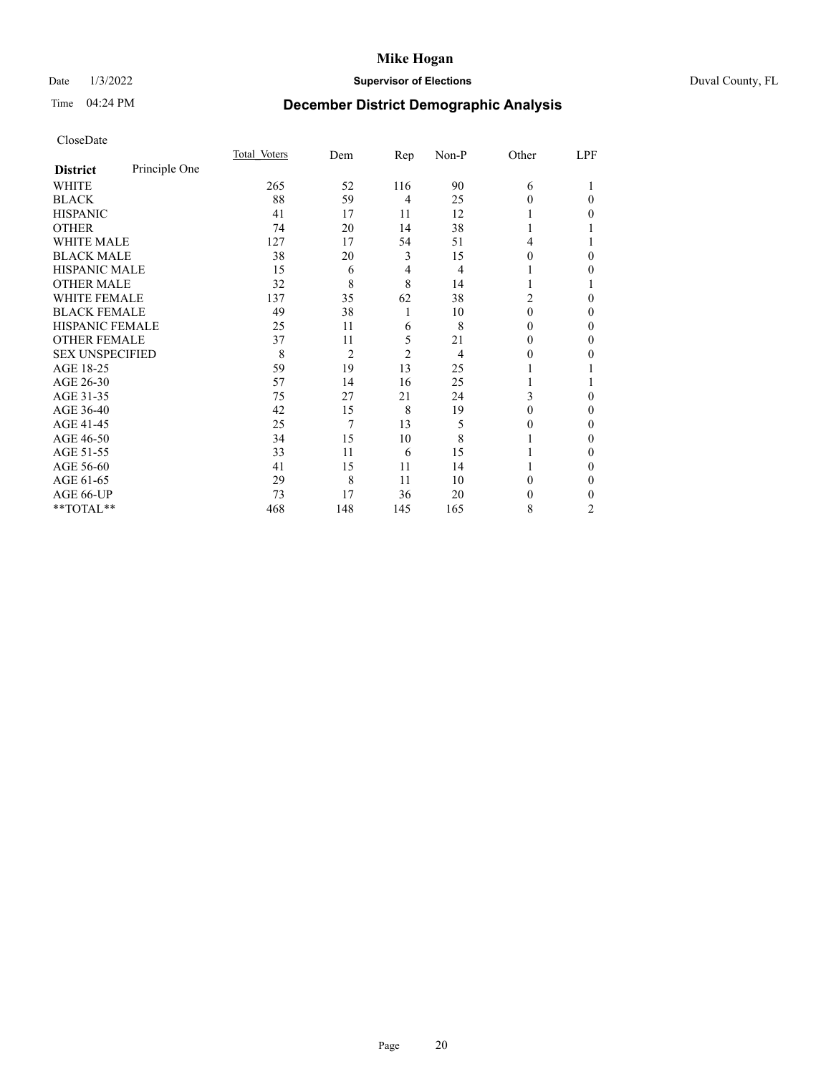# Date 1/3/2022 **Supervisor of Elections** Duval County, FL

# Time 04:24 PM **December District Demographic Analysis**

|                        |               | Total Voters | Dem            | Rep            | Non-P | Other    | LPF |
|------------------------|---------------|--------------|----------------|----------------|-------|----------|-----|
| <b>District</b>        | Principle One |              |                |                |       |          |     |
| WHITE                  |               | 265          | 52             | 116            | 90    | 6        |     |
| <b>BLACK</b>           |               | 88           | 59             | $\overline{4}$ | 25    | 0        | 0   |
| <b>HISPANIC</b>        |               | 41           | 17             | 11             | 12    |          | 0   |
| <b>OTHER</b>           |               | 74           | 20             | 14             | 38    |          |     |
| <b>WHITE MALE</b>      |               | 127          | 17             | 54             | 51    | 4        |     |
| <b>BLACK MALE</b>      |               | 38           | 20             | 3              | 15    | 0        | 0   |
| <b>HISPANIC MALE</b>   |               | 15           | 6              | 4              | 4     |          | 0   |
| <b>OTHER MALE</b>      |               | 32           | 8              | 8              | 14    |          |     |
| <b>WHITE FEMALE</b>    |               | 137          | 35             | 62             | 38    | 2        | 0   |
| <b>BLACK FEMALE</b>    |               | 49           | 38             | 1              | 10    | $\Omega$ | 0   |
| <b>HISPANIC FEMALE</b> |               | 25           | 11             | 6              | 8     | $\Omega$ | 0   |
| <b>OTHER FEMALE</b>    |               | 37           | 11             | 5              | 21    | $\theta$ | 0   |
| <b>SEX UNSPECIFIED</b> |               | 8            | $\overline{2}$ | $\overline{2}$ | 4     | $\theta$ | 0   |
| AGE 18-25              |               | 59           | 19             | 13             | 25    |          |     |
| AGE 26-30              |               | 57           | 14             | 16             | 25    |          |     |
| AGE 31-35              |               | 75           | 27             | 21             | 24    | 3        | 0   |
| AGE 36-40              |               | 42           | 15             | 8              | 19    | 0        | 0   |
| AGE 41-45              |               | 25           | 7              | 13             | 5     | $_{0}$   | 0   |
| AGE 46-50              |               | 34           | 15             | 10             | 8     |          | 0   |
| AGE 51-55              |               | 33           | 11             | 6              | 15    |          | 0   |
| AGE 56-60              |               | 41           | 15             | 11             | 14    |          | 0   |
| AGE 61-65              |               | 29           | 8              | 11             | 10    | 0        | 0   |
| AGE 66-UP              |               | 73           | 17             | 36             | 20    | $_{0}$   | 0   |
| **TOTAL**              |               | 468          | 148            | 145            | 165   | 8        | 2   |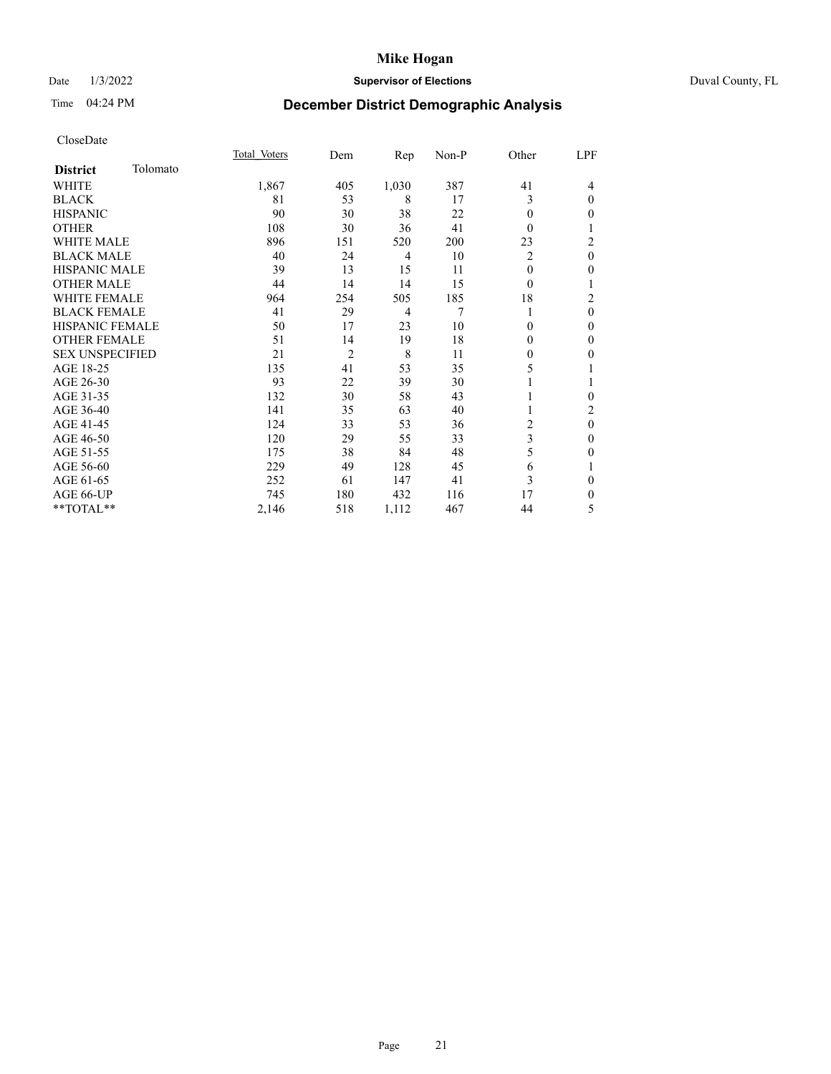## Date 1/3/2022 **Supervisor of Elections** Duval County, FL

# Time 04:24 PM **December District Demographic Analysis**

|                        |          | Total Voters | Dem            | Rep            | Non-P | Other          | LPF            |
|------------------------|----------|--------------|----------------|----------------|-------|----------------|----------------|
| <b>District</b>        | Tolomato |              |                |                |       |                |                |
| WHITE                  |          | 1,867        | 405            | 1,030          | 387   | 41             | 4              |
| <b>BLACK</b>           |          | 81           | 53             | 8              | 17    | 3              | $\theta$       |
| <b>HISPANIC</b>        |          | 90           | 30             | 38             | 22    | $\theta$       | $\mathbf{0}$   |
| <b>OTHER</b>           |          | 108          | 30             | 36             | 41    | $\Omega$       | 1              |
| WHITE MALE             |          | 896          | 151            | 520            | 200   | 23             | $\overline{c}$ |
| <b>BLACK MALE</b>      |          | 40           | 24             | 4              | 10    | 2              | $\mathbf{0}$   |
| <b>HISPANIC MALE</b>   |          | 39           | 13             | 15             | 11    | 0              | $\mathbf{0}$   |
| <b>OTHER MALE</b>      |          | 44           | 14             | 14             | 15    | $\theta$       | 1              |
| <b>WHITE FEMALE</b>    |          | 964          | 254            | 505            | 185   | 18             | $\overline{c}$ |
| <b>BLACK FEMALE</b>    |          | 41           | 29             | $\overline{4}$ | 7     | 1              | $\theta$       |
| <b>HISPANIC FEMALE</b> |          | 50           | 17             | 23             | 10    | 0              | $\theta$       |
| <b>OTHER FEMALE</b>    |          | 51           | 14             | 19             | 18    | 0              | $\mathbf{0}$   |
| <b>SEX UNSPECIFIED</b> |          | 21           | $\overline{2}$ | 8              | 11    | 0              | $\mathbf{0}$   |
| AGE 18-25              |          | 135          | 41             | 53             | 35    | 5              | 1              |
| AGE 26-30              |          | 93           | 22             | 39             | 30    |                | 1              |
| AGE 31-35              |          | 132          | 30             | 58             | 43    |                | $\theta$       |
| AGE 36-40              |          | 141          | 35             | 63             | 40    |                | 2              |
| AGE 41-45              |          | 124          | 33             | 53             | 36    | $\overline{c}$ | $\mathbf{0}$   |
| AGE 46-50              |          | 120          | 29             | 55             | 33    | 3              | $\mathbf{0}$   |
| AGE 51-55              |          | 175          | 38             | 84             | 48    | 5              | $\mathbf{0}$   |
| AGE 56-60              |          | 229          | 49             | 128            | 45    | 6              | 1              |
| AGE 61-65              |          | 252          | 61             | 147            | 41    | 3              | $\mathbf{0}$   |
| AGE 66-UP              |          | 745          | 180            | 432            | 116   | 17             | $\mathbf{0}$   |
| **TOTAL**              |          | 2,146        | 518            | 1,112          | 467   | 44             | 5              |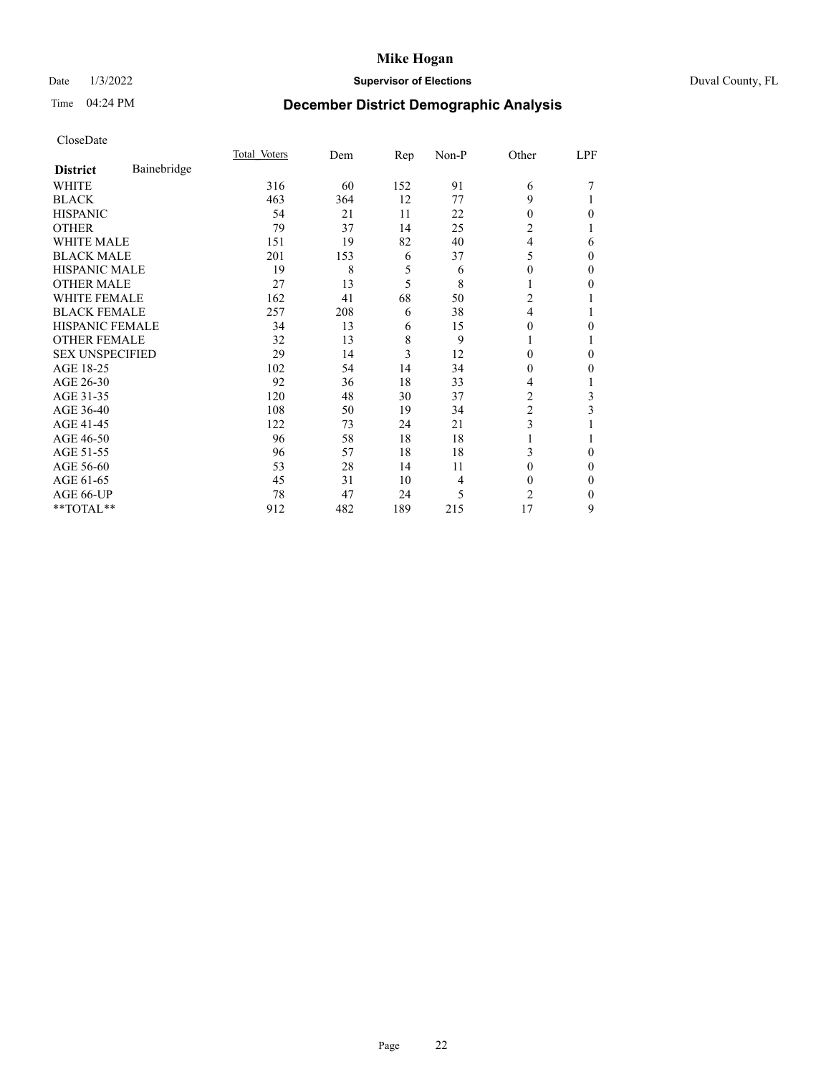# Date 1/3/2022 **Supervisor of Elections** Duval County, FL

# Time 04:24 PM **December District Demographic Analysis**

|                        |             | Total Voters | Dem | Rep | Non-P | Other          | LPF |
|------------------------|-------------|--------------|-----|-----|-------|----------------|-----|
| <b>District</b>        | Bainebridge |              |     |     |       |                |     |
| WHITE                  |             | 316          | 60  | 152 | 91    | 6              |     |
| <b>BLACK</b>           |             | 463          | 364 | 12  | 77    | 9              |     |
| <b>HISPANIC</b>        |             | 54           | 21  | 11  | 22    | $\Omega$       | 0   |
| <b>OTHER</b>           |             | 79           | 37  | 14  | 25    | 2              |     |
| <b>WHITE MALE</b>      |             | 151          | 19  | 82  | 40    | 4              | 6   |
| <b>BLACK MALE</b>      |             | 201          | 153 | 6   | 37    | 5              | 0   |
| <b>HISPANIC MALE</b>   |             | 19           | 8   | 5   | 6     | 0              | 0   |
| <b>OTHER MALE</b>      |             | 27           | 13  | 5   | 8     | 1              | 0   |
| <b>WHITE FEMALE</b>    |             | 162          | 41  | 68  | 50    | 2              |     |
| <b>BLACK FEMALE</b>    |             | 257          | 208 | 6   | 38    | 4              |     |
| <b>HISPANIC FEMALE</b> |             | 34           | 13  | 6   | 15    | 0              | 0   |
| <b>OTHER FEMALE</b>    |             | 32           | 13  | 8   | 9     | 1              |     |
| <b>SEX UNSPECIFIED</b> |             | 29           | 14  | 3   | 12    | 0              | 0   |
| AGE 18-25              |             | 102          | 54  | 14  | 34    | 0              | 0   |
| AGE 26-30              |             | 92           | 36  | 18  | 33    | 4              |     |
| AGE 31-35              |             | 120          | 48  | 30  | 37    | 2              | 3   |
| AGE 36-40              |             | 108          | 50  | 19  | 34    | 2              | 3   |
| AGE 41-45              |             | 122          | 73  | 24  | 21    | 3              |     |
| AGE 46-50              |             | 96           | 58  | 18  | 18    | 1              |     |
| AGE 51-55              |             | 96           | 57  | 18  | 18    | 3              | 0   |
| AGE 56-60              |             | 53           | 28  | 14  | 11    | $\Omega$       | 0   |
| AGE 61-65              |             | 45           | 31  | 10  | 4     | $\Omega$       | 0   |
| AGE 66-UP              |             | 78           | 47  | 24  | 5     | $\overline{c}$ | 0   |
| **TOTAL**              |             | 912          | 482 | 189 | 215   | 17             | 9   |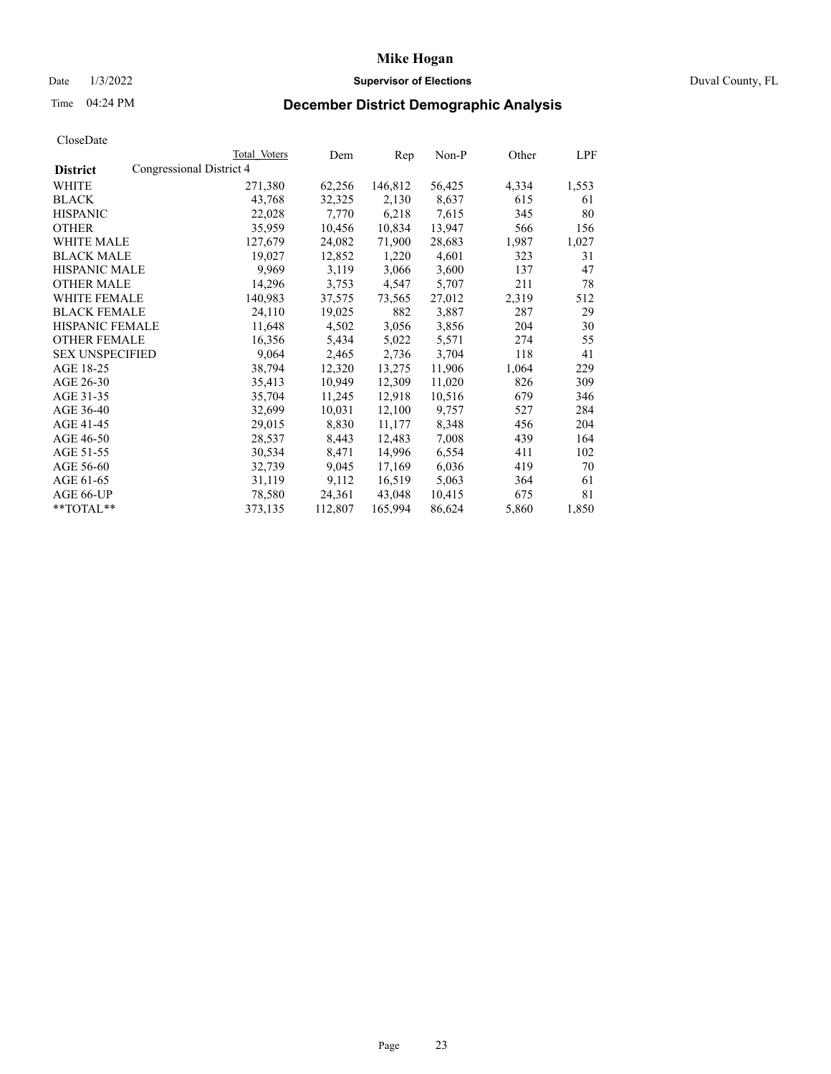# Date 1/3/2022 **Supervisor of Elections** Duval County, FL

# Time 04:24 PM **December District Demographic Analysis**

|                        | Total Voters             | Dem     | Rep     | Non-P  | Other | LPF   |
|------------------------|--------------------------|---------|---------|--------|-------|-------|
| <b>District</b>        | Congressional District 4 |         |         |        |       |       |
| WHITE                  | 271,380                  | 62,256  | 146,812 | 56,425 | 4,334 | 1,553 |
| <b>BLACK</b>           | 43,768                   | 32,325  | 2,130   | 8,637  | 615   | 61    |
| <b>HISPANIC</b>        | 22,028                   | 7,770   | 6,218   | 7,615  | 345   | 80    |
| <b>OTHER</b>           | 35,959                   | 10,456  | 10,834  | 13,947 | 566   | 156   |
| WHITE MALE             | 127,679                  | 24,082  | 71,900  | 28,683 | 1,987 | 1,027 |
| <b>BLACK MALE</b>      | 19,027                   | 12,852  | 1,220   | 4,601  | 323   | 31    |
| <b>HISPANIC MALE</b>   | 9,969                    | 3,119   | 3,066   | 3,600  | 137   | 47    |
| <b>OTHER MALE</b>      | 14,296                   | 3,753   | 4,547   | 5,707  | 211   | 78    |
| <b>WHITE FEMALE</b>    | 140,983                  | 37,575  | 73,565  | 27,012 | 2,319 | 512   |
| <b>BLACK FEMALE</b>    | 24,110                   | 19,025  | 882     | 3,887  | 287   | 29    |
| <b>HISPANIC FEMALE</b> | 11,648                   | 4,502   | 3,056   | 3,856  | 204   | 30    |
| <b>OTHER FEMALE</b>    | 16,356                   | 5,434   | 5,022   | 5,571  | 274   | 55    |
| <b>SEX UNSPECIFIED</b> | 9,064                    | 2,465   | 2,736   | 3,704  | 118   | 41    |
| AGE 18-25              | 38,794                   | 12,320  | 13,275  | 11,906 | 1,064 | 229   |
| AGE 26-30              | 35,413                   | 10,949  | 12,309  | 11,020 | 826   | 309   |
| AGE 31-35              | 35,704                   | 11,245  | 12,918  | 10,516 | 679   | 346   |
| AGE 36-40              | 32,699                   | 10,031  | 12,100  | 9,757  | 527   | 284   |
| AGE 41-45              | 29,015                   | 8,830   | 11,177  | 8,348  | 456   | 204   |
| AGE 46-50              | 28,537                   | 8,443   | 12,483  | 7,008  | 439   | 164   |
| AGE 51-55              | 30,534                   | 8,471   | 14,996  | 6,554  | 411   | 102   |
| AGE 56-60              | 32,739                   | 9,045   | 17,169  | 6,036  | 419   | 70    |
| AGE 61-65              | 31,119                   | 9,112   | 16,519  | 5,063  | 364   | 61    |
| AGE 66-UP              | 78,580                   | 24,361  | 43,048  | 10,415 | 675   | 81    |
| $*$ TOTAL $*$          | 373,135                  | 112,807 | 165,994 | 86,624 | 5,860 | 1,850 |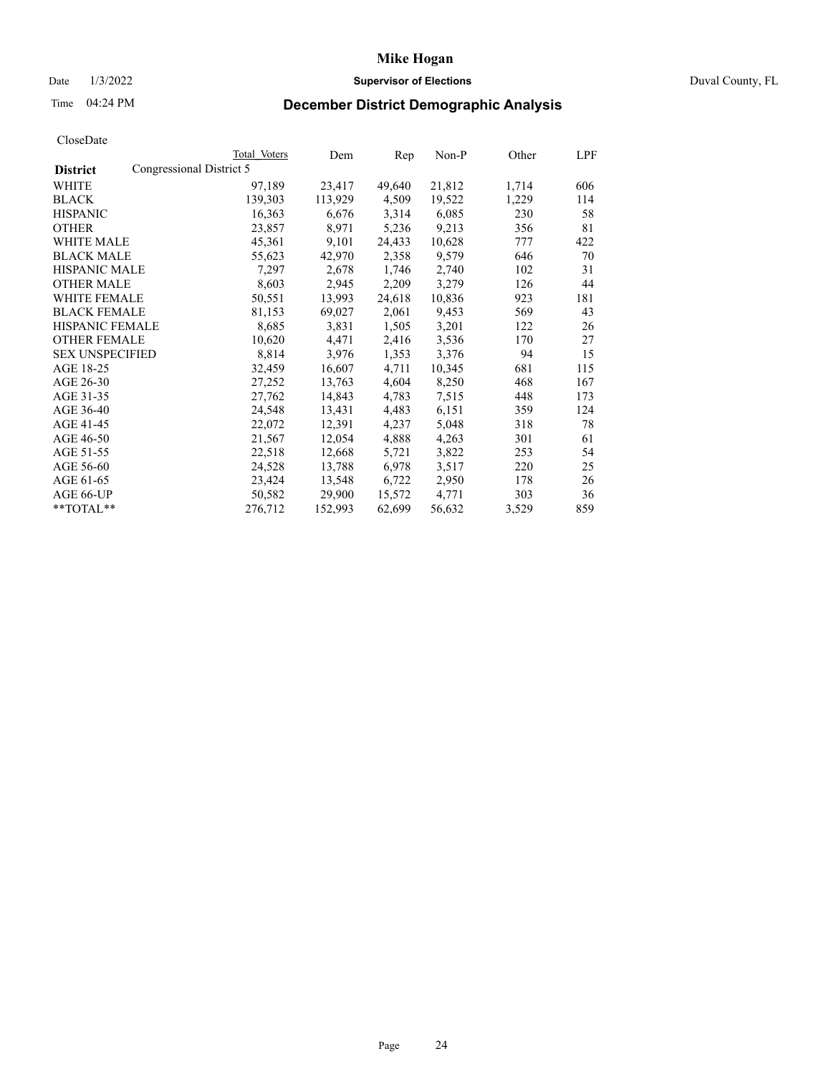# Date 1/3/2022 **Supervisor of Elections** Duval County, FL

# Time 04:24 PM **December District Demographic Analysis**

|                                             | Total Voters | Dem     | Rep    | Non-P  | Other | LPF |
|---------------------------------------------|--------------|---------|--------|--------|-------|-----|
| Congressional District 5<br><b>District</b> |              |         |        |        |       |     |
| <b>WHITE</b>                                | 97,189       | 23,417  | 49,640 | 21,812 | 1,714 | 606 |
| <b>BLACK</b>                                | 139,303      | 113,929 | 4,509  | 19,522 | 1,229 | 114 |
| <b>HISPANIC</b>                             | 16,363       | 6,676   | 3,314  | 6,085  | 230   | 58  |
| <b>OTHER</b>                                | 23,857       | 8,971   | 5,236  | 9,213  | 356   | 81  |
| WHITE MALE                                  | 45,361       | 9,101   | 24,433 | 10,628 | 777   | 422 |
| <b>BLACK MALE</b>                           | 55,623       | 42,970  | 2,358  | 9,579  | 646   | 70  |
| <b>HISPANIC MALE</b>                        | 7,297        | 2,678   | 1,746  | 2,740  | 102   | 31  |
| <b>OTHER MALE</b>                           | 8,603        | 2,945   | 2,209  | 3,279  | 126   | 44  |
| <b>WHITE FEMALE</b>                         | 50,551       | 13,993  | 24,618 | 10,836 | 923   | 181 |
| <b>BLACK FEMALE</b>                         | 81,153       | 69,027  | 2,061  | 9,453  | 569   | 43  |
| <b>HISPANIC FEMALE</b>                      | 8,685        | 3,831   | 1,505  | 3,201  | 122   | 26  |
| <b>OTHER FEMALE</b>                         | 10,620       | 4,471   | 2,416  | 3,536  | 170   | 27  |
| <b>SEX UNSPECIFIED</b>                      | 8,814        | 3,976   | 1,353  | 3,376  | 94    | 15  |
| AGE 18-25                                   | 32,459       | 16,607  | 4,711  | 10,345 | 681   | 115 |
| AGE 26-30                                   | 27,252       | 13,763  | 4,604  | 8,250  | 468   | 167 |
| AGE 31-35                                   | 27,762       | 14,843  | 4,783  | 7,515  | 448   | 173 |
| AGE 36-40                                   | 24,548       | 13,431  | 4,483  | 6,151  | 359   | 124 |
| AGE 41-45                                   | 22,072       | 12,391  | 4,237  | 5,048  | 318   | 78  |
| AGE 46-50                                   | 21,567       | 12,054  | 4,888  | 4,263  | 301   | 61  |
| AGE 51-55                                   | 22,518       | 12,668  | 5,721  | 3,822  | 253   | 54  |
| AGE 56-60                                   | 24,528       | 13,788  | 6,978  | 3,517  | 220   | 25  |
| AGE 61-65                                   | 23,424       | 13,548  | 6,722  | 2,950  | 178   | 26  |
| <b>AGE 66-UP</b>                            | 50,582       | 29,900  | 15,572 | 4,771  | 303   | 36  |
| $*$ $TOTAL**$                               | 276,712      | 152,993 | 62,699 | 56,632 | 3,529 | 859 |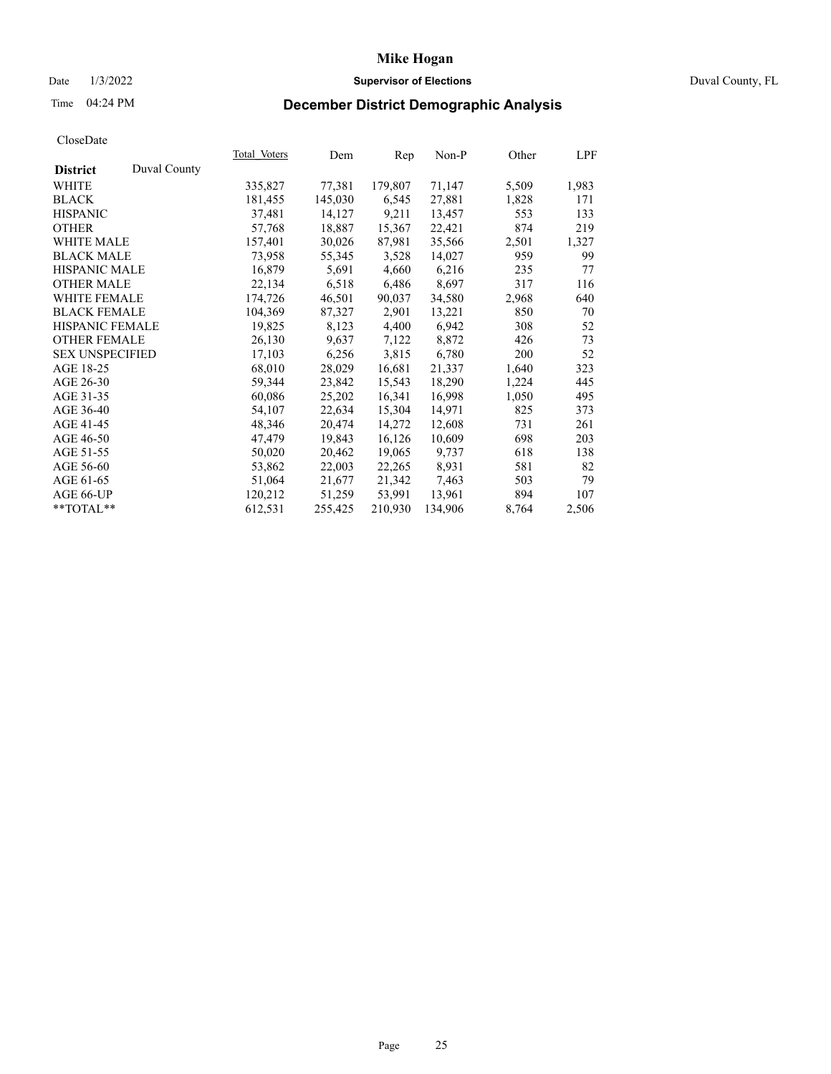# Date 1/3/2022 **Supervisor of Elections** Duval County, FL

# Time 04:24 PM **December District Demographic Analysis**

|                        |              | Total Voters | Dem     | Rep     | Non-P   | Other | LPF   |
|------------------------|--------------|--------------|---------|---------|---------|-------|-------|
| <b>District</b>        | Duval County |              |         |         |         |       |       |
| WHITE                  |              | 335,827      | 77,381  | 179,807 | 71,147  | 5,509 | 1,983 |
| <b>BLACK</b>           |              | 181,455      | 145,030 | 6,545   | 27,881  | 1,828 | 171   |
| <b>HISPANIC</b>        |              | 37,481       | 14,127  | 9,211   | 13,457  | 553   | 133   |
| <b>OTHER</b>           |              | 57,768       | 18,887  | 15,367  | 22,421  | 874   | 219   |
| WHITE MALE             |              | 157,401      | 30,026  | 87,981  | 35,566  | 2,501 | 1,327 |
| <b>BLACK MALE</b>      |              | 73,958       | 55,345  | 3,528   | 14,027  | 959   | 99    |
| <b>HISPANIC MALE</b>   |              | 16,879       | 5,691   | 4,660   | 6,216   | 235   | 77    |
| <b>OTHER MALE</b>      |              | 22,134       | 6,518   | 6,486   | 8,697   | 317   | 116   |
| <b>WHITE FEMALE</b>    |              | 174,726      | 46,501  | 90,037  | 34,580  | 2,968 | 640   |
| <b>BLACK FEMALE</b>    |              | 104,369      | 87,327  | 2,901   | 13,221  | 850   | 70    |
| <b>HISPANIC FEMALE</b> |              | 19,825       | 8,123   | 4,400   | 6,942   | 308   | 52    |
| <b>OTHER FEMALE</b>    |              | 26,130       | 9,637   | 7,122   | 8,872   | 426   | 73    |
| <b>SEX UNSPECIFIED</b> |              | 17,103       | 6,256   | 3,815   | 6,780   | 200   | 52    |
| AGE 18-25              |              | 68,010       | 28,029  | 16,681  | 21,337  | 1,640 | 323   |
| AGE 26-30              |              | 59,344       | 23,842  | 15,543  | 18,290  | 1,224 | 445   |
| AGE 31-35              |              | 60,086       | 25,202  | 16,341  | 16,998  | 1,050 | 495   |
| AGE 36-40              |              | 54,107       | 22,634  | 15,304  | 14,971  | 825   | 373   |
| AGE 41-45              |              | 48,346       | 20,474  | 14,272  | 12,608  | 731   | 261   |
| AGE 46-50              |              | 47,479       | 19,843  | 16,126  | 10,609  | 698   | 203   |
| AGE 51-55              |              | 50,020       | 20,462  | 19,065  | 9,737   | 618   | 138   |
| AGE 56-60              |              | 53,862       | 22,003  | 22,265  | 8,931   | 581   | 82    |
| AGE 61-65              |              | 51,064       | 21,677  | 21,342  | 7,463   | 503   | 79    |
| AGE 66-UP              |              | 120,212      | 51,259  | 53,991  | 13,961  | 894   | 107   |
| $*$ TOTAL $*$          |              | 612,531      | 255,425 | 210,930 | 134,906 | 8,764 | 2,506 |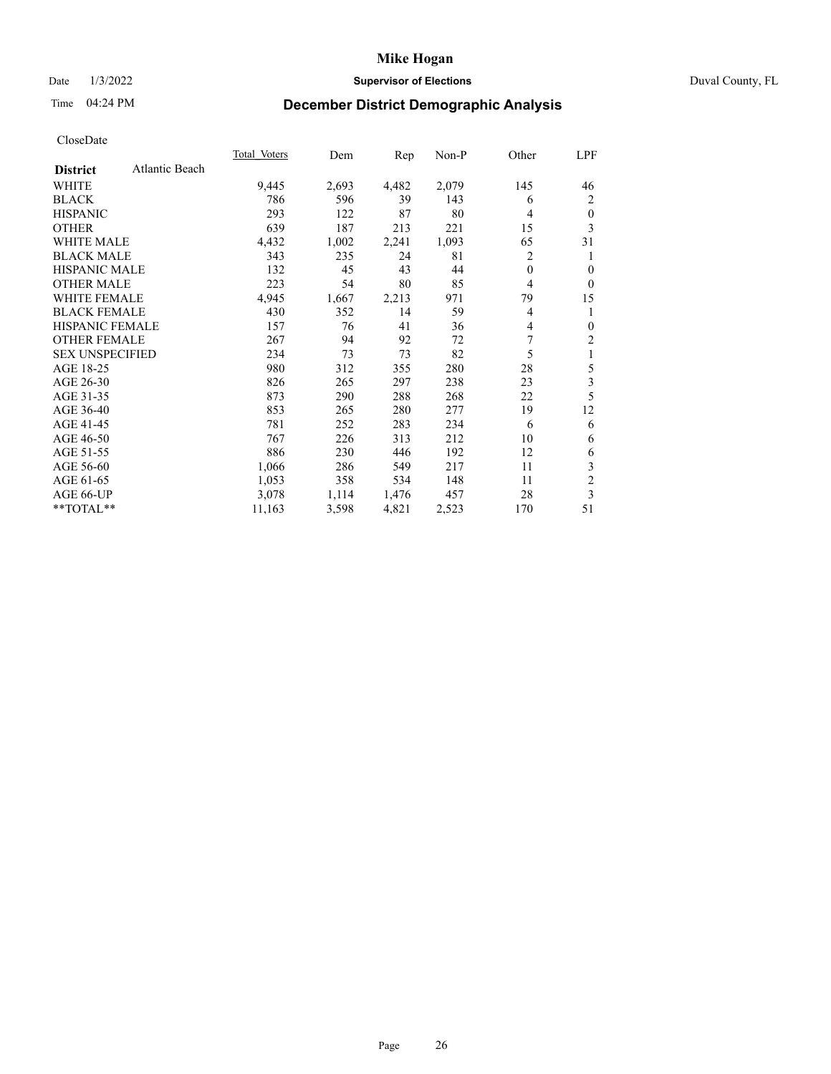## Date 1/3/2022 **Supervisor of Elections** Duval County, FL

# Time 04:24 PM **December District Demographic Analysis**

| Total Voters | Dem   | Rep   | Non-P | Other    | LPF            |
|--------------|-------|-------|-------|----------|----------------|
|              |       |       |       |          |                |
| 9,445        | 2,693 | 4,482 | 2,079 | 145      | 46             |
| 786          | 596   | 39    | 143   | 6        | 2              |
| 293          | 122   | 87    | 80    | 4        | $\mathbf{0}$   |
| 639          | 187   | 213   | 221   | 15       | 3              |
| 4,432        | 1,002 | 2,241 | 1,093 | 65       | 31             |
| 343          | 235   | 24    | 81    | 2        | 1              |
| 132          | 45    | 43    | 44    | $\theta$ | $\theta$       |
| 223          | 54    | 80    | 85    | 4        | $\mathbf{0}$   |
| 4,945        | 1,667 | 2,213 | 971   | 79       | 15             |
| 430          | 352   | 14    | 59    | 4        | 1              |
| 157          | 76    | 41    | 36    | 4        | $\mathbf{0}$   |
| 267          | 94    | 92    | 72    | 7        | $\overline{c}$ |
| 234          | 73    | 73    | 82    | 5        | 1              |
| 980          | 312   | 355   | 280   | 28       | 5              |
| 826          | 265   | 297   | 238   | 23       | 3              |
| 873          | 290   | 288   | 268   | 22       | 5              |
| 853          | 265   | 280   | 277   | 19       | 12             |
| 781          | 252   | 283   | 234   | 6        | 6              |
| 767          | 226   | 313   | 212   | 10       | 6              |
| 886          | 230   | 446   | 192   | 12       | 6              |
| 1,066        | 286   | 549   | 217   | 11       | 3              |
| 1,053        | 358   | 534   | 148   | 11       | $\overline{c}$ |
| 3,078        | 1,114 | 1,476 | 457   | 28       | 3              |
| 11,163       | 3,598 | 4,821 | 2,523 | 170      | 51             |
|              |       |       |       |          |                |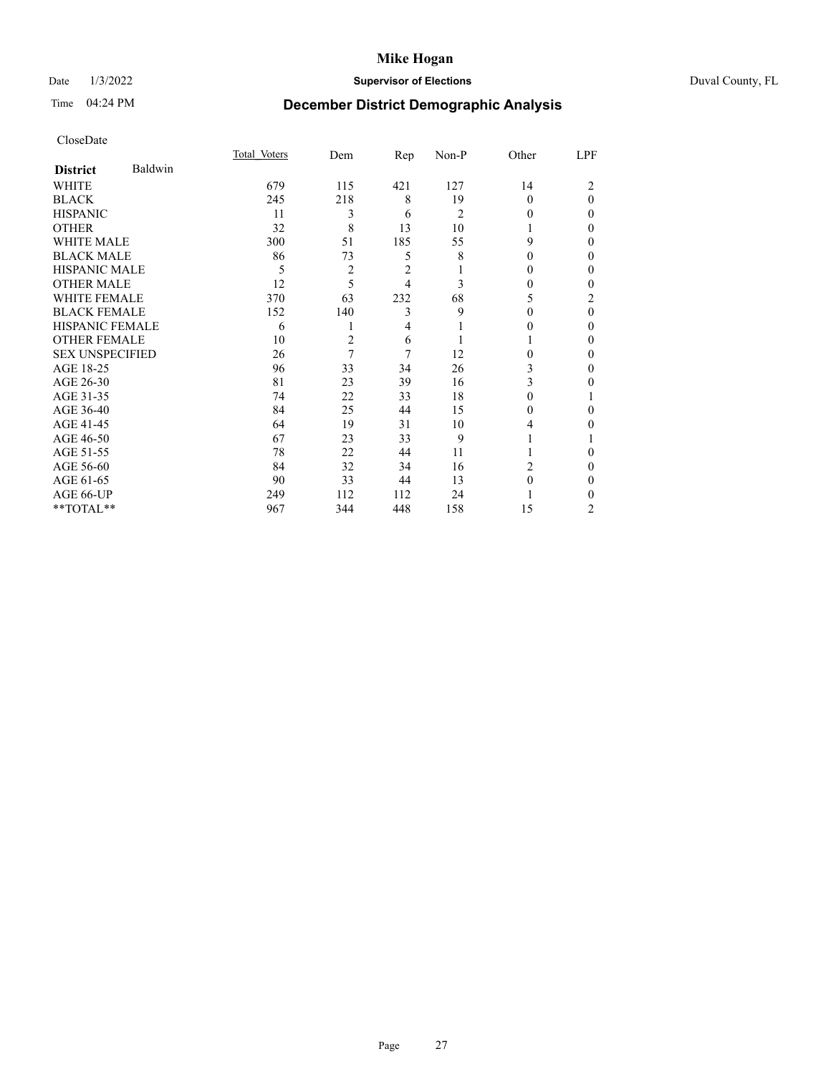# Date 1/3/2022 **Supervisor of Elections** Duval County, FL

# Time 04:24 PM **December District Demographic Analysis**

|                        |         | Total Voters | Dem            | Rep | Non-P          | Other    | LPF      |
|------------------------|---------|--------------|----------------|-----|----------------|----------|----------|
| <b>District</b>        | Baldwin |              |                |     |                |          |          |
| WHITE                  |         | 679          | 115            | 421 | 127            | 14       | 2        |
| <b>BLACK</b>           |         | 245          | 218            | 8   | 19             | $\Omega$ | $\theta$ |
| <b>HISPANIC</b>        |         | 11           | 3              | 6   | $\overline{2}$ | 0        | 0        |
| <b>OTHER</b>           |         | 32           | 8              | 13  | 10             |          | 0        |
| <b>WHITE MALE</b>      |         | 300          | 51             | 185 | 55             | 9        | $_{0}$   |
| <b>BLACK MALE</b>      |         | 86           | 73             | 5   | 8              | $\Omega$ | $_{0}$   |
| <b>HISPANIC MALE</b>   |         | 5            | 2              | 2   |                | $\theta$ | 0        |
| <b>OTHER MALE</b>      |         | 12           | 5              | 4   | 3              | 0        | 0        |
| <b>WHITE FEMALE</b>    |         | 370          | 63             | 232 | 68             | 5        | 2        |
| <b>BLACK FEMALE</b>    |         | 152          | 140            | 3   | 9              | 0        | 0        |
| <b>HISPANIC FEMALE</b> |         | 6            | 1              | 4   |                | $_{0}$   | $_{0}$   |
| <b>OTHER FEMALE</b>    |         | 10           | $\overline{c}$ | 6   |                |          | $_{0}$   |
| <b>SEX UNSPECIFIED</b> |         | 26           | 7              | 7   | 12             | 0        | 0        |
| AGE 18-25              |         | 96           | 33             | 34  | 26             | 3        | 0        |
| AGE 26-30              |         | 81           | 23             | 39  | 16             | 3        | 0        |
| AGE 31-35              |         | 74           | 22             | 33  | 18             | 0        |          |
| AGE 36-40              |         | 84           | 25             | 44  | 15             | 0        | 0        |
| AGE 41-45              |         | 64           | 19             | 31  | 10             | 4        | 0        |
| AGE 46-50              |         | 67           | 23             | 33  | 9              |          |          |
| AGE 51-55              |         | 78           | 22             | 44  | 11             |          | 0        |
| AGE 56-60              |         | 84           | 32             | 34  | 16             | 2        | $_{0}$   |
| AGE 61-65              |         | 90           | 33             | 44  | 13             | $\Omega$ | $_{0}$   |
| AGE 66-UP              |         | 249          | 112            | 112 | 24             |          | 0        |
| **TOTAL**              |         | 967          | 344            | 448 | 158            | 15       | 2        |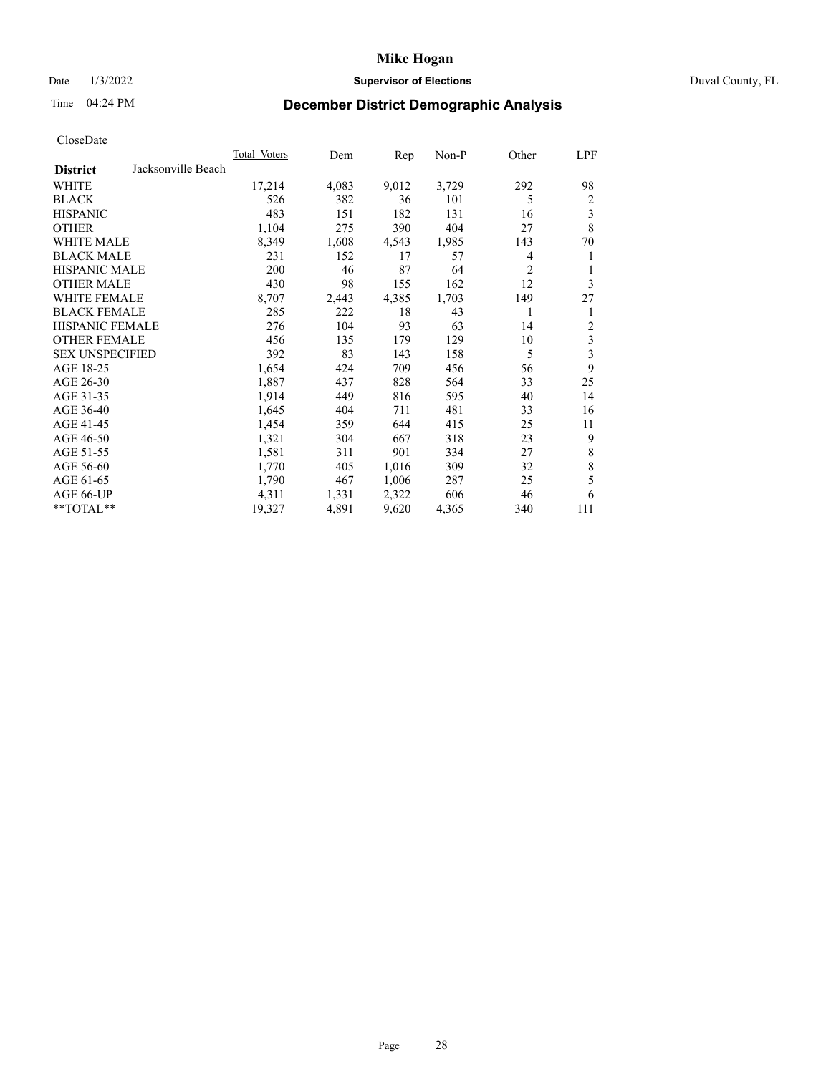## Date 1/3/2022 **Supervisor of Elections** Duval County, FL

# Time 04:24 PM **December District Demographic Analysis**

|                                       | <b>Total Voters</b> | Dem   | Rep   | $Non-P$ | Other          | LPF         |
|---------------------------------------|---------------------|-------|-------|---------|----------------|-------------|
| Jacksonville Beach<br><b>District</b> |                     |       |       |         |                |             |
| WHITE                                 | 17,214              | 4,083 | 9,012 | 3,729   | 292            | 98          |
| <b>BLACK</b>                          | 526                 | 382   | 36    | 101     | 5              | 2           |
| <b>HISPANIC</b>                       | 483                 | 151   | 182   | 131     | 16             | 3           |
| <b>OTHER</b>                          | 1,104               | 275   | 390   | 404     | 27             | 8           |
| WHITE MALE                            | 8,349               | 1,608 | 4,543 | 1,985   | 143            | 70          |
| <b>BLACK MALE</b>                     | 231                 | 152   | 17    | 57      | 4              | 1           |
| <b>HISPANIC MALE</b>                  | 200                 | 46    | 87    | 64      | $\overline{c}$ | 1           |
| <b>OTHER MALE</b>                     | 430                 | 98    | 155   | 162     | 12             | 3           |
| WHITE FEMALE                          | 8,707               | 2,443 | 4,385 | 1,703   | 149            | 27          |
| <b>BLACK FEMALE</b>                   | 285                 | 222   | 18    | 43      | 1              | 1           |
| HISPANIC FEMALE                       | 276                 | 104   | 93    | 63      | 14             | 2           |
| <b>OTHER FEMALE</b>                   | 456                 | 135   | 179   | 129     | 10             | 3           |
| <b>SEX UNSPECIFIED</b>                | 392                 | 83    | 143   | 158     | 5              | 3           |
| AGE 18-25                             | 1,654               | 424   | 709   | 456     | 56             | 9           |
| AGE 26-30                             | 1,887               | 437   | 828   | 564     | 33             | 25          |
| AGE 31-35                             | 1,914               | 449   | 816   | 595     | 40             | 14          |
| AGE 36-40                             | 1,645               | 404   | 711   | 481     | 33             | 16          |
| AGE 41-45                             | 1,454               | 359   | 644   | 415     | 25             | 11          |
| AGE 46-50                             | 1,321               | 304   | 667   | 318     | 23             | 9           |
| AGE 51-55                             | 1,581               | 311   | 901   | 334     | 27             | 8           |
| AGE 56-60                             | 1,770               | 405   | 1,016 | 309     | 32             | $\,$ 8 $\,$ |
| AGE 61-65                             | 1,790               | 467   | 1,006 | 287     | 25             | 5           |
| AGE 66-UP                             | 4,311               | 1,331 | 2,322 | 606     | 46             | 6           |
| **TOTAL**                             | 19,327              | 4,891 | 9,620 | 4,365   | 340            | 111         |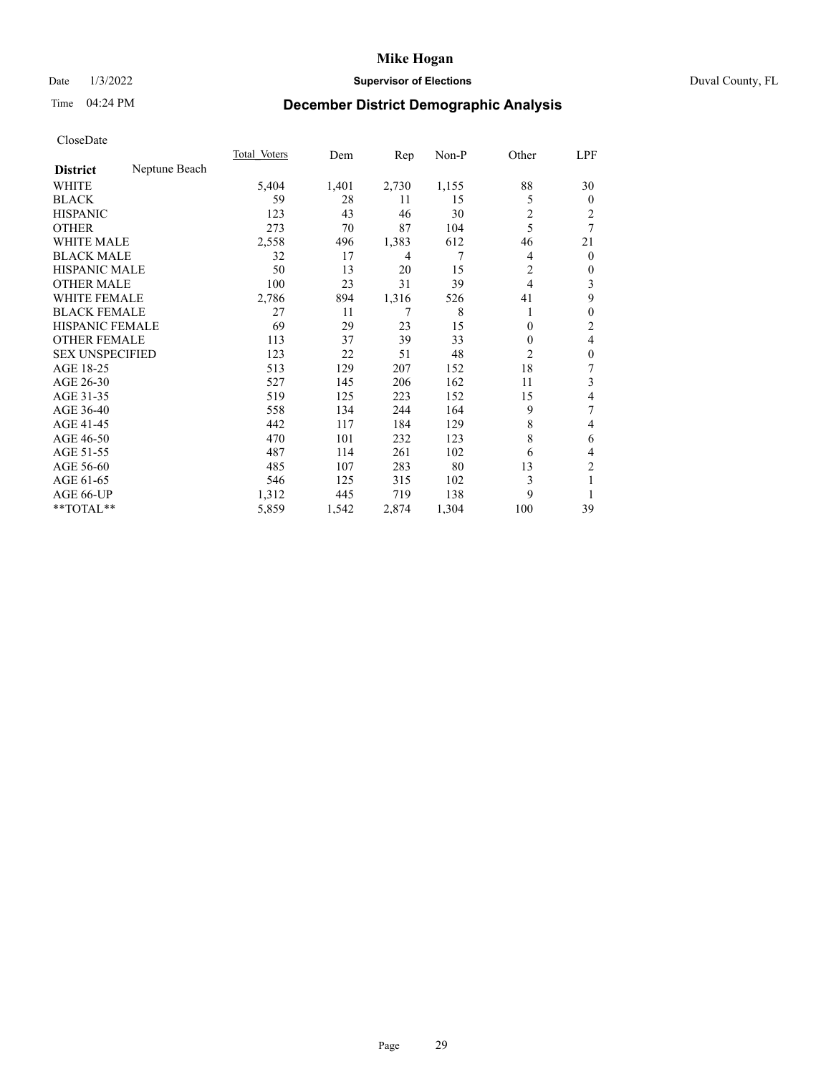# Date 1/3/2022 **Supervisor of Elections** Duval County, FL

# Time 04:24 PM **December District Demographic Analysis**

|                        |               | Total Voters | Dem   | $\mathbf{Rep}$ | Non-P | Other          | LPF            |
|------------------------|---------------|--------------|-------|----------------|-------|----------------|----------------|
| <b>District</b>        | Neptune Beach |              |       |                |       |                |                |
| WHITE                  |               | 5,404        | 1,401 | 2,730          | 1,155 | 88             | 30             |
| <b>BLACK</b>           |               | 59           | 28    | 11             | 15    | 5              | $\overline{0}$ |
| <b>HISPANIC</b>        |               | 123          | 43    | 46             | 30    | 2              | 2              |
| <b>OTHER</b>           |               | 273          | 70    | 87             | 104   | 5              | 7              |
| <b>WHITE MALE</b>      |               | 2,558        | 496   | 1,383          | 612   | 46             | 21             |
| <b>BLACK MALE</b>      |               | 32           | 17    | 4              | 7     | 4              | $\overline{0}$ |
| <b>HISPANIC MALE</b>   |               | 50           | 13    | 20             | 15    | 2              | 0              |
| <b>OTHER MALE</b>      |               | 100          | 23    | 31             | 39    | $\overline{4}$ | 3              |
| WHITE FEMALE           |               | 2,786        | 894   | 1,316          | 526   | 41             | 9              |
| <b>BLACK FEMALE</b>    |               | 27           | 11    |                | 8     | 1              | 0              |
| <b>HISPANIC FEMALE</b> |               | 69           | 29    | 23             | 15    | $\theta$       | 2              |
| <b>OTHER FEMALE</b>    |               | 113          | 37    | 39             | 33    | $\theta$       | 4              |
| <b>SEX UNSPECIFIED</b> |               | 123          | 22    | 51             | 48    | $\overline{c}$ | 0              |
| AGE 18-25              |               | 513          | 129   | 207            | 152   | 18             | 7              |
| AGE 26-30              |               | 527          | 145   | 206            | 162   | 11             | 3              |
| AGE 31-35              |               | 519          | 125   | 223            | 152   | 15             | 4              |
| AGE 36-40              |               | 558          | 134   | 244            | 164   | 9              | 7              |
| AGE 41-45              |               | 442          | 117   | 184            | 129   | 8              | 4              |
| AGE 46-50              |               | 470          | 101   | 232            | 123   | 8              | 6              |
| AGE 51-55              |               | 487          | 114   | 261            | 102   | 6              | 4              |
| AGE 56-60              |               | 485          | 107   | 283            | 80    | 13             | $\overline{c}$ |
| AGE 61-65              |               | 546          | 125   | 315            | 102   | 3              |                |
| AGE 66-UP              |               | 1,312        | 445   | 719            | 138   | 9              |                |
| **TOTAL**              |               | 5,859        | 1,542 | 2,874          | 1,304 | 100            | 39             |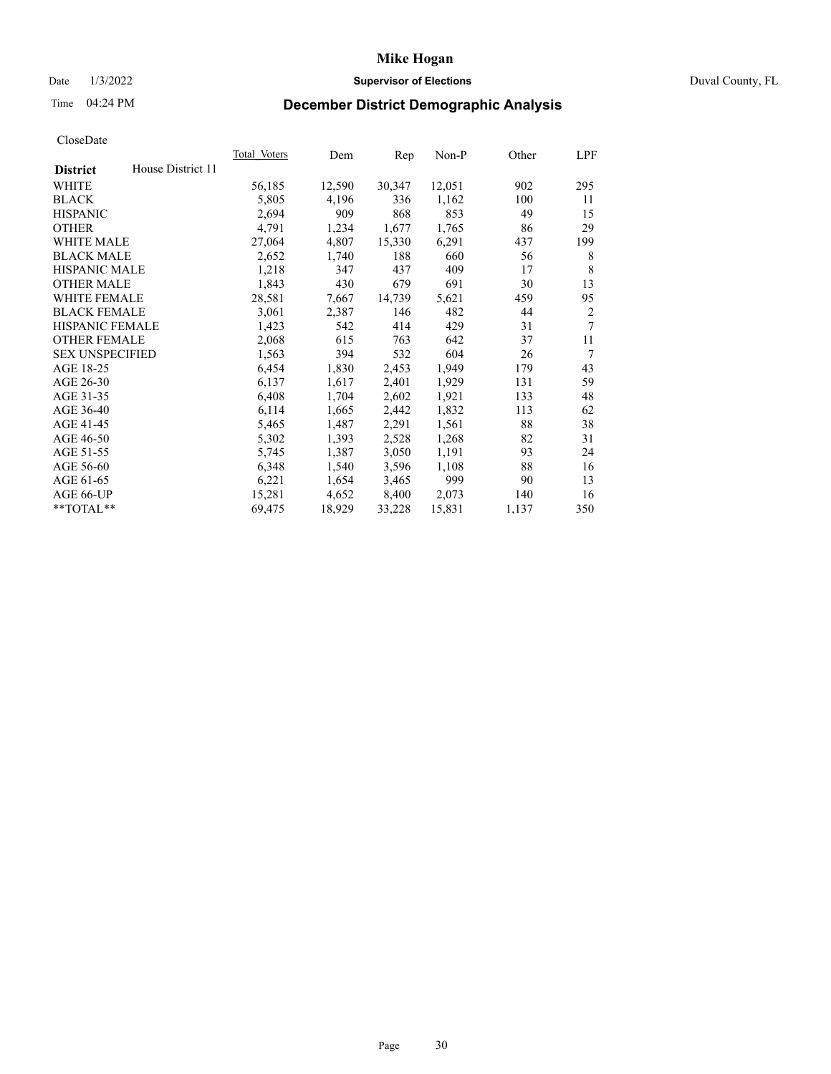# Date 1/3/2022 **Supervisor of Elections** Duval County, FL

# Time 04:24 PM **December District Demographic Analysis**

|                        |                   | Total Voters | Dem    | Rep    | Non-P  | Other | LPF            |
|------------------------|-------------------|--------------|--------|--------|--------|-------|----------------|
| <b>District</b>        | House District 11 |              |        |        |        |       |                |
| WHITE                  |                   | 56,185       | 12,590 | 30,347 | 12,051 | 902   | 295            |
| <b>BLACK</b>           |                   | 5,805        | 4,196  | 336    | 1,162  | 100   | 11             |
| <b>HISPANIC</b>        |                   | 2,694        | 909    | 868    | 853    | 49    | 15             |
| <b>OTHER</b>           |                   | 4,791        | 1,234  | 1,677  | 1,765  | 86    | 29             |
| WHITE MALE             |                   | 27,064       | 4,807  | 15,330 | 6,291  | 437   | 199            |
| <b>BLACK MALE</b>      |                   | 2,652        | 1,740  | 188    | 660    | 56    | 8              |
| <b>HISPANIC MALE</b>   |                   | 1,218        | 347    | 437    | 409    | 17    | 8              |
| <b>OTHER MALE</b>      |                   | 1,843        | 430    | 679    | 691    | 30    | 13             |
| WHITE FEMALE           |                   | 28,581       | 7,667  | 14,739 | 5,621  | 459   | 95             |
| <b>BLACK FEMALE</b>    |                   | 3,061        | 2,387  | 146    | 482    | 44    | $\overline{2}$ |
| <b>HISPANIC FEMALE</b> |                   | 1,423        | 542    | 414    | 429    | 31    | 7              |
| <b>OTHER FEMALE</b>    |                   | 2,068        | 615    | 763    | 642    | 37    | 11             |
| <b>SEX UNSPECIFIED</b> |                   | 1,563        | 394    | 532    | 604    | 26    | 7              |
| AGE 18-25              |                   | 6,454        | 1,830  | 2,453  | 1,949  | 179   | 43             |
| AGE 26-30              |                   | 6,137        | 1,617  | 2,401  | 1,929  | 131   | 59             |
| AGE 31-35              |                   | 6,408        | 1,704  | 2,602  | 1,921  | 133   | 48             |
| AGE 36-40              |                   | 6,114        | 1,665  | 2,442  | 1,832  | 113   | 62             |
| AGE 41-45              |                   | 5,465        | 1,487  | 2,291  | 1,561  | 88    | 38             |
| AGE 46-50              |                   | 5,302        | 1,393  | 2,528  | 1,268  | 82    | 31             |
| AGE 51-55              |                   | 5,745        | 1,387  | 3,050  | 1,191  | 93    | 24             |
| AGE 56-60              |                   | 6,348        | 1,540  | 3,596  | 1,108  | 88    | 16             |
| AGE 61-65              |                   | 6,221        | 1,654  | 3,465  | 999    | 90    | 13             |
| AGE 66-UP              |                   | 15,281       | 4,652  | 8,400  | 2,073  | 140   | 16             |
| $**TOTAL**$            |                   | 69,475       | 18,929 | 33,228 | 15,831 | 1,137 | 350            |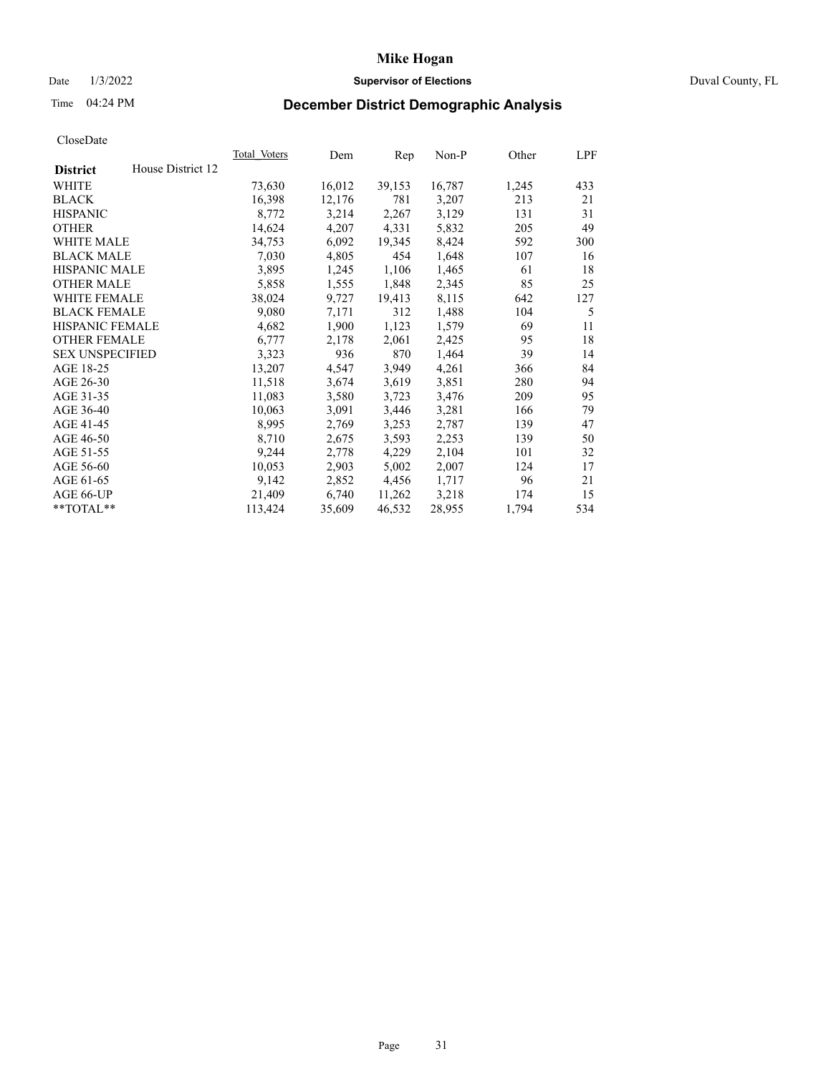# Date 1/3/2022 **Supervisor of Elections** Duval County, FL

# Time 04:24 PM **December District Demographic Analysis**

|                        |                   | Total Voters | Dem    | Rep    | Non-P  | Other | LPF |
|------------------------|-------------------|--------------|--------|--------|--------|-------|-----|
| <b>District</b>        | House District 12 |              |        |        |        |       |     |
| WHITE                  |                   | 73,630       | 16,012 | 39,153 | 16,787 | 1,245 | 433 |
| <b>BLACK</b>           |                   | 16,398       | 12,176 | 781    | 3,207  | 213   | 21  |
| <b>HISPANIC</b>        |                   | 8,772        | 3,214  | 2,267  | 3,129  | 131   | 31  |
| <b>OTHER</b>           |                   | 14,624       | 4,207  | 4,331  | 5,832  | 205   | 49  |
| WHITE MALE             |                   | 34,753       | 6,092  | 19,345 | 8,424  | 592   | 300 |
| <b>BLACK MALE</b>      |                   | 7,030        | 4,805  | 454    | 1,648  | 107   | 16  |
| <b>HISPANIC MALE</b>   |                   | 3,895        | 1,245  | 1,106  | 1,465  | 61    | 18  |
| <b>OTHER MALE</b>      |                   | 5,858        | 1,555  | 1,848  | 2,345  | 85    | 25  |
| WHITE FEMALE           |                   | 38,024       | 9,727  | 19,413 | 8,115  | 642   | 127 |
| <b>BLACK FEMALE</b>    |                   | 9,080        | 7,171  | 312    | 1,488  | 104   | 5   |
| <b>HISPANIC FEMALE</b> |                   | 4,682        | 1,900  | 1,123  | 1,579  | 69    | 11  |
| <b>OTHER FEMALE</b>    |                   | 6,777        | 2,178  | 2,061  | 2,425  | 95    | 18  |
| <b>SEX UNSPECIFIED</b> |                   | 3,323        | 936    | 870    | 1,464  | 39    | 14  |
| AGE 18-25              |                   | 13,207       | 4,547  | 3,949  | 4,261  | 366   | 84  |
| AGE 26-30              |                   | 11,518       | 3,674  | 3,619  | 3,851  | 280   | 94  |
| AGE 31-35              |                   | 11,083       | 3,580  | 3,723  | 3,476  | 209   | 95  |
| AGE 36-40              |                   | 10,063       | 3,091  | 3,446  | 3,281  | 166   | 79  |
| AGE 41-45              |                   | 8,995        | 2,769  | 3,253  | 2,787  | 139   | 47  |
| AGE 46-50              |                   | 8,710        | 2,675  | 3,593  | 2,253  | 139   | 50  |
| AGE 51-55              |                   | 9,244        | 2,778  | 4,229  | 2,104  | 101   | 32  |
| AGE 56-60              |                   | 10,053       | 2,903  | 5,002  | 2,007  | 124   | 17  |
| AGE 61-65              |                   | 9,142        | 2,852  | 4,456  | 1,717  | 96    | 21  |
| AGE 66-UP              |                   | 21,409       | 6,740  | 11,262 | 3,218  | 174   | 15  |
| **TOTAL**              |                   | 113,424      | 35,609 | 46,532 | 28,955 | 1,794 | 534 |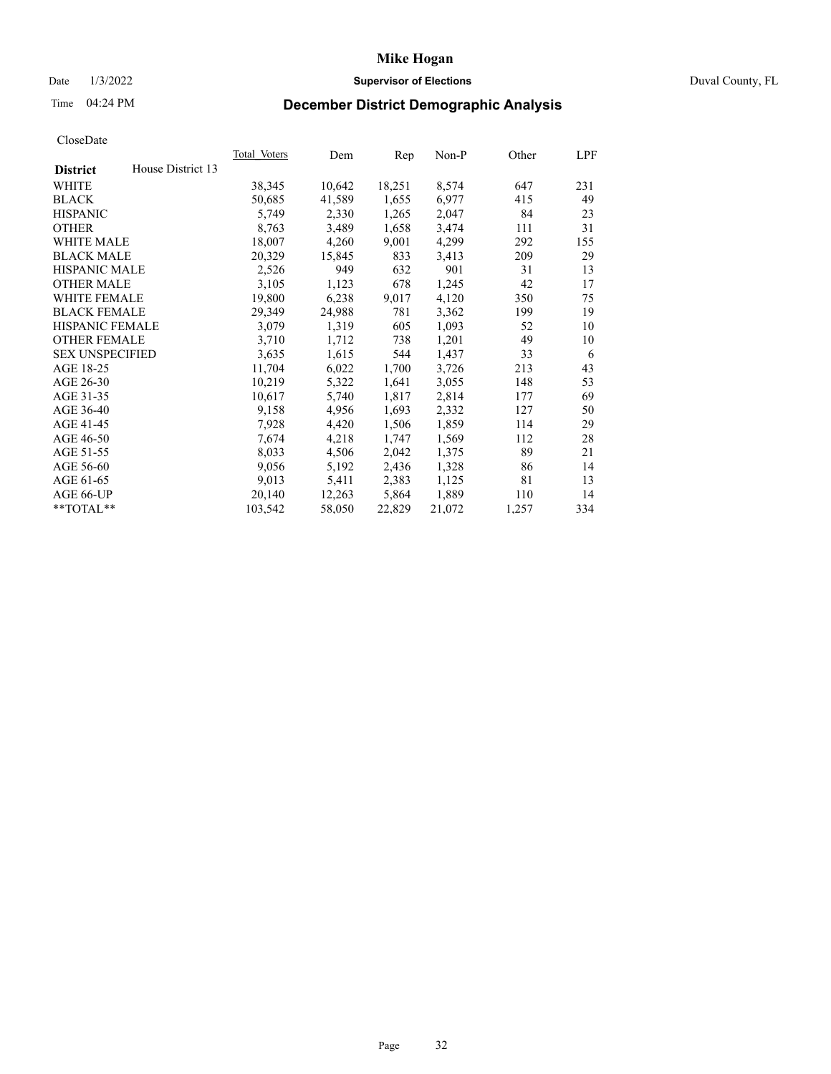## Date 1/3/2022 **Supervisor of Elections** Duval County, FL

# Time 04:24 PM **December District Demographic Analysis**

|                                      | <b>Total Voters</b> | Dem    | Rep    | $Non-P$ | Other | LPF |
|--------------------------------------|---------------------|--------|--------|---------|-------|-----|
| House District 13<br><b>District</b> |                     |        |        |         |       |     |
| WHITE                                | 38,345              | 10,642 | 18,251 | 8,574   | 647   | 231 |
| <b>BLACK</b>                         | 50,685              | 41,589 | 1,655  | 6,977   | 415   | 49  |
| <b>HISPANIC</b>                      | 5,749               | 2,330  | 1,265  | 2,047   | 84    | 23  |
| <b>OTHER</b>                         | 8,763               | 3,489  | 1,658  | 3,474   | 111   | 31  |
| WHITE MALE                           | 18,007              | 4,260  | 9,001  | 4,299   | 292   | 155 |
| <b>BLACK MALE</b>                    | 20,329              | 15,845 | 833    | 3,413   | 209   | 29  |
| <b>HISPANIC MALE</b>                 | 2,526               | 949    | 632    | 901     | 31    | 13  |
| <b>OTHER MALE</b>                    | 3,105               | 1,123  | 678    | 1,245   | 42    | 17  |
| WHITE FEMALE                         | 19,800              | 6,238  | 9,017  | 4,120   | 350   | 75  |
| <b>BLACK FEMALE</b>                  | 29,349              | 24,988 | 781    | 3,362   | 199   | 19  |
| HISPANIC FEMALE                      | 3,079               | 1,319  | 605    | 1,093   | 52    | 10  |
| <b>OTHER FEMALE</b>                  | 3,710               | 1,712  | 738    | 1,201   | 49    | 10  |
| <b>SEX UNSPECIFIED</b>               | 3,635               | 1,615  | 544    | 1,437   | 33    | 6   |
| AGE 18-25                            | 11,704              | 6,022  | 1,700  | 3,726   | 213   | 43  |
| AGE 26-30                            | 10,219              | 5,322  | 1,641  | 3,055   | 148   | 53  |
| AGE 31-35                            | 10,617              | 5,740  | 1,817  | 2,814   | 177   | 69  |
| AGE 36-40                            | 9,158               | 4,956  | 1,693  | 2,332   | 127   | 50  |
| AGE 41-45                            | 7,928               | 4,420  | 1,506  | 1,859   | 114   | 29  |
| AGE 46-50                            | 7,674               | 4,218  | 1,747  | 1,569   | 112   | 28  |
| AGE 51-55                            | 8,033               | 4,506  | 2,042  | 1,375   | 89    | 21  |
| AGE 56-60                            | 9,056               | 5,192  | 2,436  | 1,328   | 86    | 14  |
| AGE 61-65                            | 9,013               | 5,411  | 2,383  | 1,125   | 81    | 13  |
| AGE 66-UP                            | 20,140              | 12,263 | 5,864  | 1,889   | 110   | 14  |
| **TOTAL**                            | 103,542             | 58,050 | 22,829 | 21,072  | 1,257 | 334 |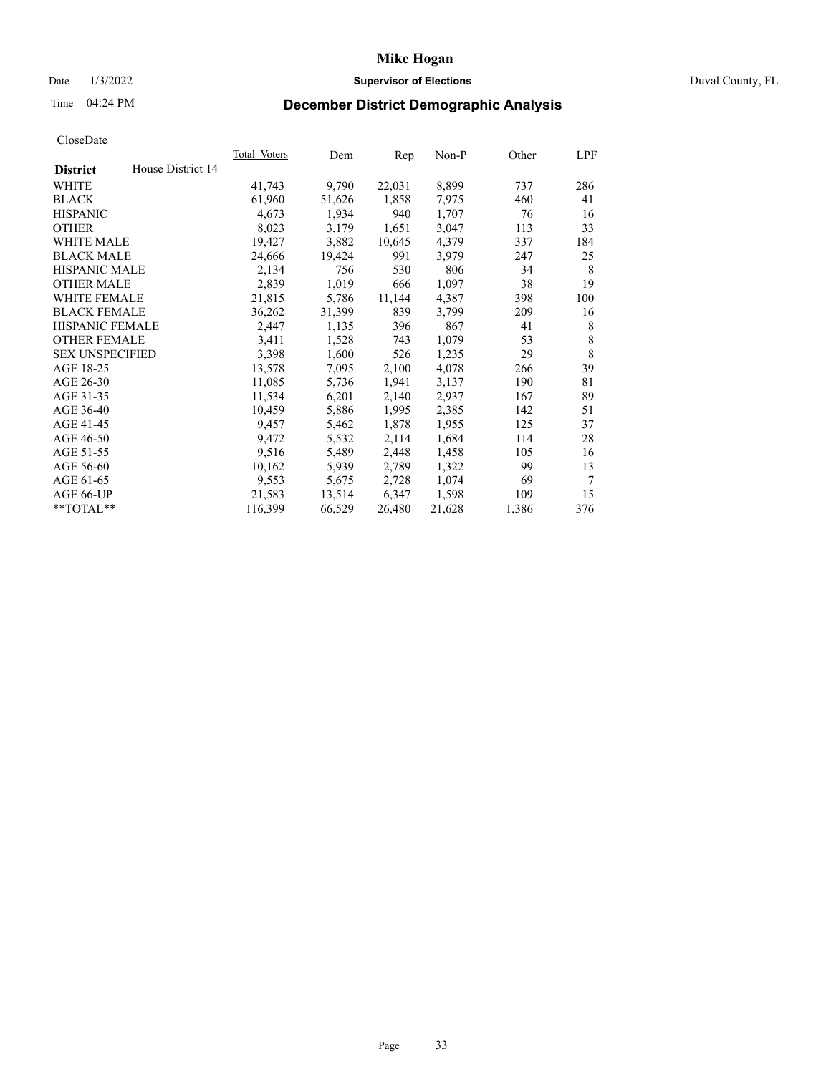## Date 1/3/2022 **Supervisor of Elections** Duval County, FL

# Time 04:24 PM **December District Demographic Analysis**

| Total Voters | Dem    | Rep    | $Non-P$ | Other | LPF |
|--------------|--------|--------|---------|-------|-----|
|              |        |        |         |       |     |
| 41,743       | 9,790  | 22,031 | 8,899   | 737   | 286 |
| 61,960       | 51,626 | 1,858  | 7,975   | 460   | 41  |
| 4,673        | 1,934  | 940    | 1,707   | 76    | 16  |
| 8,023        | 3,179  | 1,651  | 3,047   | 113   | 33  |
| 19,427       | 3,882  | 10,645 | 4,379   | 337   | 184 |
| 24,666       | 19,424 | 991    | 3,979   | 247   | 25  |
| 2,134        | 756    | 530    | 806     | 34    | 8   |
| 2,839        | 1,019  | 666    | 1,097   | 38    | 19  |
| 21,815       | 5,786  | 11,144 | 4,387   | 398   | 100 |
| 36,262       | 31,399 | 839    | 3,799   | 209   | 16  |
| 2,447        | 1,135  | 396    | 867     | 41    | 8   |
| 3,411        | 1,528  | 743    | 1,079   | 53    | 8   |
| 3,398        | 1,600  | 526    | 1,235   | 29    | 8   |
| 13,578       | 7,095  | 2,100  | 4,078   | 266   | 39  |
| 11,085       | 5,736  | 1,941  | 3,137   | 190   | 81  |
| 11,534       | 6,201  | 2,140  | 2,937   | 167   | 89  |
| 10,459       | 5,886  | 1,995  | 2,385   | 142   | 51  |
| 9,457        | 5,462  | 1,878  | 1,955   | 125   | 37  |
| 9,472        | 5,532  | 2,114  | 1,684   | 114   | 28  |
| 9,516        | 5,489  | 2,448  | 1,458   | 105   | 16  |
| 10,162       | 5,939  | 2,789  | 1,322   | 99    | 13  |
| 9,553        | 5,675  | 2,728  | 1,074   | 69    | 7   |
| 21,583       | 13,514 | 6,347  | 1,598   | 109   | 15  |
| 116,399      | 66,529 | 26,480 | 21,628  | 1,386 | 376 |
|              |        |        |         |       |     |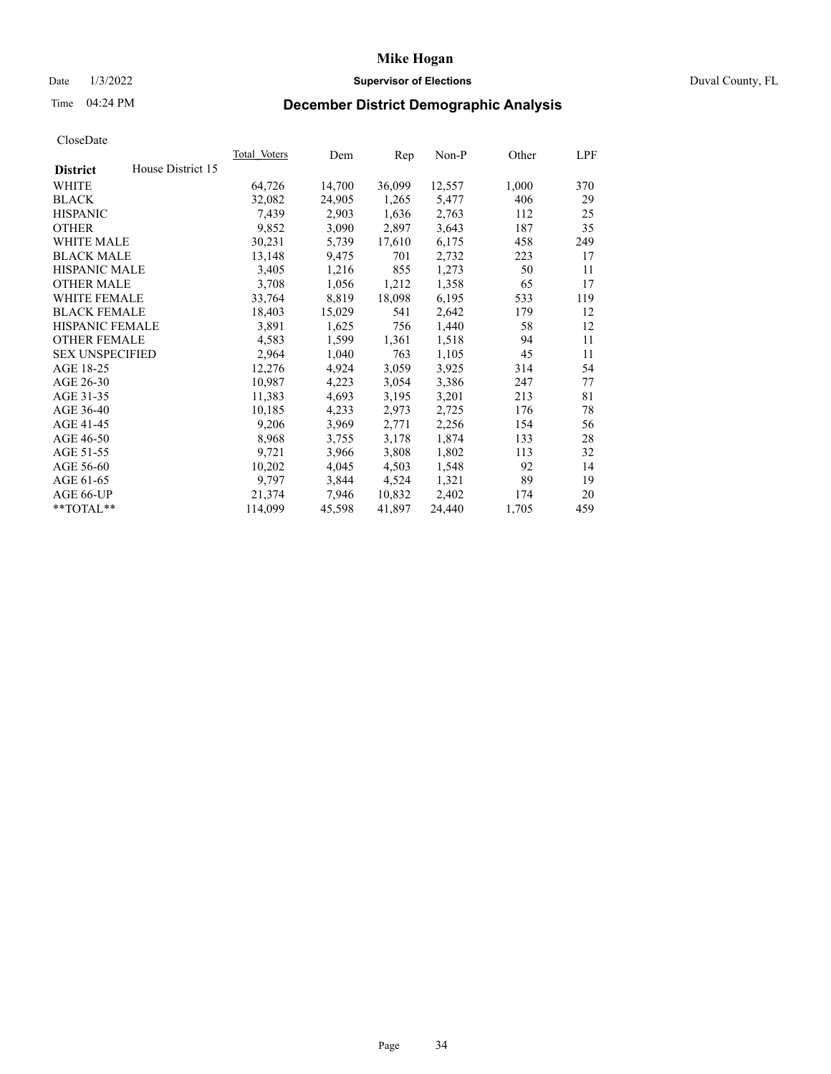## Date 1/3/2022 **Supervisor of Elections** Duval County, FL

# Time 04:24 PM **December District Demographic Analysis**

| <b>Total Voters</b> | Dem    | Rep    | $Non-P$ | Other | LPF |
|---------------------|--------|--------|---------|-------|-----|
|                     |        |        |         |       |     |
| 64,726              | 14,700 | 36,099 | 12,557  | 1,000 | 370 |
| 32,082              | 24,905 | 1,265  | 5,477   | 406   | 29  |
| 7,439               | 2,903  | 1,636  | 2,763   | 112   | 25  |
| 9,852               | 3,090  | 2,897  | 3,643   | 187   | 35  |
| 30,231              | 5,739  | 17,610 | 6,175   | 458   | 249 |
| 13,148              | 9,475  | 701    | 2,732   | 223   | 17  |
| 3,405               | 1,216  | 855    | 1,273   | 50    | 11  |
| 3,708               | 1,056  | 1,212  | 1,358   | 65    | 17  |
| 33,764              | 8,819  | 18,098 | 6,195   | 533   | 119 |
| 18,403              | 15,029 | 541    | 2,642   | 179   | 12  |
| 3,891               | 1,625  | 756    | 1,440   | 58    | 12  |
| 4,583               | 1,599  | 1,361  | 1,518   | 94    | 11  |
| 2,964               | 1,040  | 763    | 1,105   | 45    | 11  |
| 12,276              | 4,924  | 3,059  | 3,925   | 314   | 54  |
| 10,987              | 4,223  | 3,054  | 3,386   | 247   | 77  |
| 11,383              | 4,693  | 3,195  | 3,201   | 213   | 81  |
| 10,185              | 4,233  | 2,973  | 2,725   | 176   | 78  |
| 9,206               | 3,969  | 2,771  | 2,256   | 154   | 56  |
| 8,968               | 3,755  | 3,178  | 1,874   | 133   | 28  |
| 9,721               | 3,966  | 3,808  | 1,802   | 113   | 32  |
| 10,202              | 4,045  | 4,503  | 1,548   | 92    | 14  |
| 9,797               | 3,844  | 4,524  | 1,321   | 89    | 19  |
| 21,374              | 7,946  | 10,832 | 2,402   | 174   | 20  |
| 114,099             | 45,598 | 41,897 | 24,440  | 1,705 | 459 |
|                     |        |        |         |       |     |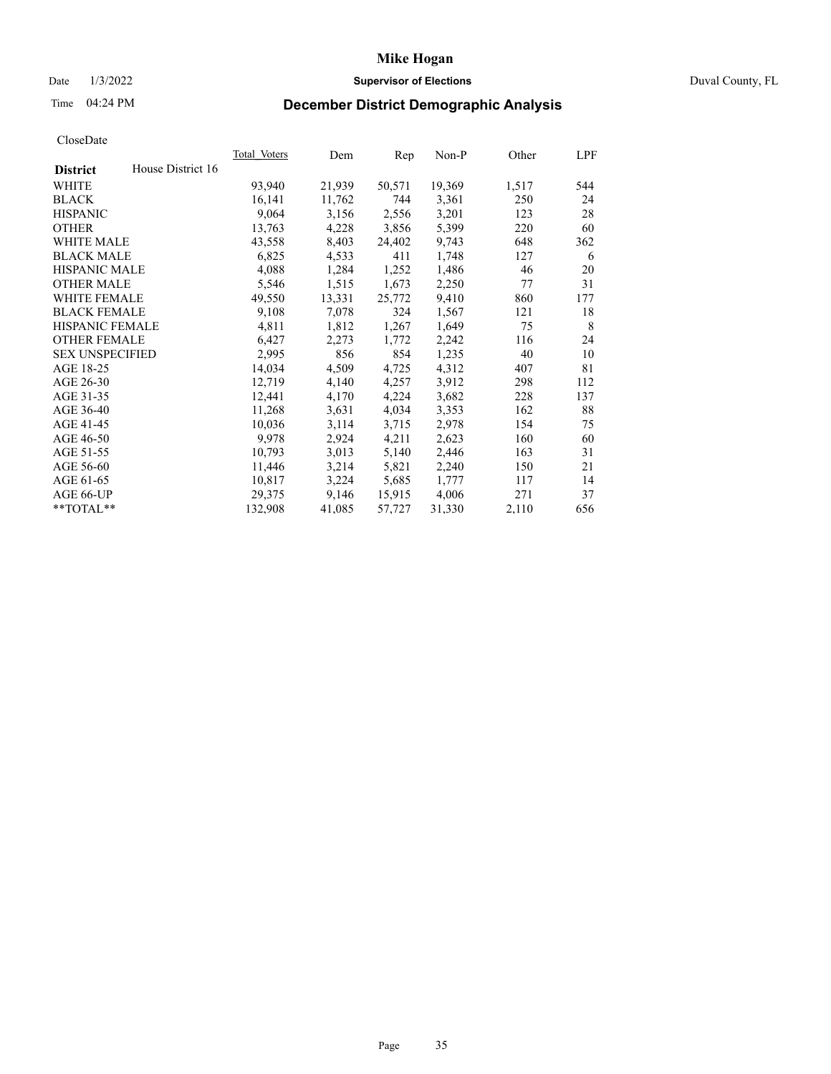# Date 1/3/2022 **Supervisor of Elections** Duval County, FL

# Time 04:24 PM **December District Demographic Analysis**

|                        |                   | Total Voters | Dem    | Rep    | Non-P  | Other | LPF |
|------------------------|-------------------|--------------|--------|--------|--------|-------|-----|
| <b>District</b>        | House District 16 |              |        |        |        |       |     |
| WHITE                  |                   | 93,940       | 21,939 | 50,571 | 19,369 | 1,517 | 544 |
| <b>BLACK</b>           |                   | 16,141       | 11,762 | 744    | 3,361  | 250   | 24  |
| <b>HISPANIC</b>        |                   | 9,064        | 3,156  | 2,556  | 3,201  | 123   | 28  |
| <b>OTHER</b>           |                   | 13,763       | 4,228  | 3,856  | 5,399  | 220   | 60  |
| WHITE MALE             |                   | 43,558       | 8,403  | 24,402 | 9,743  | 648   | 362 |
| <b>BLACK MALE</b>      |                   | 6,825        | 4,533  | 411    | 1,748  | 127   | 6   |
| <b>HISPANIC MALE</b>   |                   | 4,088        | 1,284  | 1,252  | 1,486  | 46    | 20  |
| <b>OTHER MALE</b>      |                   | 5,546        | 1,515  | 1,673  | 2,250  | 77    | 31  |
| <b>WHITE FEMALE</b>    |                   | 49,550       | 13,331 | 25,772 | 9,410  | 860   | 177 |
| <b>BLACK FEMALE</b>    |                   | 9,108        | 7,078  | 324    | 1,567  | 121   | 18  |
| <b>HISPANIC FEMALE</b> |                   | 4,811        | 1,812  | 1,267  | 1,649  | 75    | 8   |
| <b>OTHER FEMALE</b>    |                   | 6,427        | 2,273  | 1,772  | 2,242  | 116   | 24  |
| <b>SEX UNSPECIFIED</b> |                   | 2,995        | 856    | 854    | 1,235  | 40    | 10  |
| AGE 18-25              |                   | 14,034       | 4,509  | 4,725  | 4,312  | 407   | 81  |
| AGE 26-30              |                   | 12,719       | 4,140  | 4,257  | 3,912  | 298   | 112 |
| AGE 31-35              |                   | 12,441       | 4,170  | 4,224  | 3,682  | 228   | 137 |
| AGE 36-40              |                   | 11,268       | 3,631  | 4,034  | 3,353  | 162   | 88  |
| AGE 41-45              |                   | 10,036       | 3,114  | 3,715  | 2,978  | 154   | 75  |
| AGE 46-50              |                   | 9,978        | 2,924  | 4,211  | 2,623  | 160   | 60  |
| AGE 51-55              |                   | 10,793       | 3,013  | 5,140  | 2,446  | 163   | 31  |
| AGE 56-60              |                   | 11,446       | 3,214  | 5,821  | 2,240  | 150   | 21  |
| AGE 61-65              |                   | 10,817       | 3,224  | 5,685  | 1,777  | 117   | 14  |
| AGE 66-UP              |                   | 29,375       | 9,146  | 15,915 | 4,006  | 271   | 37  |
| $*$ TOTAL $*$          |                   | 132,908      | 41,085 | 57,727 | 31,330 | 2,110 | 656 |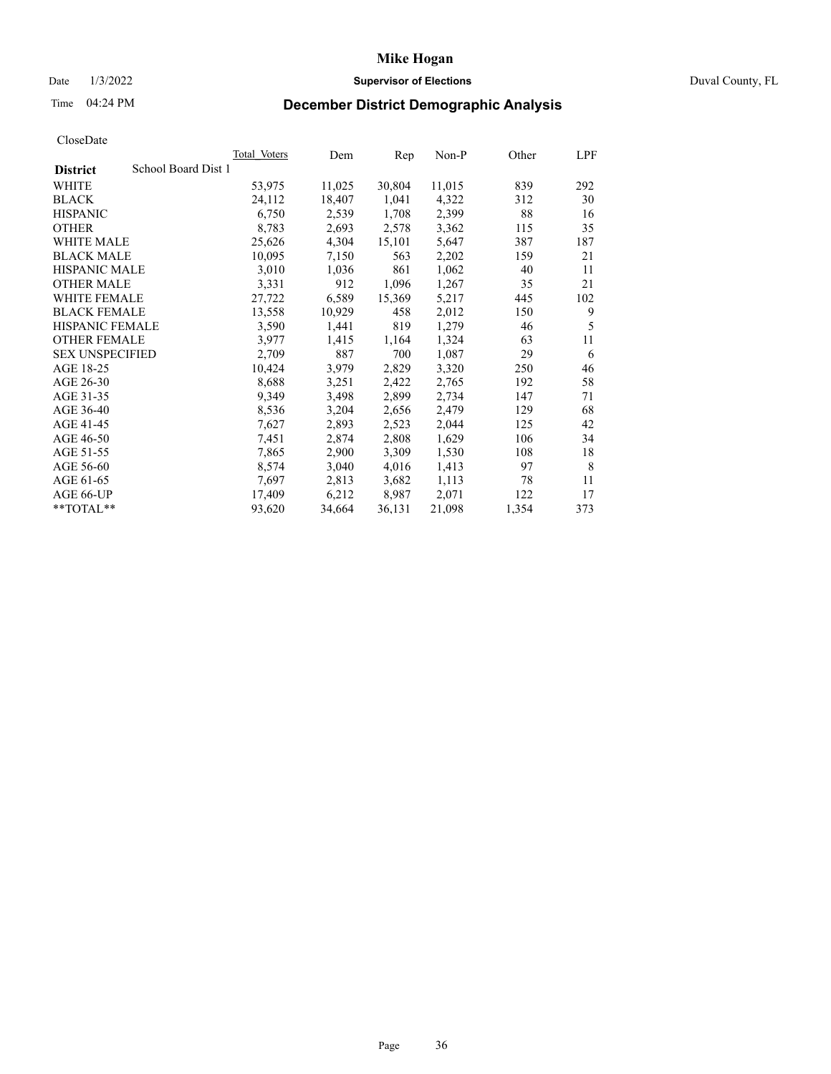## Date 1/3/2022 **Supervisor of Elections** Duval County, FL

# Time 04:24 PM **December District Demographic Analysis**

|                                        | <b>Total Voters</b> | Dem    | Rep    | $Non-P$ | Other | LPF |
|----------------------------------------|---------------------|--------|--------|---------|-------|-----|
| School Board Dist 1<br><b>District</b> |                     |        |        |         |       |     |
| WHITE                                  | 53,975              | 11,025 | 30,804 | 11,015  | 839   | 292 |
| <b>BLACK</b>                           | 24,112              | 18,407 | 1,041  | 4,322   | 312   | 30  |
| <b>HISPANIC</b>                        | 6,750               | 2,539  | 1,708  | 2,399   | 88    | 16  |
| <b>OTHER</b>                           | 8,783               | 2,693  | 2,578  | 3,362   | 115   | 35  |
| WHITE MALE                             | 25,626              | 4,304  | 15,101 | 5,647   | 387   | 187 |
| <b>BLACK MALE</b>                      | 10,095              | 7,150  | 563    | 2,202   | 159   | 21  |
| <b>HISPANIC MALE</b>                   | 3,010               | 1,036  | 861    | 1,062   | 40    | 11  |
| <b>OTHER MALE</b>                      | 3,331               | 912    | 1,096  | 1,267   | 35    | 21  |
| WHITE FEMALE                           | 27,722              | 6,589  | 15,369 | 5,217   | 445   | 102 |
| <b>BLACK FEMALE</b>                    | 13,558              | 10,929 | 458    | 2,012   | 150   | 9   |
| HISPANIC FEMALE                        | 3,590               | 1,441  | 819    | 1,279   | 46    | 5   |
| <b>OTHER FEMALE</b>                    | 3,977               | 1,415  | 1,164  | 1,324   | 63    | 11  |
| <b>SEX UNSPECIFIED</b>                 | 2,709               | 887    | 700    | 1,087   | 29    | 6   |
| AGE 18-25                              | 10,424              | 3,979  | 2,829  | 3,320   | 250   | 46  |
| AGE 26-30                              | 8,688               | 3,251  | 2,422  | 2,765   | 192   | 58  |
| AGE 31-35                              | 9,349               | 3,498  | 2,899  | 2,734   | 147   | 71  |
| AGE 36-40                              | 8,536               | 3,204  | 2,656  | 2,479   | 129   | 68  |
| AGE 41-45                              | 7,627               | 2,893  | 2,523  | 2,044   | 125   | 42  |
| AGE 46-50                              | 7,451               | 2,874  | 2,808  | 1,629   | 106   | 34  |
| AGE 51-55                              | 7,865               | 2,900  | 3,309  | 1,530   | 108   | 18  |
| AGE 56-60                              | 8,574               | 3,040  | 4,016  | 1,413   | 97    | 8   |
| AGE 61-65                              | 7,697               | 2,813  | 3,682  | 1,113   | 78    | 11  |
| AGE 66-UP                              | 17,409              | 6,212  | 8,987  | 2,071   | 122   | 17  |
| **TOTAL**                              | 93,620              | 34,664 | 36,131 | 21,098  | 1,354 | 373 |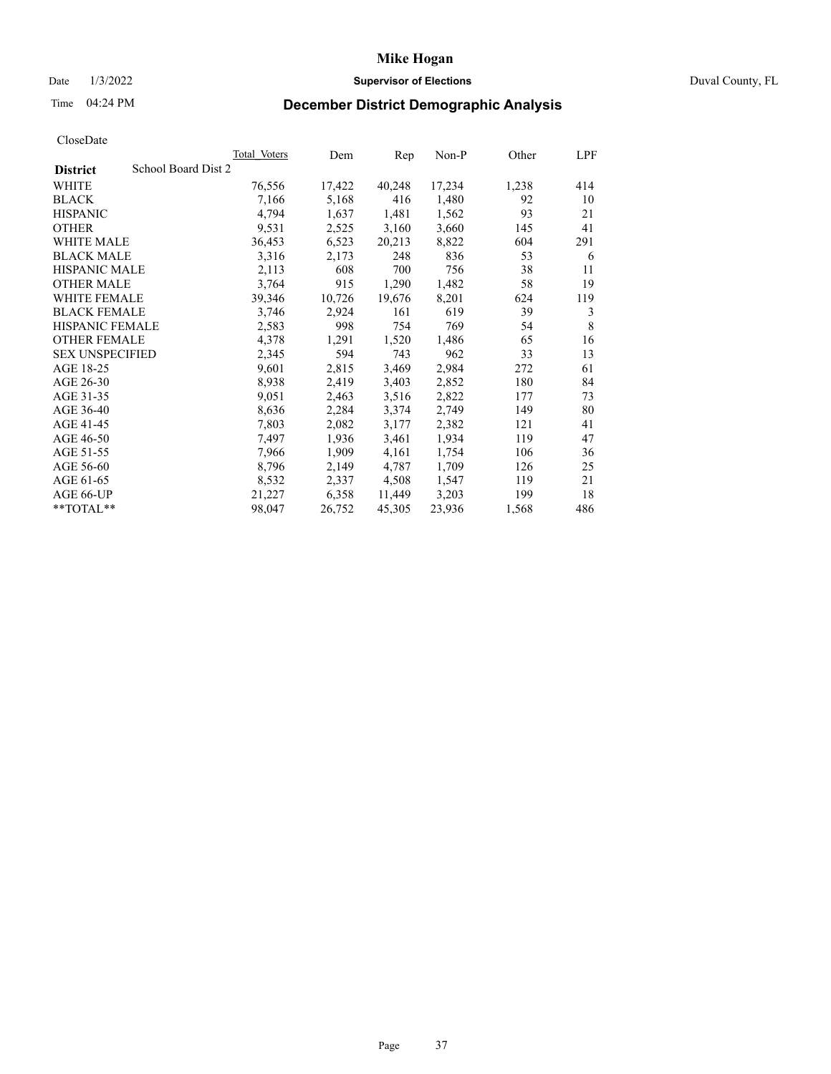## Date 1/3/2022 **Supervisor of Elections** Duval County, FL

# Time 04:24 PM **December District Demographic Analysis**

|                        |                     | <b>Total Voters</b> | Dem    | Rep    | $Non-P$ | Other | LPF |
|------------------------|---------------------|---------------------|--------|--------|---------|-------|-----|
| <b>District</b>        | School Board Dist 2 |                     |        |        |         |       |     |
| WHITE                  |                     | 76,556              | 17,422 | 40,248 | 17,234  | 1,238 | 414 |
| <b>BLACK</b>           |                     | 7,166               | 5,168  | 416    | 1,480   | 92    | 10  |
| <b>HISPANIC</b>        |                     | 4,794               | 1,637  | 1,481  | 1,562   | 93    | 21  |
| <b>OTHER</b>           |                     | 9,531               | 2,525  | 3,160  | 3,660   | 145   | 41  |
| WHITE MALE             |                     | 36,453              | 6,523  | 20,213 | 8,822   | 604   | 291 |
| <b>BLACK MALE</b>      |                     | 3,316               | 2,173  | 248    | 836     | 53    | 6   |
| <b>HISPANIC MALE</b>   |                     | 2,113               | 608    | 700    | 756     | 38    | 11  |
| <b>OTHER MALE</b>      |                     | 3,764               | 915    | 1,290  | 1,482   | 58    | 19  |
| <b>WHITE FEMALE</b>    |                     | 39,346              | 10,726 | 19,676 | 8,201   | 624   | 119 |
| <b>BLACK FEMALE</b>    |                     | 3,746               | 2,924  | 161    | 619     | 39    | 3   |
| HISPANIC FEMALE        |                     | 2,583               | 998    | 754    | 769     | 54    | 8   |
| <b>OTHER FEMALE</b>    |                     | 4,378               | 1,291  | 1,520  | 1,486   | 65    | 16  |
| <b>SEX UNSPECIFIED</b> |                     | 2,345               | 594    | 743    | 962     | 33    | 13  |
| AGE 18-25              |                     | 9,601               | 2,815  | 3,469  | 2,984   | 272   | 61  |
| AGE 26-30              |                     | 8,938               | 2,419  | 3,403  | 2,852   | 180   | 84  |
| AGE 31-35              |                     | 9,051               | 2,463  | 3,516  | 2,822   | 177   | 73  |
| AGE 36-40              |                     | 8,636               | 2,284  | 3,374  | 2,749   | 149   | 80  |
| AGE 41-45              |                     | 7,803               | 2,082  | 3,177  | 2,382   | 121   | 41  |
| AGE 46-50              |                     | 7,497               | 1,936  | 3,461  | 1,934   | 119   | 47  |
| AGE 51-55              |                     | 7,966               | 1,909  | 4,161  | 1,754   | 106   | 36  |
| AGE 56-60              |                     | 8,796               | 2,149  | 4,787  | 1,709   | 126   | 25  |
| AGE 61-65              |                     | 8,532               | 2,337  | 4,508  | 1,547   | 119   | 21  |
| AGE 66-UP              |                     | 21,227              | 6,358  | 11,449 | 3,203   | 199   | 18  |
| $*$ $TOTAL**$          |                     | 98,047              | 26,752 | 45,305 | 23,936  | 1,568 | 486 |
|                        |                     |                     |        |        |         |       |     |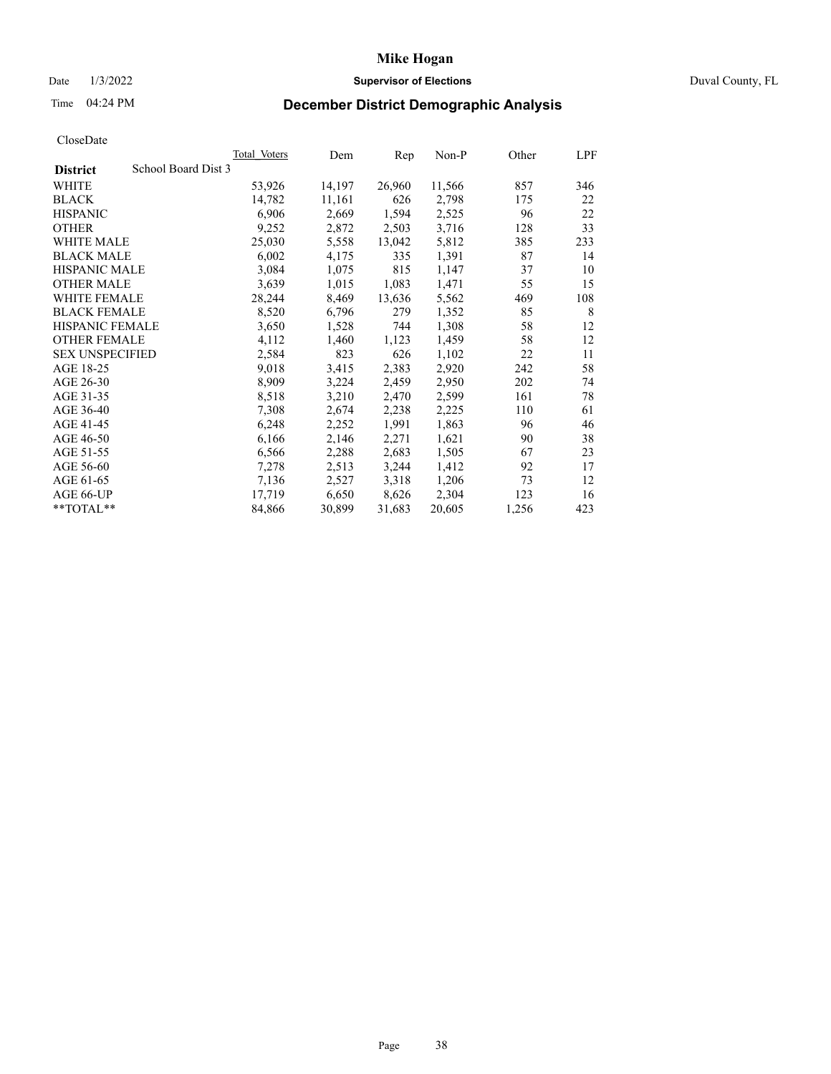## Date 1/3/2022 **Supervisor of Elections** Duval County, FL

# Time 04:24 PM **December District Demographic Analysis**

|                                        | Total Voters | Dem    | Rep    | $Non-P$ | Other | LPF |
|----------------------------------------|--------------|--------|--------|---------|-------|-----|
| School Board Dist 3<br><b>District</b> |              |        |        |         |       |     |
| WHITE                                  | 53,926       | 14,197 | 26,960 | 11,566  | 857   | 346 |
| <b>BLACK</b>                           | 14,782       | 11,161 | 626    | 2,798   | 175   | 22  |
| <b>HISPANIC</b>                        | 6,906        | 2,669  | 1,594  | 2,525   | 96    | 22  |
| <b>OTHER</b>                           | 9,252        | 2,872  | 2,503  | 3,716   | 128   | 33  |
| WHITE MALE                             | 25,030       | 5,558  | 13,042 | 5,812   | 385   | 233 |
| <b>BLACK MALE</b>                      | 6,002        | 4,175  | 335    | 1,391   | 87    | 14  |
| <b>HISPANIC MALE</b>                   | 3,084        | 1,075  | 815    | 1,147   | 37    | 10  |
| <b>OTHER MALE</b>                      | 3,639        | 1,015  | 1,083  | 1,471   | 55    | 15  |
| WHITE FEMALE                           | 28,244       | 8,469  | 13,636 | 5,562   | 469   | 108 |
| <b>BLACK FEMALE</b>                    | 8,520        | 6,796  | 279    | 1,352   | 85    | 8   |
| HISPANIC FEMALE                        | 3,650        | 1,528  | 744    | 1,308   | 58    | 12  |
| <b>OTHER FEMALE</b>                    | 4,112        | 1,460  | 1,123  | 1,459   | 58    | 12  |
| <b>SEX UNSPECIFIED</b>                 | 2,584        | 823    | 626    | 1,102   | 22    | 11  |
| AGE 18-25                              | 9,018        | 3,415  | 2,383  | 2,920   | 242   | 58  |
| AGE 26-30                              | 8,909        | 3,224  | 2,459  | 2,950   | 202   | 74  |
| AGE 31-35                              | 8,518        | 3,210  | 2,470  | 2,599   | 161   | 78  |
| AGE 36-40                              | 7,308        | 2,674  | 2,238  | 2,225   | 110   | 61  |
| AGE 41-45                              | 6,248        | 2,252  | 1,991  | 1,863   | 96    | 46  |
| AGE 46-50                              | 6,166        | 2,146  | 2,271  | 1,621   | 90    | 38  |
| AGE 51-55                              | 6,566        | 2,288  | 2,683  | 1,505   | 67    | 23  |
| AGE 56-60                              | 7,278        | 2,513  | 3,244  | 1,412   | 92    | 17  |
| AGE 61-65                              | 7,136        | 2,527  | 3,318  | 1,206   | 73    | 12  |
| AGE 66-UP                              | 17,719       | 6,650  | 8,626  | 2,304   | 123   | 16  |
| **TOTAL**                              | 84,866       | 30,899 | 31,683 | 20,605  | 1,256 | 423 |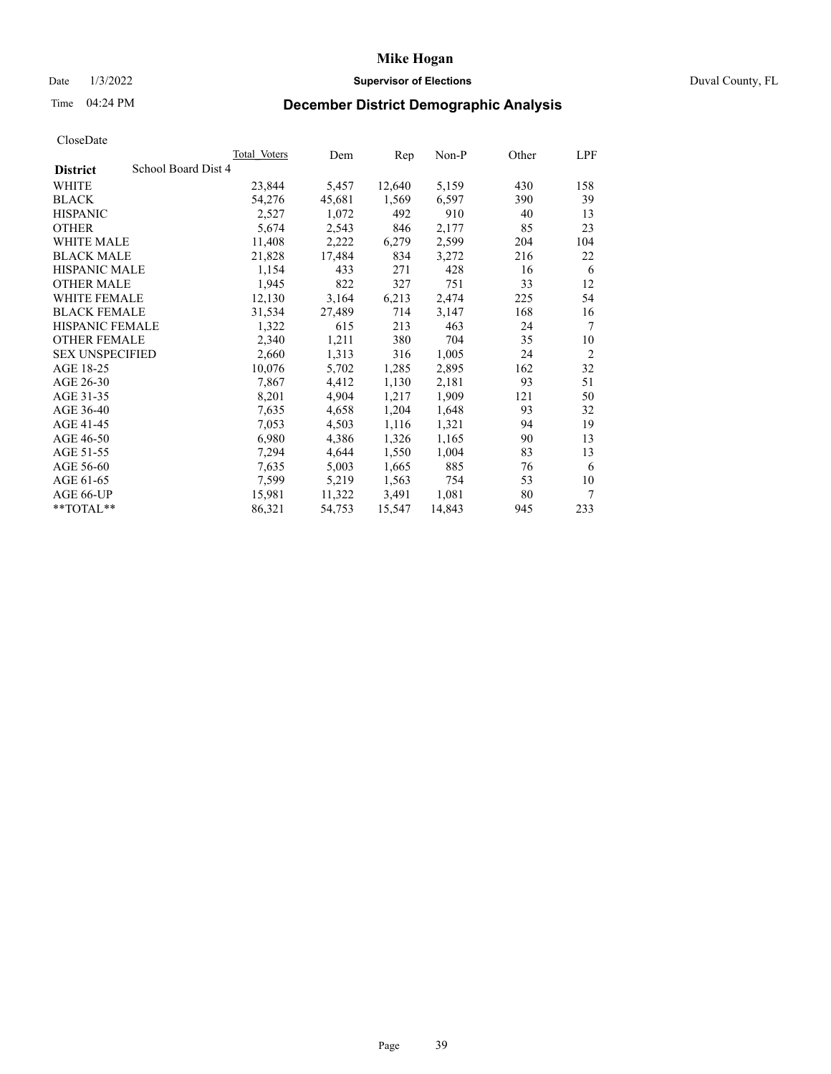## Date 1/3/2022 **Supervisor of Elections** Duval County, FL

# Time 04:24 PM **December District Demographic Analysis**

|                        |                     | Total Voters | Dem    | Rep    | $Non-P$ | Other | LPF            |
|------------------------|---------------------|--------------|--------|--------|---------|-------|----------------|
| <b>District</b>        | School Board Dist 4 |              |        |        |         |       |                |
| WHITE                  |                     | 23,844       | 5,457  | 12,640 | 5,159   | 430   | 158            |
| <b>BLACK</b>           |                     | 54,276       | 45,681 | 1,569  | 6,597   | 390   | 39             |
| <b>HISPANIC</b>        |                     | 2,527        | 1,072  | 492    | 910     | 40    | 13             |
| <b>OTHER</b>           |                     | 5,674        | 2,543  | 846    | 2,177   | 85    | 23             |
| WHITE MALE             |                     | 11,408       | 2,222  | 6,279  | 2,599   | 204   | 104            |
| <b>BLACK MALE</b>      |                     | 21,828       | 17,484 | 834    | 3,272   | 216   | 22             |
| <b>HISPANIC MALE</b>   |                     | 1,154        | 433    | 271    | 428     | 16    | 6              |
| <b>OTHER MALE</b>      |                     | 1,945        | 822    | 327    | 751     | 33    | 12             |
| WHITE FEMALE           |                     | 12,130       | 3,164  | 6,213  | 2,474   | 225   | 54             |
| <b>BLACK FEMALE</b>    |                     | 31,534       | 27,489 | 714    | 3,147   | 168   | 16             |
| HISPANIC FEMALE        |                     | 1,322        | 615    | 213    | 463     | 24    | 7              |
| <b>OTHER FEMALE</b>    |                     | 2,340        | 1,211  | 380    | 704     | 35    | 10             |
| <b>SEX UNSPECIFIED</b> |                     | 2,660        | 1,313  | 316    | 1,005   | 24    | $\overline{2}$ |
| AGE 18-25              |                     | 10,076       | 5,702  | 1,285  | 2,895   | 162   | 32             |
| AGE 26-30              |                     | 7,867        | 4,412  | 1,130  | 2,181   | 93    | 51             |
| AGE 31-35              |                     | 8,201        | 4,904  | 1,217  | 1,909   | 121   | 50             |
| AGE 36-40              |                     | 7,635        | 4,658  | 1,204  | 1,648   | 93    | 32             |
| AGE 41-45              |                     | 7,053        | 4,503  | 1,116  | 1,321   | 94    | 19             |
| AGE 46-50              |                     | 6,980        | 4,386  | 1,326  | 1,165   | 90    | 13             |
| AGE 51-55              |                     | 7,294        | 4,644  | 1,550  | 1,004   | 83    | 13             |
| AGE 56-60              |                     | 7,635        | 5,003  | 1,665  | 885     | 76    | 6              |
| AGE 61-65              |                     | 7,599        | 5,219  | 1,563  | 754     | 53    | 10             |
| AGE 66-UP              |                     | 15,981       | 11,322 | 3,491  | 1,081   | 80    | 7              |
| **TOTAL**              |                     | 86,321       | 54,753 | 15,547 | 14,843  | 945   | 233            |
|                        |                     |              |        |        |         |       |                |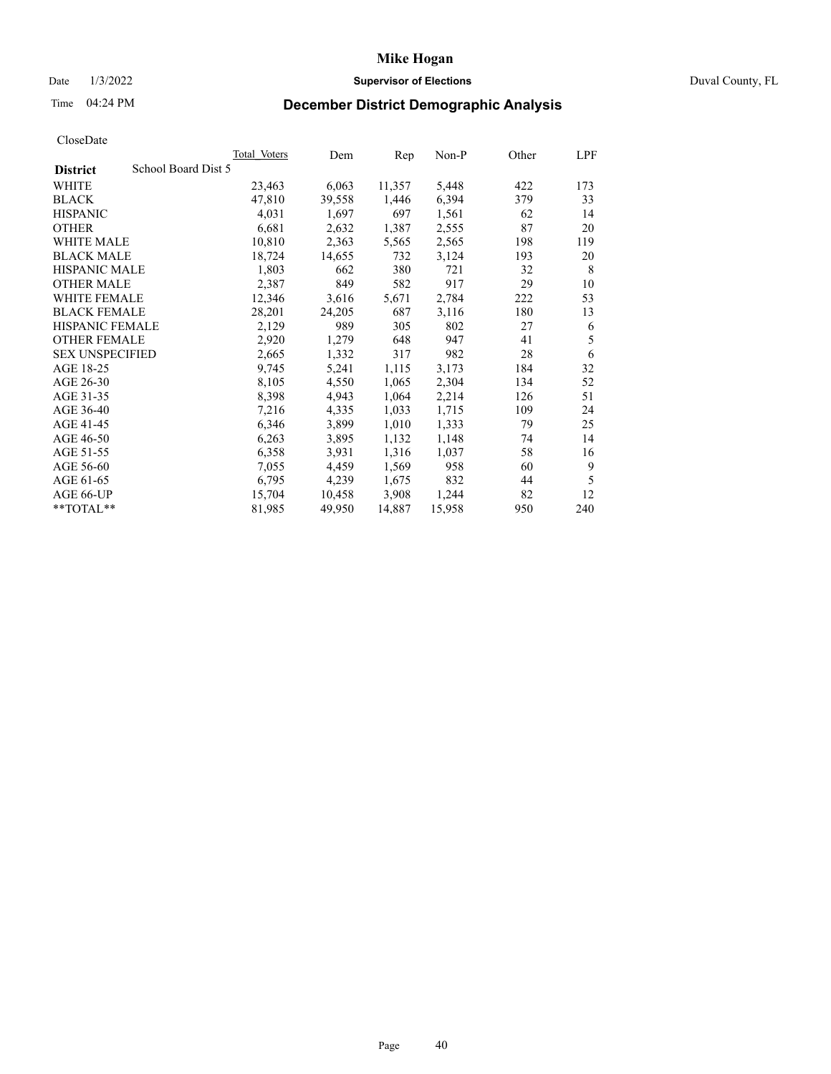## Date 1/3/2022 **Supervisor of Elections** Duval County, FL

# Time 04:24 PM **December District Demographic Analysis**

|                                        | <b>Total Voters</b> | Dem    | Rep    | $Non-P$ | Other | LPF |
|----------------------------------------|---------------------|--------|--------|---------|-------|-----|
| School Board Dist 5<br><b>District</b> |                     |        |        |         |       |     |
| WHITE                                  | 23,463              | 6,063  | 11,357 | 5,448   | 422   | 173 |
| <b>BLACK</b>                           | 47,810              | 39,558 | 1,446  | 6,394   | 379   | 33  |
| <b>HISPANIC</b>                        | 4,031               | 1,697  | 697    | 1,561   | 62    | 14  |
| <b>OTHER</b>                           | 6,681               | 2,632  | 1,387  | 2,555   | 87    | 20  |
| WHITE MALE                             | 10,810              | 2,363  | 5,565  | 2,565   | 198   | 119 |
| <b>BLACK MALE</b>                      | 18,724              | 14,655 | 732    | 3,124   | 193   | 20  |
| <b>HISPANIC MALE</b>                   | 1,803               | 662    | 380    | 721     | 32    | 8   |
| <b>OTHER MALE</b>                      | 2,387               | 849    | 582    | 917     | 29    | 10  |
| WHITE FEMALE                           | 12,346              | 3,616  | 5,671  | 2,784   | 222   | 53  |
| <b>BLACK FEMALE</b>                    | 28,201              | 24,205 | 687    | 3,116   | 180   | 13  |
| HISPANIC FEMALE                        | 2,129               | 989    | 305    | 802     | 27    | 6   |
| <b>OTHER FEMALE</b>                    | 2,920               | 1,279  | 648    | 947     | 41    | 5   |
| <b>SEX UNSPECIFIED</b>                 | 2,665               | 1,332  | 317    | 982     | 28    | 6   |
| AGE 18-25                              | 9,745               | 5,241  | 1,115  | 3,173   | 184   | 32  |
| AGE 26-30                              | 8,105               | 4,550  | 1,065  | 2,304   | 134   | 52  |
| AGE 31-35                              | 8,398               | 4,943  | 1,064  | 2,214   | 126   | 51  |
| AGE 36-40                              | 7,216               | 4,335  | 1,033  | 1,715   | 109   | 24  |
| AGE 41-45                              | 6,346               | 3,899  | 1,010  | 1,333   | 79    | 25  |
| AGE 46-50                              | 6,263               | 3,895  | 1,132  | 1,148   | 74    | 14  |
| AGE 51-55                              | 6,358               | 3,931  | 1,316  | 1,037   | 58    | 16  |
| AGE 56-60                              | 7,055               | 4,459  | 1,569  | 958     | 60    | 9   |
| AGE 61-65                              | 6,795               | 4,239  | 1,675  | 832     | 44    | 5   |
| AGE 66-UP                              | 15,704              | 10,458 | 3,908  | 1,244   | 82    | 12  |
| **TOTAL**                              | 81,985              | 49,950 | 14,887 | 15,958  | 950   | 240 |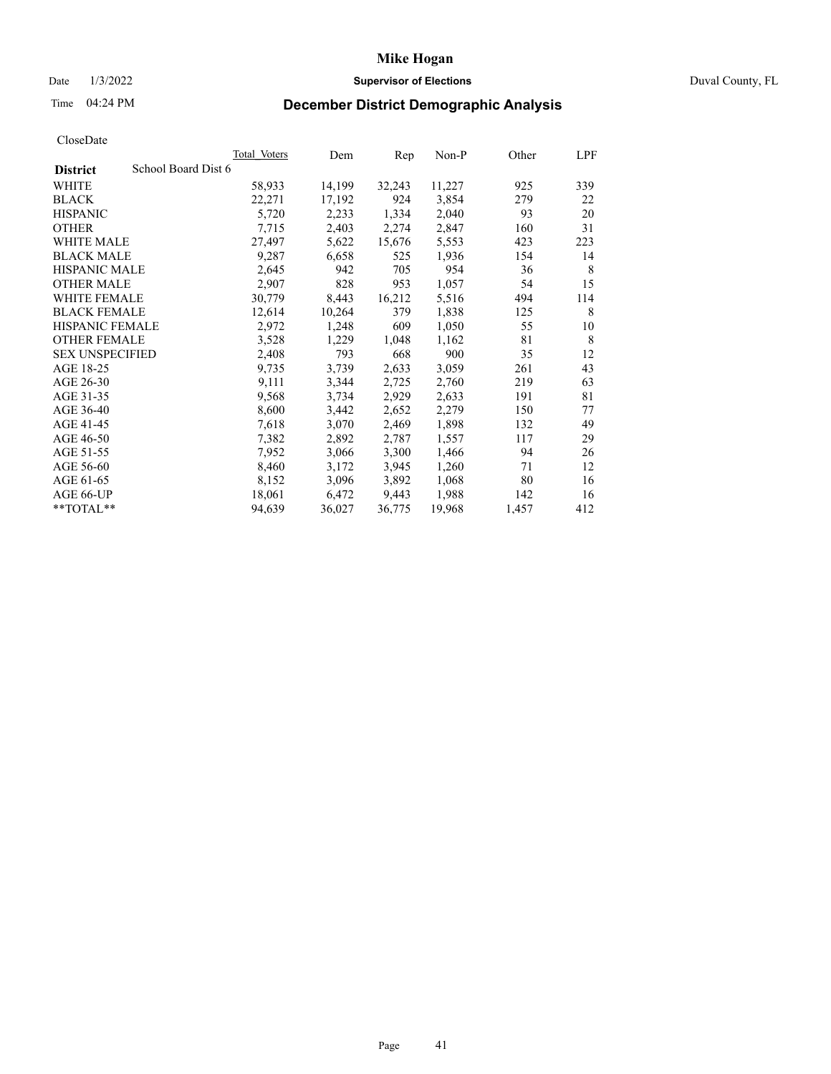## Date 1/3/2022 **Supervisor of Elections** Duval County, FL

# Time 04:24 PM **December District Demographic Analysis**

|                                        | Total Voters | Dem    | Rep    | $Non-P$ | Other | LPF |
|----------------------------------------|--------------|--------|--------|---------|-------|-----|
| School Board Dist 6<br><b>District</b> |              |        |        |         |       |     |
| WHITE                                  | 58,933       | 14,199 | 32,243 | 11,227  | 925   | 339 |
| <b>BLACK</b>                           | 22,271       | 17,192 | 924    | 3,854   | 279   | 22  |
| <b>HISPANIC</b>                        | 5,720        | 2,233  | 1,334  | 2,040   | 93    | 20  |
| <b>OTHER</b>                           | 7,715        | 2,403  | 2,274  | 2,847   | 160   | 31  |
| <b>WHITE MALE</b>                      | 27,497       | 5,622  | 15,676 | 5,553   | 423   | 223 |
| <b>BLACK MALE</b>                      | 9,287        | 6,658  | 525    | 1,936   | 154   | 14  |
| <b>HISPANIC MALE</b>                   | 2,645        | 942    | 705    | 954     | 36    | 8   |
| <b>OTHER MALE</b>                      | 2,907        | 828    | 953    | 1,057   | 54    | 15  |
| WHITE FEMALE                           | 30,779       | 8,443  | 16,212 | 5,516   | 494   | 114 |
| <b>BLACK FEMALE</b>                    | 12,614       | 10,264 | 379    | 1,838   | 125   | 8   |
| HISPANIC FEMALE                        | 2,972        | 1,248  | 609    | 1,050   | 55    | 10  |
| <b>OTHER FEMALE</b>                    | 3,528        | 1,229  | 1,048  | 1,162   | 81    | 8   |
| <b>SEX UNSPECIFIED</b>                 | 2,408        | 793    | 668    | 900     | 35    | 12  |
| AGE 18-25                              | 9,735        | 3,739  | 2,633  | 3,059   | 261   | 43  |
| AGE 26-30                              | 9,111        | 3,344  | 2,725  | 2,760   | 219   | 63  |
| AGE 31-35                              | 9,568        | 3,734  | 2,929  | 2,633   | 191   | 81  |
| AGE 36-40                              | 8,600        | 3,442  | 2,652  | 2,279   | 150   | 77  |
| AGE 41-45                              | 7,618        | 3,070  | 2,469  | 1,898   | 132   | 49  |
| AGE 46-50                              | 7,382        | 2,892  | 2,787  | 1,557   | 117   | 29  |
| AGE 51-55                              | 7,952        | 3,066  | 3,300  | 1,466   | 94    | 26  |
| AGE 56-60                              | 8,460        | 3,172  | 3,945  | 1,260   | 71    | 12  |
| AGE 61-65                              | 8,152        | 3,096  | 3,892  | 1,068   | 80    | 16  |
| AGE 66-UP                              | 18,061       | 6,472  | 9,443  | 1,988   | 142   | 16  |
| **TOTAL**                              | 94,639       | 36,027 | 36,775 | 19,968  | 1,457 | 412 |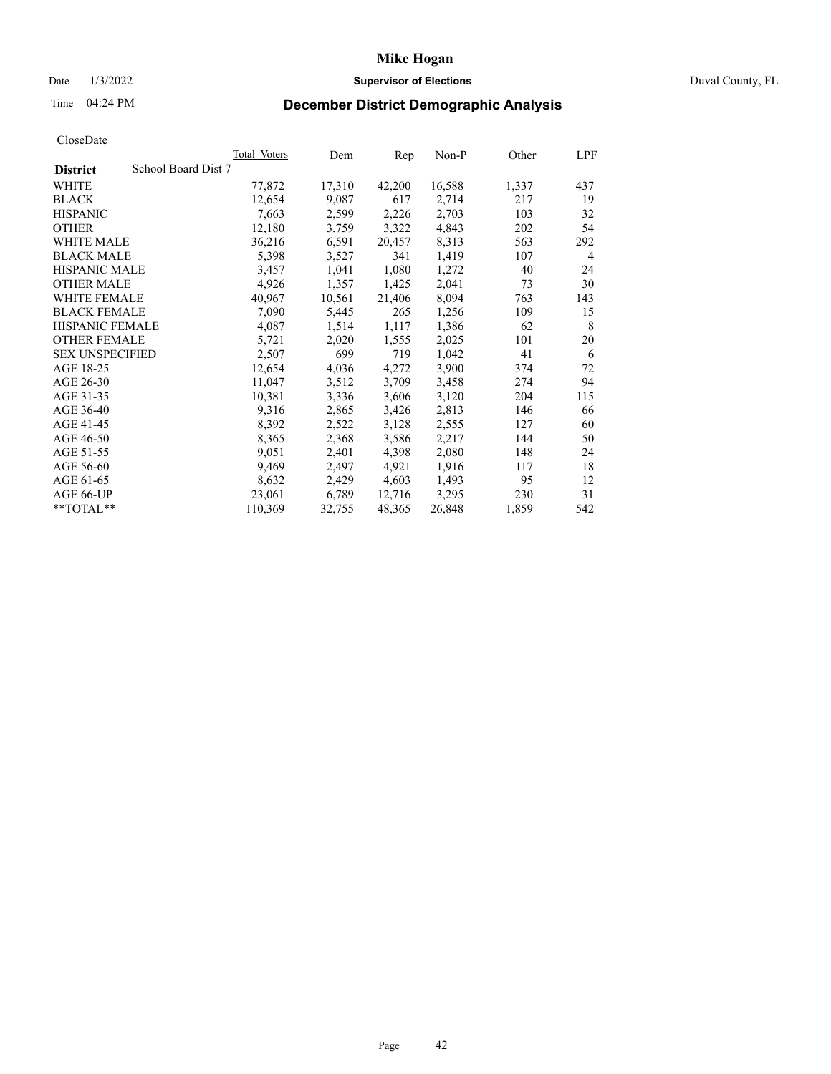## Date 1/3/2022 **Supervisor of Elections** Duval County, FL

# Time 04:24 PM **December District Demographic Analysis**

| School Board Dist 7<br><b>District</b><br>WHITE<br>77,872 | 17,310<br>9,087 | 42,200 | 16,588 | 1,337 |                |
|-----------------------------------------------------------|-----------------|--------|--------|-------|----------------|
|                                                           |                 |        |        |       |                |
|                                                           |                 |        |        |       | 437            |
| 12,654<br><b>BLACK</b>                                    |                 | 617    | 2,714  | 217   | 19             |
| <b>HISPANIC</b><br>7,663                                  | 2,599           | 2,226  | 2,703  | 103   | 32             |
| <b>OTHER</b><br>12,180                                    | 3,759           | 3,322  | 4,843  | 202   | 54             |
| <b>WHITE MALE</b><br>36,216                               | 6,591           | 20,457 | 8,313  | 563   | 292            |
| <b>BLACK MALE</b><br>5,398                                | 3,527           | 341    | 1,419  | 107   | $\overline{4}$ |
| <b>HISPANIC MALE</b><br>3,457                             | 1,041           | 1,080  | 1,272  | 40    | 24             |
| <b>OTHER MALE</b><br>4,926                                | 1,357           | 1,425  | 2,041  | 73    | 30             |
| WHITE FEMALE<br>40,967                                    | 10,561          | 21,406 | 8,094  | 763   | 143            |
| <b>BLACK FEMALE</b><br>7,090                              | 5,445           | 265    | 1,256  | 109   | 15             |
| HISPANIC FEMALE<br>4,087                                  | 1,514           | 1,117  | 1,386  | 62    | 8              |
| <b>OTHER FEMALE</b><br>5,721                              | 2,020           | 1,555  | 2,025  | 101   | 20             |
| 2,507<br><b>SEX UNSPECIFIED</b>                           | 699             | 719    | 1,042  | 41    | 6              |
| AGE 18-25<br>12,654                                       | 4,036           | 4,272  | 3,900  | 374   | 72             |
| AGE 26-30<br>11,047                                       | 3,512           | 3,709  | 3,458  | 274   | 94             |
| AGE 31-35<br>10,381                                       | 3,336           | 3,606  | 3,120  | 204   | 115            |
| 9,316<br>AGE 36-40                                        | 2,865           | 3,426  | 2,813  | 146   | 66             |
| AGE 41-45<br>8,392                                        | 2,522           | 3,128  | 2,555  | 127   | 60             |
| AGE 46-50<br>8,365                                        | 2,368           | 3,586  | 2,217  | 144   | 50             |
| AGE 51-55<br>9,051                                        | 2,401           | 4,398  | 2,080  | 148   | 24             |
| 9,469<br>AGE 56-60                                        | 2,497           | 4,921  | 1,916  | 117   | 18             |
| AGE 61-65<br>8,632                                        | 2,429           | 4,603  | 1,493  | 95    | 12             |
| AGE 66-UP<br>23,061                                       | 6,789           | 12,716 | 3,295  | 230   | 31             |
| **TOTAL**<br>110,369                                      | 32,755          | 48,365 | 26,848 | 1,859 | 542            |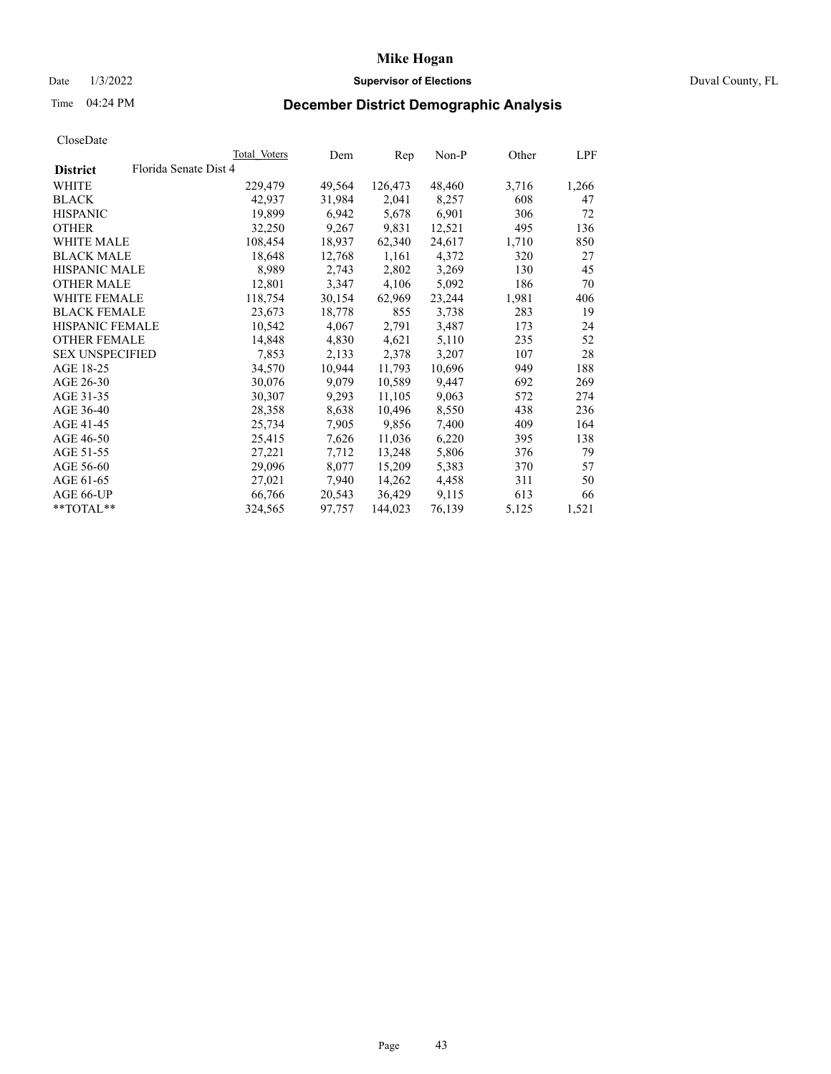## Date 1/3/2022 **Supervisor of Elections** Duval County, FL

# Time 04:24 PM **December District Demographic Analysis**

|                        |                       | Total Voters | Dem    | Rep     | $Non-P$ | Other | LPF   |
|------------------------|-----------------------|--------------|--------|---------|---------|-------|-------|
| <b>District</b>        | Florida Senate Dist 4 |              |        |         |         |       |       |
| WHITE                  |                       | 229,479      | 49,564 | 126,473 | 48,460  | 3,716 | 1,266 |
| <b>BLACK</b>           |                       | 42,937       | 31,984 | 2,041   | 8,257   | 608   | 47    |
| <b>HISPANIC</b>        |                       | 19,899       | 6,942  | 5,678   | 6,901   | 306   | 72    |
| <b>OTHER</b>           |                       | 32,250       | 9,267  | 9,831   | 12,521  | 495   | 136   |
| <b>WHITE MALE</b>      |                       | 108,454      | 18,937 | 62,340  | 24,617  | 1,710 | 850   |
| <b>BLACK MALE</b>      |                       | 18,648       | 12,768 | 1,161   | 4,372   | 320   | 27    |
| <b>HISPANIC MALE</b>   |                       | 8,989        | 2,743  | 2,802   | 3,269   | 130   | 45    |
| <b>OTHER MALE</b>      |                       | 12,801       | 3,347  | 4,106   | 5,092   | 186   | 70    |
| <b>WHITE FEMALE</b>    |                       | 118,754      | 30,154 | 62,969  | 23,244  | 1,981 | 406   |
| <b>BLACK FEMALE</b>    |                       | 23,673       | 18,778 | 855     | 3,738   | 283   | 19    |
| HISPANIC FEMALE        |                       | 10,542       | 4,067  | 2,791   | 3,487   | 173   | 24    |
| <b>OTHER FEMALE</b>    |                       | 14,848       | 4,830  | 4,621   | 5,110   | 235   | 52    |
| <b>SEX UNSPECIFIED</b> |                       | 7,853        | 2,133  | 2,378   | 3,207   | 107   | 28    |
| AGE 18-25              |                       | 34,570       | 10,944 | 11,793  | 10,696  | 949   | 188   |
| AGE 26-30              |                       | 30,076       | 9,079  | 10,589  | 9,447   | 692   | 269   |
| AGE 31-35              |                       | 30,307       | 9,293  | 11,105  | 9,063   | 572   | 274   |
| AGE 36-40              |                       | 28,358       | 8,638  | 10,496  | 8,550   | 438   | 236   |
| AGE 41-45              |                       | 25,734       | 7,905  | 9,856   | 7,400   | 409   | 164   |
| AGE 46-50              |                       | 25,415       | 7,626  | 11,036  | 6,220   | 395   | 138   |
| AGE 51-55              |                       | 27,221       | 7,712  | 13,248  | 5,806   | 376   | 79    |
| AGE 56-60              |                       | 29,096       | 8,077  | 15,209  | 5,383   | 370   | 57    |
| AGE 61-65              |                       | 27,021       | 7,940  | 14,262  | 4,458   | 311   | 50    |
| AGE 66-UP              |                       | 66,766       | 20,543 | 36,429  | 9,115   | 613   | 66    |
| **TOTAL**              |                       | 324,565      | 97,757 | 144,023 | 76,139  | 5,125 | 1,521 |
|                        |                       |              |        |         |         |       |       |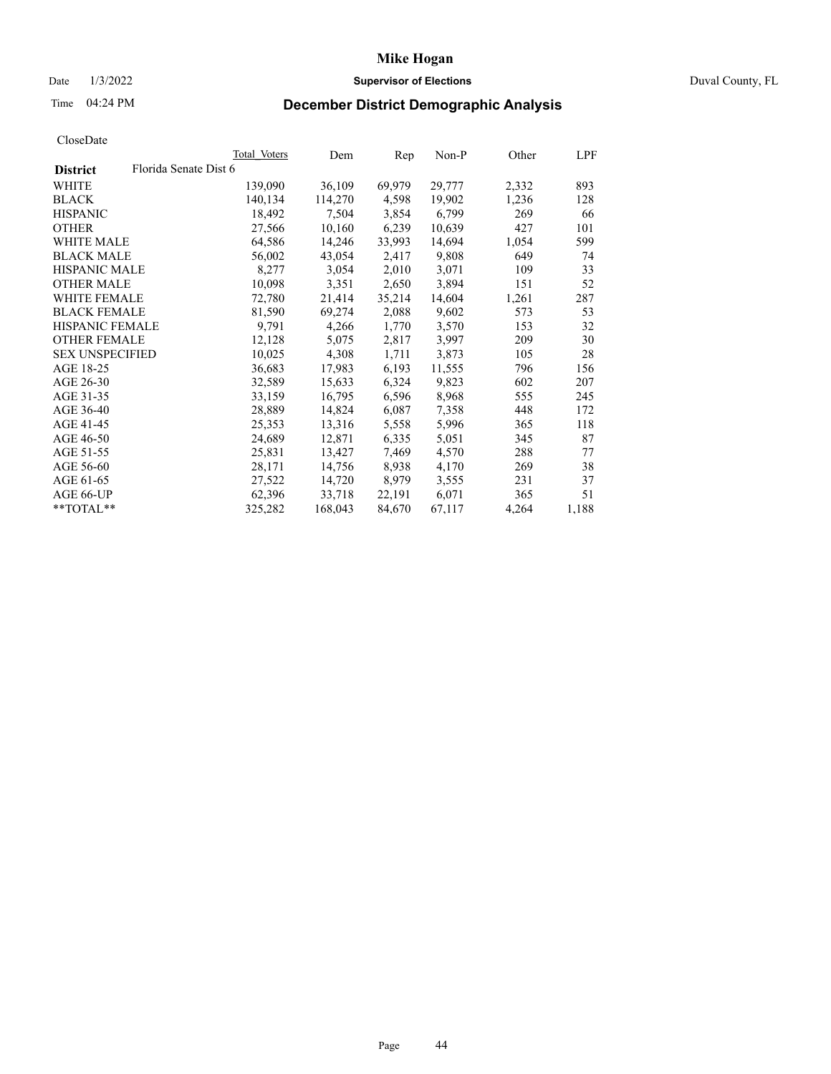## Date 1/3/2022 **Supervisor of Elections** Duval County, FL

# Time 04:24 PM **December District Demographic Analysis**

|                        |                       | Total Voters | Dem     | Rep    | Non-P  | Other | LPF   |
|------------------------|-----------------------|--------------|---------|--------|--------|-------|-------|
| <b>District</b>        | Florida Senate Dist 6 |              |         |        |        |       |       |
| WHITE                  |                       | 139,090      | 36,109  | 69,979 | 29,777 | 2,332 | 893   |
| <b>BLACK</b>           |                       | 140,134      | 114,270 | 4,598  | 19,902 | 1,236 | 128   |
| <b>HISPANIC</b>        |                       | 18,492       | 7,504   | 3,854  | 6,799  | 269   | 66    |
| <b>OTHER</b>           |                       | 27,566       | 10,160  | 6,239  | 10,639 | 427   | 101   |
| <b>WHITE MALE</b>      |                       | 64,586       | 14,246  | 33,993 | 14,694 | 1,054 | 599   |
| <b>BLACK MALE</b>      |                       | 56,002       | 43,054  | 2,417  | 9,808  | 649   | 74    |
| <b>HISPANIC MALE</b>   |                       | 8,277        | 3,054   | 2,010  | 3,071  | 109   | 33    |
| <b>OTHER MALE</b>      |                       | 10,098       | 3,351   | 2,650  | 3,894  | 151   | 52    |
| <b>WHITE FEMALE</b>    |                       | 72,780       | 21,414  | 35,214 | 14,604 | 1,261 | 287   |
| <b>BLACK FEMALE</b>    |                       | 81,590       | 69,274  | 2,088  | 9,602  | 573   | 53    |
| HISPANIC FEMALE        |                       | 9,791        | 4,266   | 1,770  | 3,570  | 153   | 32    |
| <b>OTHER FEMALE</b>    |                       | 12,128       | 5,075   | 2,817  | 3,997  | 209   | 30    |
| <b>SEX UNSPECIFIED</b> |                       | 10,025       | 4,308   | 1,711  | 3,873  | 105   | 28    |
| AGE 18-25              |                       | 36,683       | 17,983  | 6,193  | 11,555 | 796   | 156   |
| AGE 26-30              |                       | 32,589       | 15,633  | 6,324  | 9,823  | 602   | 207   |
| AGE 31-35              |                       | 33,159       | 16,795  | 6,596  | 8,968  | 555   | 245   |
| AGE 36-40              |                       | 28,889       | 14,824  | 6,087  | 7,358  | 448   | 172   |
| AGE 41-45              |                       | 25,353       | 13,316  | 5,558  | 5,996  | 365   | 118   |
| AGE 46-50              |                       | 24,689       | 12,871  | 6,335  | 5,051  | 345   | 87    |
| AGE 51-55              |                       | 25,831       | 13,427  | 7,469  | 4,570  | 288   | 77    |
| AGE 56-60              |                       | 28,171       | 14,756  | 8,938  | 4,170  | 269   | 38    |
| AGE 61-65              |                       | 27,522       | 14,720  | 8,979  | 3,555  | 231   | 37    |
| AGE 66-UP              |                       | 62,396       | 33,718  | 22,191 | 6,071  | 365   | 51    |
| $*$ TOTAL $*$          |                       | 325,282      | 168,043 | 84,670 | 67,117 | 4,264 | 1,188 |
|                        |                       |              |         |        |        |       |       |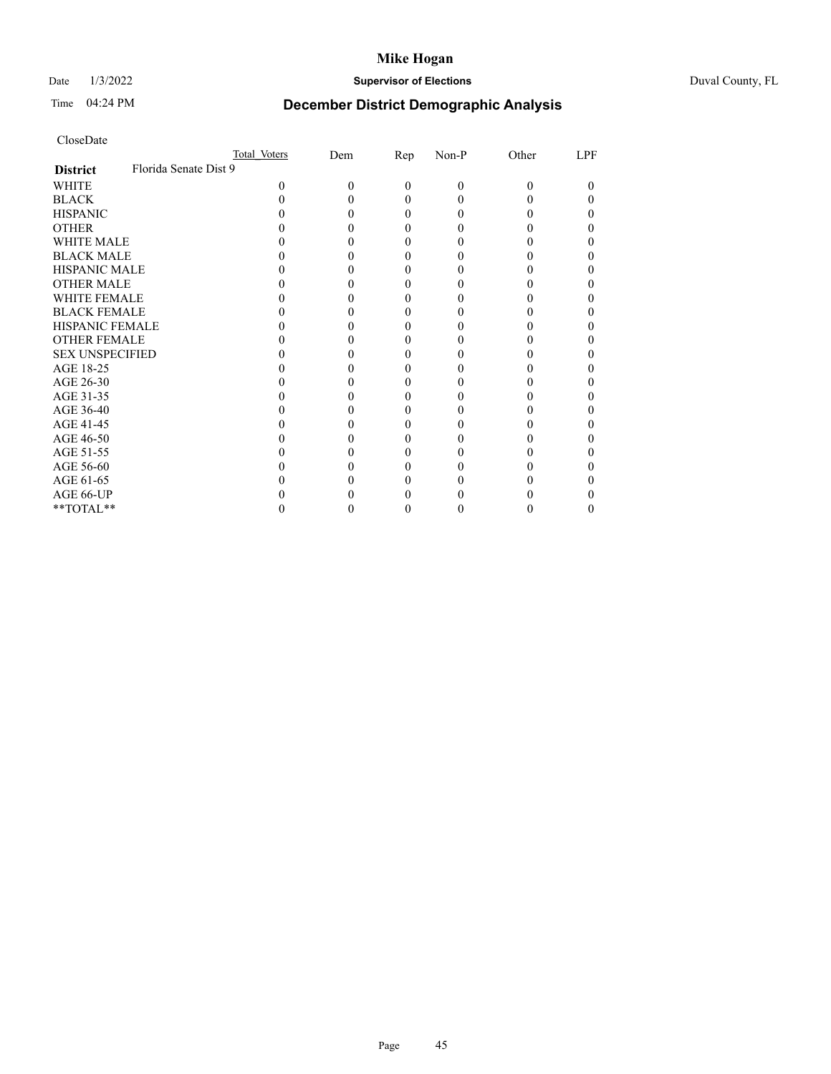# Date 1/3/2022 **Supervisor of Elections** Duval County, FL

# Time 04:24 PM **December District Demographic Analysis**

|                        | Total Voters          | Dem | Rep | Non-P | Other | LPF |
|------------------------|-----------------------|-----|-----|-------|-------|-----|
| <b>District</b>        | Florida Senate Dist 9 |     |     |       |       |     |
| WHITE                  | 0                     |     | 0   | 0     | 0     |     |
| <b>BLACK</b>           |                       |     |     |       |       |     |
| <b>HISPANIC</b>        |                       |     |     |       |       |     |
| <b>OTHER</b>           |                       |     |     |       |       |     |
| <b>WHITE MALE</b>      |                       |     |     |       |       |     |
| <b>BLACK MALE</b>      |                       |     |     |       |       |     |
| <b>HISPANIC MALE</b>   |                       |     |     |       |       |     |
| <b>OTHER MALE</b>      |                       |     |     |       |       |     |
| <b>WHITE FEMALE</b>    |                       |     |     |       |       |     |
| <b>BLACK FEMALE</b>    |                       |     |     |       |       |     |
| <b>HISPANIC FEMALE</b> |                       |     |     |       |       |     |
| <b>OTHER FEMALE</b>    |                       |     |     |       |       |     |
| <b>SEX UNSPECIFIED</b> |                       |     |     |       |       |     |
| AGE 18-25              |                       |     |     |       |       |     |
| AGE 26-30              |                       |     |     |       |       |     |
| AGE 31-35              |                       |     |     |       |       |     |
| AGE 36-40              |                       |     |     |       |       |     |
| AGE 41-45              |                       |     |     |       |       |     |
| AGE 46-50              |                       |     |     |       |       |     |
| AGE 51-55              |                       |     |     |       |       |     |
| AGE 56-60              |                       |     |     |       |       |     |
| AGE 61-65              |                       |     |     |       |       |     |
| AGE 66-UP              |                       |     |     |       |       |     |
| **TOTAL**              |                       |     |     |       |       |     |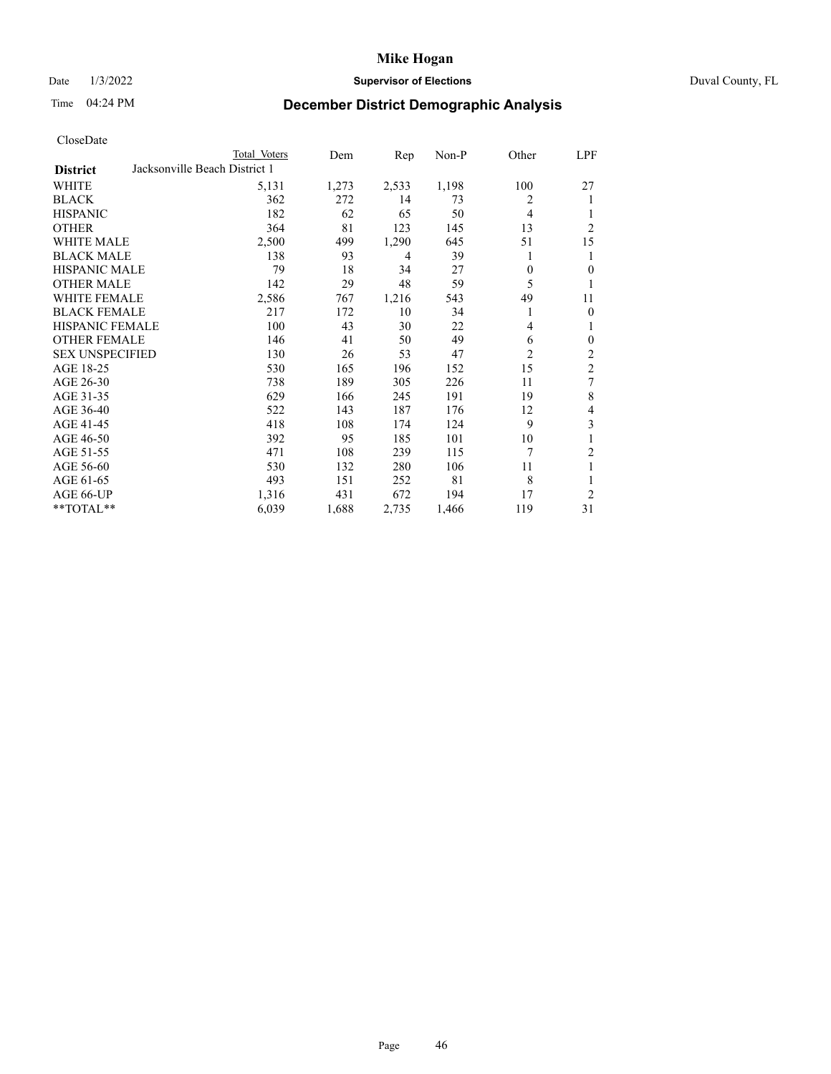## Date 1/3/2022 **Supervisor of Elections** Duval County, FL

# Time 04:24 PM **December District Demographic Analysis**

|                        |                               | Total Voters | Dem   | Rep   | Non-P | Other          | <b>LPF</b>               |
|------------------------|-------------------------------|--------------|-------|-------|-------|----------------|--------------------------|
| <b>District</b>        | Jacksonville Beach District 1 |              |       |       |       |                |                          |
| WHITE                  |                               | 5,131        | 1,273 | 2,533 | 1,198 | 100            | 27                       |
| <b>BLACK</b>           |                               | 362          | 272   | 14    | 73    | 2              | 1                        |
| <b>HISPANIC</b>        |                               | 182          | 62    | 65    | 50    | 4              |                          |
| <b>OTHER</b>           |                               | 364          | 81    | 123   | 145   | 13             | $\overline{c}$           |
| <b>WHITE MALE</b>      |                               | 2,500        | 499   | 1,290 | 645   | 51             | 15                       |
| <b>BLACK MALE</b>      |                               | 138          | 93    | 4     | 39    | 1              | 1                        |
| <b>HISPANIC MALE</b>   |                               | 79           | 18    | 34    | 27    | $\theta$       | $\theta$                 |
| <b>OTHER MALE</b>      |                               | 142          | 29    | 48    | 59    | 5              | 1                        |
| <b>WHITE FEMALE</b>    |                               | 2,586        | 767   | 1,216 | 543   | 49             | 11                       |
| <b>BLACK FEMALE</b>    |                               | 217          | 172   | 10    | 34    |                | $\mathbf{0}$             |
| HISPANIC FEMALE        |                               | 100          | 43    | 30    | 22    | 4              | 1                        |
| <b>OTHER FEMALE</b>    |                               | 146          | 41    | 50    | 49    | 6              | $\boldsymbol{0}$         |
| <b>SEX UNSPECIFIED</b> |                               | 130          | 26    | 53    | 47    | $\overline{2}$ | $\overline{\mathbf{c}}$  |
| AGE 18-25              |                               | 530          | 165   | 196   | 152   | 15             | $\overline{2}$           |
| AGE 26-30              |                               | 738          | 189   | 305   | 226   | 11             | 7                        |
| AGE 31-35              |                               | 629          | 166   | 245   | 191   | 19             | $\,$ 8 $\,$              |
| AGE 36-40              |                               | 522          | 143   | 187   | 176   | 12             | $\overline{\mathcal{L}}$ |
| AGE 41-45              |                               | 418          | 108   | 174   | 124   | 9              | 3                        |
| AGE 46-50              |                               | 392          | 95    | 185   | 101   | 10             |                          |
| AGE 51-55              |                               | 471          | 108   | 239   | 115   | 7              | 2                        |
| AGE 56-60              |                               | 530          | 132   | 280   | 106   | 11             | 1                        |
| AGE 61-65              |                               | 493          | 151   | 252   | 81    | 8              | 1                        |
| AGE 66-UP              |                               | 1,316        | 431   | 672   | 194   | 17             | $\overline{2}$           |
| **TOTAL**              |                               | 6,039        | 1,688 | 2,735 | 1,466 | 119            | 31                       |
|                        |                               |              |       |       |       |                |                          |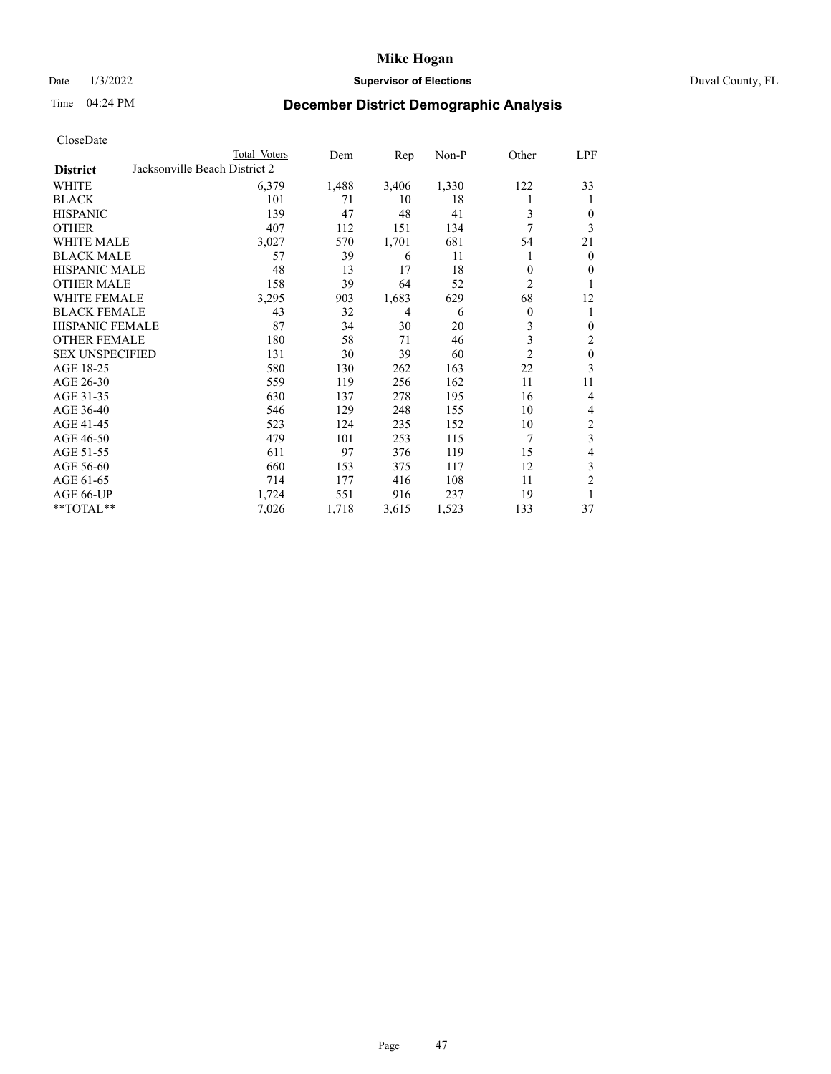## Date 1/3/2022 **Supervisor of Elections** Duval County, FL

# Time 04:24 PM **December District Demographic Analysis**

|                        | Total Voters                  | Dem   | Rep            | $Non-P$ | Other          | <u>LPF</u>              |
|------------------------|-------------------------------|-------|----------------|---------|----------------|-------------------------|
| <b>District</b>        | Jacksonville Beach District 2 |       |                |         |                |                         |
| <b>WHITE</b>           | 6,379                         | 1,488 | 3,406          | 1,330   | 122            | 33                      |
| <b>BLACK</b>           | 101                           | 71    | 10             | 18      | 1              | 1                       |
| <b>HISPANIC</b>        | 139                           | 47    | 48             | 41      | 3              | $\mathbf{0}$            |
| <b>OTHER</b>           | 407                           | 112   | 151            | 134     | 7              | 3                       |
| <b>WHITE MALE</b>      | 3,027                         | 570   | 1,701          | 681     | 54             | 21                      |
| <b>BLACK MALE</b>      | 57                            | 39    | 6              | 11      | 1              | $\overline{0}$          |
| <b>HISPANIC MALE</b>   | 48                            | 13    | 17             | 18      | $\theta$       | $\mathbf{0}$            |
| <b>OTHER MALE</b>      | 158                           | 39    | 64             | 52      | 2              |                         |
| WHITE FEMALE           | 3,295                         | 903   | 1,683          | 629     | 68             | 12                      |
| <b>BLACK FEMALE</b>    | 43                            | 32    | $\overline{4}$ | 6       | $\theta$       | 1                       |
| <b>HISPANIC FEMALE</b> | 87                            | 34    | 30             | 20      | 3              | $\boldsymbol{0}$        |
| <b>OTHER FEMALE</b>    | 180                           | 58    | 71             | 46      | 3              | $\overline{2}$          |
| <b>SEX UNSPECIFIED</b> | 131                           | 30    | 39             | 60      | $\overline{2}$ | $\boldsymbol{0}$        |
| AGE 18-25              | 580                           | 130   | 262            | 163     | 22             | 3                       |
| AGE 26-30              | 559                           | 119   | 256            | 162     | 11             | 11                      |
| AGE 31-35              | 630                           | 137   | 278            | 195     | 16             | $\overline{4}$          |
| AGE 36-40              | 546                           | 129   | 248            | 155     | 10             | 4                       |
| AGE 41-45              | 523                           | 124   | 235            | 152     | 10             | $\boldsymbol{2}$        |
| AGE 46-50              | 479                           | 101   | 253            | 115     | 7              | $\overline{\mathbf{3}}$ |
| AGE 51-55              | 611                           | 97    | 376            | 119     | 15             | $\overline{4}$          |
| AGE 56-60              | 660                           | 153   | 375            | 117     | 12             | $\mathfrak{Z}$          |
| AGE 61-65              | 714                           | 177   | 416            | 108     | 11             | $\mathfrak{2}$          |
| AGE 66-UP              | 1,724                         | 551   | 916            | 237     | 19             | 1                       |
| **TOTAL**              | 7,026                         | 1,718 | 3,615          | 1,523   | 133            | 37                      |
|                        |                               |       |                |         |                |                         |